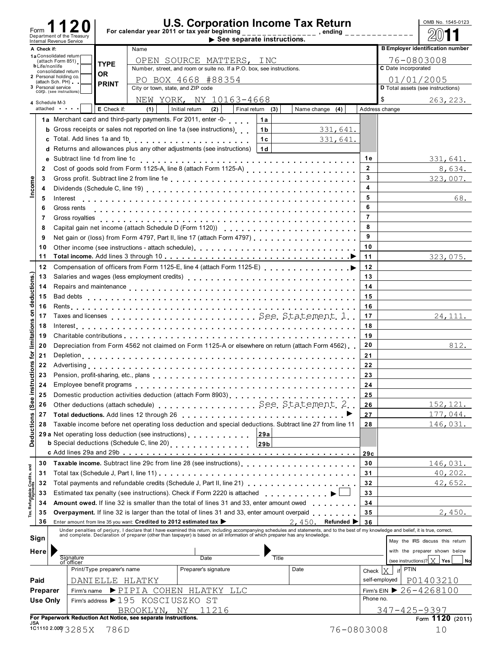| Form<br>For calendar year 2011 or tax year beginning<br>Department of the Treasury<br>$\blacktriangleright$ See separate instructions.<br>Internal Revenue Service<br><b>B Employer identification number</b><br>Name<br>A Check if:<br>1a Consolidated return<br>76-0803008<br>OPEN SOURCE MATTERS, INC<br>(attach Form 851)<br><b>TYPE</b><br><b>b</b> Life/nonlife<br>C Date incorporated<br>Number, street, and room or suite no. If a P.O. box, see instructions.<br>consolidated return<br><b>OR</b><br>2 Personal holding co.<br>01/01/2005<br>PO BOX 4668 #88354<br>(attach Sch. PH)<br><b>PRINT</b><br>3 Personal service<br>City or town, state, and ZIP code<br>D Total assets (see instructions)<br>COrp. (see instructions)<br>NEW YORK, NY 10163-4668<br>\$<br>263, 223.<br>4 Schedule M-3<br>E Check if:<br>(1)<br>Initial return<br>(2)<br>attached<br>Final return (3)<br>Name change (4)<br>Address change<br>1a Merchant card and third-party payments. For 2011, enter -0-<br>1a<br>Gross receipts or sales not reported on line 1a (see instructions)<br>331,641.<br>1 <sub>b</sub><br>b<br>.<br>1c<br>Total. Add lines 1a and 1b<br>331,641.<br>C.<br>Returns and allowances plus any other adjustments (see instructions)<br>1d<br>d<br>1е<br>Subtract line 1d from line 1c<br>331,641.<br>$\mathbf{2}$<br>8,634.<br>$\mathbf{2}$<br>3<br>323,007.<br>Income<br>3<br>4<br>4<br>5<br>68.<br>5<br>Interest<br>6<br>Gross rents<br>6<br>$\overline{7}$<br>Gross royalties<br>7<br>8<br>8<br>9<br>Net gain or (loss) from Form 4797, Part II, line 17 (attach Form 4797)<br>9<br>10<br>10<br>11<br>11<br>323,075.<br>12<br>12<br>deductions.<br>13<br>13<br>14<br>14<br>15<br>15<br>16<br>16<br>ructions for limitations on<br>17<br>24, 111.<br>17<br>18<br>18<br>19<br>19<br>Depreciation from Form 4562 not claimed on Form 1125-A or elsewhere on return (attach Form 4562)<br>20<br>812.<br>20<br>21<br>21<br>22<br>22<br>23<br>23<br>24<br>24<br>Deductions (See inst<br>Domestic production activities deduction (attach Form 8903)<br><br>25<br>25<br>Other deductions (attach schedule) See, Statement, 2.<br>152, 121.<br>26<br>26<br>177,044.<br>27<br>27<br>Taxable income before net operating loss deduction and special deductions. Subtract line 27 from line 11<br>146,031.<br>28<br>28<br>29 a Net operating loss deduction (see instructions)<br>29a<br><b>b</b> Special deductions (Schedule C, line 20)<br>29 <sub>b</sub><br>29c<br>Taxable income. Subtract line 29c from line 28 (see instructions)<br>146,031.<br>30<br>30<br>Tax, Refundable Credits, and<br>40, 202.<br>31<br>31<br>Total payments and refundable credits (Schedule J, Part II, line 21)<br>42,652.<br>32<br>32<br>Estimated tax penalty (see instructions). Check if Form 2220 is attached<br>.<br>33<br>33<br>Amount owed. If line 32 is smaller than the total of lines 31 and 33, enter amount owed<br>34<br>34<br>2,450.<br><b>Overpayment.</b> If line 32 is larger than the total of lines 31 and 33, enter amount overpaid<br>35<br>35<br>36<br>Refunded  <br>Enter amount from line 35 you want: Credited to 2012 estimated tax<br>2,450.<br>36<br>Under penalties of perjury, I declare that I have examined this return, including accompanying schedules and statements, and to the best of my knowledge and belief, it is true, correct,<br>and complete. Declaration of preparer (other than taxpayer) is based on all information of which preparer has any knowledge.<br>Sign<br>May the IRS discuss this return<br>with the preparer shown below<br>Here<br>Signature<br>of officer<br><b>Title</b><br>Date<br>(see instructions)? $X$ Yes<br>No<br>Print/Type preparer's name<br>Date<br>Preparer's signature<br><b>PTIN</b><br>Check $ X $<br>if<br>Paid<br>self-employed<br>P01403210<br>DANIELLE HLATKY |  |  | <b>U.S. Corporation Income Tax Return</b> |  |  |  | OMB No. 1545-0123 |
|--------------------------------------------------------------------------------------------------------------------------------------------------------------------------------------------------------------------------------------------------------------------------------------------------------------------------------------------------------------------------------------------------------------------------------------------------------------------------------------------------------------------------------------------------------------------------------------------------------------------------------------------------------------------------------------------------------------------------------------------------------------------------------------------------------------------------------------------------------------------------------------------------------------------------------------------------------------------------------------------------------------------------------------------------------------------------------------------------------------------------------------------------------------------------------------------------------------------------------------------------------------------------------------------------------------------------------------------------------------------------------------------------------------------------------------------------------------------------------------------------------------------------------------------------------------------------------------------------------------------------------------------------------------------------------------------------------------------------------------------------------------------------------------------------------------------------------------------------------------------------------------------------------------------------------------------------------------------------------------------------------------------------------------------------------------------------------------------------------------------------------------------------------------------------------------------------------------------------------------------------------------------------------------------------------------------------------------------------------------------------------------------------------------------------------------------------------------------------------------------------------------------------------------------------------------------------------------------------------------------------------------------------------------------------------------------------------------------------------------------------------------------------------------------------------------------------------------------------------------------------------------------------------------------------------------------------------------------------------------------------------------------------------------------------------------------------------------------------------------------------------------------------------------------------------------------------------------------------------------------------------------------------------------------------------------------------------------------------------------------------------------------------------------------------------------------------------------------------------------------------------------------------------------------------------------------------------------------------------------------------------------------------------------------------------------------------------------------------------------------------------------------------------------------------------------------------------------------|--|--|-------------------------------------------|--|--|--|-------------------|
|                                                                                                                                                                                                                                                                                                                                                                                                                                                                                                                                                                                                                                                                                                                                                                                                                                                                                                                                                                                                                                                                                                                                                                                                                                                                                                                                                                                                                                                                                                                                                                                                                                                                                                                                                                                                                                                                                                                                                                                                                                                                                                                                                                                                                                                                                                                                                                                                                                                                                                                                                                                                                                                                                                                                                                                                                                                                                                                                                                                                                                                                                                                                                                                                                                                                                                                                                                                                                                                                                                                                                                                                                                                                                                                                                                                                                                            |  |  |                                           |  |  |  |                   |
|                                                                                                                                                                                                                                                                                                                                                                                                                                                                                                                                                                                                                                                                                                                                                                                                                                                                                                                                                                                                                                                                                                                                                                                                                                                                                                                                                                                                                                                                                                                                                                                                                                                                                                                                                                                                                                                                                                                                                                                                                                                                                                                                                                                                                                                                                                                                                                                                                                                                                                                                                                                                                                                                                                                                                                                                                                                                                                                                                                                                                                                                                                                                                                                                                                                                                                                                                                                                                                                                                                                                                                                                                                                                                                                                                                                                                                            |  |  |                                           |  |  |  |                   |
|                                                                                                                                                                                                                                                                                                                                                                                                                                                                                                                                                                                                                                                                                                                                                                                                                                                                                                                                                                                                                                                                                                                                                                                                                                                                                                                                                                                                                                                                                                                                                                                                                                                                                                                                                                                                                                                                                                                                                                                                                                                                                                                                                                                                                                                                                                                                                                                                                                                                                                                                                                                                                                                                                                                                                                                                                                                                                                                                                                                                                                                                                                                                                                                                                                                                                                                                                                                                                                                                                                                                                                                                                                                                                                                                                                                                                                            |  |  |                                           |  |  |  |                   |
|                                                                                                                                                                                                                                                                                                                                                                                                                                                                                                                                                                                                                                                                                                                                                                                                                                                                                                                                                                                                                                                                                                                                                                                                                                                                                                                                                                                                                                                                                                                                                                                                                                                                                                                                                                                                                                                                                                                                                                                                                                                                                                                                                                                                                                                                                                                                                                                                                                                                                                                                                                                                                                                                                                                                                                                                                                                                                                                                                                                                                                                                                                                                                                                                                                                                                                                                                                                                                                                                                                                                                                                                                                                                                                                                                                                                                                            |  |  |                                           |  |  |  |                   |
|                                                                                                                                                                                                                                                                                                                                                                                                                                                                                                                                                                                                                                                                                                                                                                                                                                                                                                                                                                                                                                                                                                                                                                                                                                                                                                                                                                                                                                                                                                                                                                                                                                                                                                                                                                                                                                                                                                                                                                                                                                                                                                                                                                                                                                                                                                                                                                                                                                                                                                                                                                                                                                                                                                                                                                                                                                                                                                                                                                                                                                                                                                                                                                                                                                                                                                                                                                                                                                                                                                                                                                                                                                                                                                                                                                                                                                            |  |  |                                           |  |  |  |                   |
|                                                                                                                                                                                                                                                                                                                                                                                                                                                                                                                                                                                                                                                                                                                                                                                                                                                                                                                                                                                                                                                                                                                                                                                                                                                                                                                                                                                                                                                                                                                                                                                                                                                                                                                                                                                                                                                                                                                                                                                                                                                                                                                                                                                                                                                                                                                                                                                                                                                                                                                                                                                                                                                                                                                                                                                                                                                                                                                                                                                                                                                                                                                                                                                                                                                                                                                                                                                                                                                                                                                                                                                                                                                                                                                                                                                                                                            |  |  |                                           |  |  |  |                   |
|                                                                                                                                                                                                                                                                                                                                                                                                                                                                                                                                                                                                                                                                                                                                                                                                                                                                                                                                                                                                                                                                                                                                                                                                                                                                                                                                                                                                                                                                                                                                                                                                                                                                                                                                                                                                                                                                                                                                                                                                                                                                                                                                                                                                                                                                                                                                                                                                                                                                                                                                                                                                                                                                                                                                                                                                                                                                                                                                                                                                                                                                                                                                                                                                                                                                                                                                                                                                                                                                                                                                                                                                                                                                                                                                                                                                                                            |  |  |                                           |  |  |  |                   |
|                                                                                                                                                                                                                                                                                                                                                                                                                                                                                                                                                                                                                                                                                                                                                                                                                                                                                                                                                                                                                                                                                                                                                                                                                                                                                                                                                                                                                                                                                                                                                                                                                                                                                                                                                                                                                                                                                                                                                                                                                                                                                                                                                                                                                                                                                                                                                                                                                                                                                                                                                                                                                                                                                                                                                                                                                                                                                                                                                                                                                                                                                                                                                                                                                                                                                                                                                                                                                                                                                                                                                                                                                                                                                                                                                                                                                                            |  |  |                                           |  |  |  |                   |
|                                                                                                                                                                                                                                                                                                                                                                                                                                                                                                                                                                                                                                                                                                                                                                                                                                                                                                                                                                                                                                                                                                                                                                                                                                                                                                                                                                                                                                                                                                                                                                                                                                                                                                                                                                                                                                                                                                                                                                                                                                                                                                                                                                                                                                                                                                                                                                                                                                                                                                                                                                                                                                                                                                                                                                                                                                                                                                                                                                                                                                                                                                                                                                                                                                                                                                                                                                                                                                                                                                                                                                                                                                                                                                                                                                                                                                            |  |  |                                           |  |  |  |                   |
|                                                                                                                                                                                                                                                                                                                                                                                                                                                                                                                                                                                                                                                                                                                                                                                                                                                                                                                                                                                                                                                                                                                                                                                                                                                                                                                                                                                                                                                                                                                                                                                                                                                                                                                                                                                                                                                                                                                                                                                                                                                                                                                                                                                                                                                                                                                                                                                                                                                                                                                                                                                                                                                                                                                                                                                                                                                                                                                                                                                                                                                                                                                                                                                                                                                                                                                                                                                                                                                                                                                                                                                                                                                                                                                                                                                                                                            |  |  |                                           |  |  |  |                   |
|                                                                                                                                                                                                                                                                                                                                                                                                                                                                                                                                                                                                                                                                                                                                                                                                                                                                                                                                                                                                                                                                                                                                                                                                                                                                                                                                                                                                                                                                                                                                                                                                                                                                                                                                                                                                                                                                                                                                                                                                                                                                                                                                                                                                                                                                                                                                                                                                                                                                                                                                                                                                                                                                                                                                                                                                                                                                                                                                                                                                                                                                                                                                                                                                                                                                                                                                                                                                                                                                                                                                                                                                                                                                                                                                                                                                                                            |  |  |                                           |  |  |  |                   |
|                                                                                                                                                                                                                                                                                                                                                                                                                                                                                                                                                                                                                                                                                                                                                                                                                                                                                                                                                                                                                                                                                                                                                                                                                                                                                                                                                                                                                                                                                                                                                                                                                                                                                                                                                                                                                                                                                                                                                                                                                                                                                                                                                                                                                                                                                                                                                                                                                                                                                                                                                                                                                                                                                                                                                                                                                                                                                                                                                                                                                                                                                                                                                                                                                                                                                                                                                                                                                                                                                                                                                                                                                                                                                                                                                                                                                                            |  |  |                                           |  |  |  |                   |
|                                                                                                                                                                                                                                                                                                                                                                                                                                                                                                                                                                                                                                                                                                                                                                                                                                                                                                                                                                                                                                                                                                                                                                                                                                                                                                                                                                                                                                                                                                                                                                                                                                                                                                                                                                                                                                                                                                                                                                                                                                                                                                                                                                                                                                                                                                                                                                                                                                                                                                                                                                                                                                                                                                                                                                                                                                                                                                                                                                                                                                                                                                                                                                                                                                                                                                                                                                                                                                                                                                                                                                                                                                                                                                                                                                                                                                            |  |  |                                           |  |  |  |                   |
|                                                                                                                                                                                                                                                                                                                                                                                                                                                                                                                                                                                                                                                                                                                                                                                                                                                                                                                                                                                                                                                                                                                                                                                                                                                                                                                                                                                                                                                                                                                                                                                                                                                                                                                                                                                                                                                                                                                                                                                                                                                                                                                                                                                                                                                                                                                                                                                                                                                                                                                                                                                                                                                                                                                                                                                                                                                                                                                                                                                                                                                                                                                                                                                                                                                                                                                                                                                                                                                                                                                                                                                                                                                                                                                                                                                                                                            |  |  |                                           |  |  |  |                   |
|                                                                                                                                                                                                                                                                                                                                                                                                                                                                                                                                                                                                                                                                                                                                                                                                                                                                                                                                                                                                                                                                                                                                                                                                                                                                                                                                                                                                                                                                                                                                                                                                                                                                                                                                                                                                                                                                                                                                                                                                                                                                                                                                                                                                                                                                                                                                                                                                                                                                                                                                                                                                                                                                                                                                                                                                                                                                                                                                                                                                                                                                                                                                                                                                                                                                                                                                                                                                                                                                                                                                                                                                                                                                                                                                                                                                                                            |  |  |                                           |  |  |  |                   |
|                                                                                                                                                                                                                                                                                                                                                                                                                                                                                                                                                                                                                                                                                                                                                                                                                                                                                                                                                                                                                                                                                                                                                                                                                                                                                                                                                                                                                                                                                                                                                                                                                                                                                                                                                                                                                                                                                                                                                                                                                                                                                                                                                                                                                                                                                                                                                                                                                                                                                                                                                                                                                                                                                                                                                                                                                                                                                                                                                                                                                                                                                                                                                                                                                                                                                                                                                                                                                                                                                                                                                                                                                                                                                                                                                                                                                                            |  |  |                                           |  |  |  |                   |
|                                                                                                                                                                                                                                                                                                                                                                                                                                                                                                                                                                                                                                                                                                                                                                                                                                                                                                                                                                                                                                                                                                                                                                                                                                                                                                                                                                                                                                                                                                                                                                                                                                                                                                                                                                                                                                                                                                                                                                                                                                                                                                                                                                                                                                                                                                                                                                                                                                                                                                                                                                                                                                                                                                                                                                                                                                                                                                                                                                                                                                                                                                                                                                                                                                                                                                                                                                                                                                                                                                                                                                                                                                                                                                                                                                                                                                            |  |  |                                           |  |  |  |                   |
|                                                                                                                                                                                                                                                                                                                                                                                                                                                                                                                                                                                                                                                                                                                                                                                                                                                                                                                                                                                                                                                                                                                                                                                                                                                                                                                                                                                                                                                                                                                                                                                                                                                                                                                                                                                                                                                                                                                                                                                                                                                                                                                                                                                                                                                                                                                                                                                                                                                                                                                                                                                                                                                                                                                                                                                                                                                                                                                                                                                                                                                                                                                                                                                                                                                                                                                                                                                                                                                                                                                                                                                                                                                                                                                                                                                                                                            |  |  |                                           |  |  |  |                   |
|                                                                                                                                                                                                                                                                                                                                                                                                                                                                                                                                                                                                                                                                                                                                                                                                                                                                                                                                                                                                                                                                                                                                                                                                                                                                                                                                                                                                                                                                                                                                                                                                                                                                                                                                                                                                                                                                                                                                                                                                                                                                                                                                                                                                                                                                                                                                                                                                                                                                                                                                                                                                                                                                                                                                                                                                                                                                                                                                                                                                                                                                                                                                                                                                                                                                                                                                                                                                                                                                                                                                                                                                                                                                                                                                                                                                                                            |  |  |                                           |  |  |  |                   |
|                                                                                                                                                                                                                                                                                                                                                                                                                                                                                                                                                                                                                                                                                                                                                                                                                                                                                                                                                                                                                                                                                                                                                                                                                                                                                                                                                                                                                                                                                                                                                                                                                                                                                                                                                                                                                                                                                                                                                                                                                                                                                                                                                                                                                                                                                                                                                                                                                                                                                                                                                                                                                                                                                                                                                                                                                                                                                                                                                                                                                                                                                                                                                                                                                                                                                                                                                                                                                                                                                                                                                                                                                                                                                                                                                                                                                                            |  |  |                                           |  |  |  |                   |
|                                                                                                                                                                                                                                                                                                                                                                                                                                                                                                                                                                                                                                                                                                                                                                                                                                                                                                                                                                                                                                                                                                                                                                                                                                                                                                                                                                                                                                                                                                                                                                                                                                                                                                                                                                                                                                                                                                                                                                                                                                                                                                                                                                                                                                                                                                                                                                                                                                                                                                                                                                                                                                                                                                                                                                                                                                                                                                                                                                                                                                                                                                                                                                                                                                                                                                                                                                                                                                                                                                                                                                                                                                                                                                                                                                                                                                            |  |  |                                           |  |  |  |                   |
|                                                                                                                                                                                                                                                                                                                                                                                                                                                                                                                                                                                                                                                                                                                                                                                                                                                                                                                                                                                                                                                                                                                                                                                                                                                                                                                                                                                                                                                                                                                                                                                                                                                                                                                                                                                                                                                                                                                                                                                                                                                                                                                                                                                                                                                                                                                                                                                                                                                                                                                                                                                                                                                                                                                                                                                                                                                                                                                                                                                                                                                                                                                                                                                                                                                                                                                                                                                                                                                                                                                                                                                                                                                                                                                                                                                                                                            |  |  |                                           |  |  |  |                   |
|                                                                                                                                                                                                                                                                                                                                                                                                                                                                                                                                                                                                                                                                                                                                                                                                                                                                                                                                                                                                                                                                                                                                                                                                                                                                                                                                                                                                                                                                                                                                                                                                                                                                                                                                                                                                                                                                                                                                                                                                                                                                                                                                                                                                                                                                                                                                                                                                                                                                                                                                                                                                                                                                                                                                                                                                                                                                                                                                                                                                                                                                                                                                                                                                                                                                                                                                                                                                                                                                                                                                                                                                                                                                                                                                                                                                                                            |  |  |                                           |  |  |  |                   |
|                                                                                                                                                                                                                                                                                                                                                                                                                                                                                                                                                                                                                                                                                                                                                                                                                                                                                                                                                                                                                                                                                                                                                                                                                                                                                                                                                                                                                                                                                                                                                                                                                                                                                                                                                                                                                                                                                                                                                                                                                                                                                                                                                                                                                                                                                                                                                                                                                                                                                                                                                                                                                                                                                                                                                                                                                                                                                                                                                                                                                                                                                                                                                                                                                                                                                                                                                                                                                                                                                                                                                                                                                                                                                                                                                                                                                                            |  |  |                                           |  |  |  |                   |
|                                                                                                                                                                                                                                                                                                                                                                                                                                                                                                                                                                                                                                                                                                                                                                                                                                                                                                                                                                                                                                                                                                                                                                                                                                                                                                                                                                                                                                                                                                                                                                                                                                                                                                                                                                                                                                                                                                                                                                                                                                                                                                                                                                                                                                                                                                                                                                                                                                                                                                                                                                                                                                                                                                                                                                                                                                                                                                                                                                                                                                                                                                                                                                                                                                                                                                                                                                                                                                                                                                                                                                                                                                                                                                                                                                                                                                            |  |  |                                           |  |  |  |                   |
|                                                                                                                                                                                                                                                                                                                                                                                                                                                                                                                                                                                                                                                                                                                                                                                                                                                                                                                                                                                                                                                                                                                                                                                                                                                                                                                                                                                                                                                                                                                                                                                                                                                                                                                                                                                                                                                                                                                                                                                                                                                                                                                                                                                                                                                                                                                                                                                                                                                                                                                                                                                                                                                                                                                                                                                                                                                                                                                                                                                                                                                                                                                                                                                                                                                                                                                                                                                                                                                                                                                                                                                                                                                                                                                                                                                                                                            |  |  |                                           |  |  |  |                   |
|                                                                                                                                                                                                                                                                                                                                                                                                                                                                                                                                                                                                                                                                                                                                                                                                                                                                                                                                                                                                                                                                                                                                                                                                                                                                                                                                                                                                                                                                                                                                                                                                                                                                                                                                                                                                                                                                                                                                                                                                                                                                                                                                                                                                                                                                                                                                                                                                                                                                                                                                                                                                                                                                                                                                                                                                                                                                                                                                                                                                                                                                                                                                                                                                                                                                                                                                                                                                                                                                                                                                                                                                                                                                                                                                                                                                                                            |  |  |                                           |  |  |  |                   |
|                                                                                                                                                                                                                                                                                                                                                                                                                                                                                                                                                                                                                                                                                                                                                                                                                                                                                                                                                                                                                                                                                                                                                                                                                                                                                                                                                                                                                                                                                                                                                                                                                                                                                                                                                                                                                                                                                                                                                                                                                                                                                                                                                                                                                                                                                                                                                                                                                                                                                                                                                                                                                                                                                                                                                                                                                                                                                                                                                                                                                                                                                                                                                                                                                                                                                                                                                                                                                                                                                                                                                                                                                                                                                                                                                                                                                                            |  |  |                                           |  |  |  |                   |
|                                                                                                                                                                                                                                                                                                                                                                                                                                                                                                                                                                                                                                                                                                                                                                                                                                                                                                                                                                                                                                                                                                                                                                                                                                                                                                                                                                                                                                                                                                                                                                                                                                                                                                                                                                                                                                                                                                                                                                                                                                                                                                                                                                                                                                                                                                                                                                                                                                                                                                                                                                                                                                                                                                                                                                                                                                                                                                                                                                                                                                                                                                                                                                                                                                                                                                                                                                                                                                                                                                                                                                                                                                                                                                                                                                                                                                            |  |  |                                           |  |  |  |                   |
|                                                                                                                                                                                                                                                                                                                                                                                                                                                                                                                                                                                                                                                                                                                                                                                                                                                                                                                                                                                                                                                                                                                                                                                                                                                                                                                                                                                                                                                                                                                                                                                                                                                                                                                                                                                                                                                                                                                                                                                                                                                                                                                                                                                                                                                                                                                                                                                                                                                                                                                                                                                                                                                                                                                                                                                                                                                                                                                                                                                                                                                                                                                                                                                                                                                                                                                                                                                                                                                                                                                                                                                                                                                                                                                                                                                                                                            |  |  |                                           |  |  |  |                   |
|                                                                                                                                                                                                                                                                                                                                                                                                                                                                                                                                                                                                                                                                                                                                                                                                                                                                                                                                                                                                                                                                                                                                                                                                                                                                                                                                                                                                                                                                                                                                                                                                                                                                                                                                                                                                                                                                                                                                                                                                                                                                                                                                                                                                                                                                                                                                                                                                                                                                                                                                                                                                                                                                                                                                                                                                                                                                                                                                                                                                                                                                                                                                                                                                                                                                                                                                                                                                                                                                                                                                                                                                                                                                                                                                                                                                                                            |  |  |                                           |  |  |  |                   |
|                                                                                                                                                                                                                                                                                                                                                                                                                                                                                                                                                                                                                                                                                                                                                                                                                                                                                                                                                                                                                                                                                                                                                                                                                                                                                                                                                                                                                                                                                                                                                                                                                                                                                                                                                                                                                                                                                                                                                                                                                                                                                                                                                                                                                                                                                                                                                                                                                                                                                                                                                                                                                                                                                                                                                                                                                                                                                                                                                                                                                                                                                                                                                                                                                                                                                                                                                                                                                                                                                                                                                                                                                                                                                                                                                                                                                                            |  |  |                                           |  |  |  |                   |
|                                                                                                                                                                                                                                                                                                                                                                                                                                                                                                                                                                                                                                                                                                                                                                                                                                                                                                                                                                                                                                                                                                                                                                                                                                                                                                                                                                                                                                                                                                                                                                                                                                                                                                                                                                                                                                                                                                                                                                                                                                                                                                                                                                                                                                                                                                                                                                                                                                                                                                                                                                                                                                                                                                                                                                                                                                                                                                                                                                                                                                                                                                                                                                                                                                                                                                                                                                                                                                                                                                                                                                                                                                                                                                                                                                                                                                            |  |  |                                           |  |  |  |                   |
|                                                                                                                                                                                                                                                                                                                                                                                                                                                                                                                                                                                                                                                                                                                                                                                                                                                                                                                                                                                                                                                                                                                                                                                                                                                                                                                                                                                                                                                                                                                                                                                                                                                                                                                                                                                                                                                                                                                                                                                                                                                                                                                                                                                                                                                                                                                                                                                                                                                                                                                                                                                                                                                                                                                                                                                                                                                                                                                                                                                                                                                                                                                                                                                                                                                                                                                                                                                                                                                                                                                                                                                                                                                                                                                                                                                                                                            |  |  |                                           |  |  |  |                   |
|                                                                                                                                                                                                                                                                                                                                                                                                                                                                                                                                                                                                                                                                                                                                                                                                                                                                                                                                                                                                                                                                                                                                                                                                                                                                                                                                                                                                                                                                                                                                                                                                                                                                                                                                                                                                                                                                                                                                                                                                                                                                                                                                                                                                                                                                                                                                                                                                                                                                                                                                                                                                                                                                                                                                                                                                                                                                                                                                                                                                                                                                                                                                                                                                                                                                                                                                                                                                                                                                                                                                                                                                                                                                                                                                                                                                                                            |  |  |                                           |  |  |  |                   |
|                                                                                                                                                                                                                                                                                                                                                                                                                                                                                                                                                                                                                                                                                                                                                                                                                                                                                                                                                                                                                                                                                                                                                                                                                                                                                                                                                                                                                                                                                                                                                                                                                                                                                                                                                                                                                                                                                                                                                                                                                                                                                                                                                                                                                                                                                                                                                                                                                                                                                                                                                                                                                                                                                                                                                                                                                                                                                                                                                                                                                                                                                                                                                                                                                                                                                                                                                                                                                                                                                                                                                                                                                                                                                                                                                                                                                                            |  |  |                                           |  |  |  |                   |
|                                                                                                                                                                                                                                                                                                                                                                                                                                                                                                                                                                                                                                                                                                                                                                                                                                                                                                                                                                                                                                                                                                                                                                                                                                                                                                                                                                                                                                                                                                                                                                                                                                                                                                                                                                                                                                                                                                                                                                                                                                                                                                                                                                                                                                                                                                                                                                                                                                                                                                                                                                                                                                                                                                                                                                                                                                                                                                                                                                                                                                                                                                                                                                                                                                                                                                                                                                                                                                                                                                                                                                                                                                                                                                                                                                                                                                            |  |  |                                           |  |  |  |                   |
|                                                                                                                                                                                                                                                                                                                                                                                                                                                                                                                                                                                                                                                                                                                                                                                                                                                                                                                                                                                                                                                                                                                                                                                                                                                                                                                                                                                                                                                                                                                                                                                                                                                                                                                                                                                                                                                                                                                                                                                                                                                                                                                                                                                                                                                                                                                                                                                                                                                                                                                                                                                                                                                                                                                                                                                                                                                                                                                                                                                                                                                                                                                                                                                                                                                                                                                                                                                                                                                                                                                                                                                                                                                                                                                                                                                                                                            |  |  |                                           |  |  |  |                   |
|                                                                                                                                                                                                                                                                                                                                                                                                                                                                                                                                                                                                                                                                                                                                                                                                                                                                                                                                                                                                                                                                                                                                                                                                                                                                                                                                                                                                                                                                                                                                                                                                                                                                                                                                                                                                                                                                                                                                                                                                                                                                                                                                                                                                                                                                                                                                                                                                                                                                                                                                                                                                                                                                                                                                                                                                                                                                                                                                                                                                                                                                                                                                                                                                                                                                                                                                                                                                                                                                                                                                                                                                                                                                                                                                                                                                                                            |  |  |                                           |  |  |  |                   |
|                                                                                                                                                                                                                                                                                                                                                                                                                                                                                                                                                                                                                                                                                                                                                                                                                                                                                                                                                                                                                                                                                                                                                                                                                                                                                                                                                                                                                                                                                                                                                                                                                                                                                                                                                                                                                                                                                                                                                                                                                                                                                                                                                                                                                                                                                                                                                                                                                                                                                                                                                                                                                                                                                                                                                                                                                                                                                                                                                                                                                                                                                                                                                                                                                                                                                                                                                                                                                                                                                                                                                                                                                                                                                                                                                                                                                                            |  |  |                                           |  |  |  |                   |
|                                                                                                                                                                                                                                                                                                                                                                                                                                                                                                                                                                                                                                                                                                                                                                                                                                                                                                                                                                                                                                                                                                                                                                                                                                                                                                                                                                                                                                                                                                                                                                                                                                                                                                                                                                                                                                                                                                                                                                                                                                                                                                                                                                                                                                                                                                                                                                                                                                                                                                                                                                                                                                                                                                                                                                                                                                                                                                                                                                                                                                                                                                                                                                                                                                                                                                                                                                                                                                                                                                                                                                                                                                                                                                                                                                                                                                            |  |  |                                           |  |  |  |                   |
|                                                                                                                                                                                                                                                                                                                                                                                                                                                                                                                                                                                                                                                                                                                                                                                                                                                                                                                                                                                                                                                                                                                                                                                                                                                                                                                                                                                                                                                                                                                                                                                                                                                                                                                                                                                                                                                                                                                                                                                                                                                                                                                                                                                                                                                                                                                                                                                                                                                                                                                                                                                                                                                                                                                                                                                                                                                                                                                                                                                                                                                                                                                                                                                                                                                                                                                                                                                                                                                                                                                                                                                                                                                                                                                                                                                                                                            |  |  |                                           |  |  |  |                   |
|                                                                                                                                                                                                                                                                                                                                                                                                                                                                                                                                                                                                                                                                                                                                                                                                                                                                                                                                                                                                                                                                                                                                                                                                                                                                                                                                                                                                                                                                                                                                                                                                                                                                                                                                                                                                                                                                                                                                                                                                                                                                                                                                                                                                                                                                                                                                                                                                                                                                                                                                                                                                                                                                                                                                                                                                                                                                                                                                                                                                                                                                                                                                                                                                                                                                                                                                                                                                                                                                                                                                                                                                                                                                                                                                                                                                                                            |  |  |                                           |  |  |  |                   |
|                                                                                                                                                                                                                                                                                                                                                                                                                                                                                                                                                                                                                                                                                                                                                                                                                                                                                                                                                                                                                                                                                                                                                                                                                                                                                                                                                                                                                                                                                                                                                                                                                                                                                                                                                                                                                                                                                                                                                                                                                                                                                                                                                                                                                                                                                                                                                                                                                                                                                                                                                                                                                                                                                                                                                                                                                                                                                                                                                                                                                                                                                                                                                                                                                                                                                                                                                                                                                                                                                                                                                                                                                                                                                                                                                                                                                                            |  |  |                                           |  |  |  |                   |
|                                                                                                                                                                                                                                                                                                                                                                                                                                                                                                                                                                                                                                                                                                                                                                                                                                                                                                                                                                                                                                                                                                                                                                                                                                                                                                                                                                                                                                                                                                                                                                                                                                                                                                                                                                                                                                                                                                                                                                                                                                                                                                                                                                                                                                                                                                                                                                                                                                                                                                                                                                                                                                                                                                                                                                                                                                                                                                                                                                                                                                                                                                                                                                                                                                                                                                                                                                                                                                                                                                                                                                                                                                                                                                                                                                                                                                            |  |  |                                           |  |  |  |                   |
|                                                                                                                                                                                                                                                                                                                                                                                                                                                                                                                                                                                                                                                                                                                                                                                                                                                                                                                                                                                                                                                                                                                                                                                                                                                                                                                                                                                                                                                                                                                                                                                                                                                                                                                                                                                                                                                                                                                                                                                                                                                                                                                                                                                                                                                                                                                                                                                                                                                                                                                                                                                                                                                                                                                                                                                                                                                                                                                                                                                                                                                                                                                                                                                                                                                                                                                                                                                                                                                                                                                                                                                                                                                                                                                                                                                                                                            |  |  |                                           |  |  |  |                   |
|                                                                                                                                                                                                                                                                                                                                                                                                                                                                                                                                                                                                                                                                                                                                                                                                                                                                                                                                                                                                                                                                                                                                                                                                                                                                                                                                                                                                                                                                                                                                                                                                                                                                                                                                                                                                                                                                                                                                                                                                                                                                                                                                                                                                                                                                                                                                                                                                                                                                                                                                                                                                                                                                                                                                                                                                                                                                                                                                                                                                                                                                                                                                                                                                                                                                                                                                                                                                                                                                                                                                                                                                                                                                                                                                                                                                                                            |  |  |                                           |  |  |  |                   |
|                                                                                                                                                                                                                                                                                                                                                                                                                                                                                                                                                                                                                                                                                                                                                                                                                                                                                                                                                                                                                                                                                                                                                                                                                                                                                                                                                                                                                                                                                                                                                                                                                                                                                                                                                                                                                                                                                                                                                                                                                                                                                                                                                                                                                                                                                                                                                                                                                                                                                                                                                                                                                                                                                                                                                                                                                                                                                                                                                                                                                                                                                                                                                                                                                                                                                                                                                                                                                                                                                                                                                                                                                                                                                                                                                                                                                                            |  |  |                                           |  |  |  |                   |
|                                                                                                                                                                                                                                                                                                                                                                                                                                                                                                                                                                                                                                                                                                                                                                                                                                                                                                                                                                                                                                                                                                                                                                                                                                                                                                                                                                                                                                                                                                                                                                                                                                                                                                                                                                                                                                                                                                                                                                                                                                                                                                                                                                                                                                                                                                                                                                                                                                                                                                                                                                                                                                                                                                                                                                                                                                                                                                                                                                                                                                                                                                                                                                                                                                                                                                                                                                                                                                                                                                                                                                                                                                                                                                                                                                                                                                            |  |  |                                           |  |  |  |                   |
|                                                                                                                                                                                                                                                                                                                                                                                                                                                                                                                                                                                                                                                                                                                                                                                                                                                                                                                                                                                                                                                                                                                                                                                                                                                                                                                                                                                                                                                                                                                                                                                                                                                                                                                                                                                                                                                                                                                                                                                                                                                                                                                                                                                                                                                                                                                                                                                                                                                                                                                                                                                                                                                                                                                                                                                                                                                                                                                                                                                                                                                                                                                                                                                                                                                                                                                                                                                                                                                                                                                                                                                                                                                                                                                                                                                                                                            |  |  |                                           |  |  |  |                   |
|                                                                                                                                                                                                                                                                                                                                                                                                                                                                                                                                                                                                                                                                                                                                                                                                                                                                                                                                                                                                                                                                                                                                                                                                                                                                                                                                                                                                                                                                                                                                                                                                                                                                                                                                                                                                                                                                                                                                                                                                                                                                                                                                                                                                                                                                                                                                                                                                                                                                                                                                                                                                                                                                                                                                                                                                                                                                                                                                                                                                                                                                                                                                                                                                                                                                                                                                                                                                                                                                                                                                                                                                                                                                                                                                                                                                                                            |  |  |                                           |  |  |  |                   |
|                                                                                                                                                                                                                                                                                                                                                                                                                                                                                                                                                                                                                                                                                                                                                                                                                                                                                                                                                                                                                                                                                                                                                                                                                                                                                                                                                                                                                                                                                                                                                                                                                                                                                                                                                                                                                                                                                                                                                                                                                                                                                                                                                                                                                                                                                                                                                                                                                                                                                                                                                                                                                                                                                                                                                                                                                                                                                                                                                                                                                                                                                                                                                                                                                                                                                                                                                                                                                                                                                                                                                                                                                                                                                                                                                                                                                                            |  |  |                                           |  |  |  |                   |
|                                                                                                                                                                                                                                                                                                                                                                                                                                                                                                                                                                                                                                                                                                                                                                                                                                                                                                                                                                                                                                                                                                                                                                                                                                                                                                                                                                                                                                                                                                                                                                                                                                                                                                                                                                                                                                                                                                                                                                                                                                                                                                                                                                                                                                                                                                                                                                                                                                                                                                                                                                                                                                                                                                                                                                                                                                                                                                                                                                                                                                                                                                                                                                                                                                                                                                                                                                                                                                                                                                                                                                                                                                                                                                                                                                                                                                            |  |  |                                           |  |  |  |                   |
| Firm's EIN $\triangleright$ 26-4268100<br>PIPIA COHEN HLATKY LLC<br>Preparer<br>Firm's name<br>Phone no.<br>Firm's address > 195 KOSCI USZKO ST<br><b>Use Only</b>                                                                                                                                                                                                                                                                                                                                                                                                                                                                                                                                                                                                                                                                                                                                                                                                                                                                                                                                                                                                                                                                                                                                                                                                                                                                                                                                                                                                                                                                                                                                                                                                                                                                                                                                                                                                                                                                                                                                                                                                                                                                                                                                                                                                                                                                                                                                                                                                                                                                                                                                                                                                                                                                                                                                                                                                                                                                                                                                                                                                                                                                                                                                                                                                                                                                                                                                                                                                                                                                                                                                                                                                                                                                         |  |  |                                           |  |  |  |                   |
| 347-425-9397<br>BROOKLYN, NY<br>11216                                                                                                                                                                                                                                                                                                                                                                                                                                                                                                                                                                                                                                                                                                                                                                                                                                                                                                                                                                                                                                                                                                                                                                                                                                                                                                                                                                                                                                                                                                                                                                                                                                                                                                                                                                                                                                                                                                                                                                                                                                                                                                                                                                                                                                                                                                                                                                                                                                                                                                                                                                                                                                                                                                                                                                                                                                                                                                                                                                                                                                                                                                                                                                                                                                                                                                                                                                                                                                                                                                                                                                                                                                                                                                                                                                                                      |  |  |                                           |  |  |  |                   |
| For Paperwork Reduction Act Notice, see separate instructions.<br>Form $1120$ (2011)                                                                                                                                                                                                                                                                                                                                                                                                                                                                                                                                                                                                                                                                                                                                                                                                                                                                                                                                                                                                                                                                                                                                                                                                                                                                                                                                                                                                                                                                                                                                                                                                                                                                                                                                                                                                                                                                                                                                                                                                                                                                                                                                                                                                                                                                                                                                                                                                                                                                                                                                                                                                                                                                                                                                                                                                                                                                                                                                                                                                                                                                                                                                                                                                                                                                                                                                                                                                                                                                                                                                                                                                                                                                                                                                                       |  |  |                                           |  |  |  |                   |
| JSA<br>1011102.00073285X<br>76-0803008<br>10<br>786D                                                                                                                                                                                                                                                                                                                                                                                                                                                                                                                                                                                                                                                                                                                                                                                                                                                                                                                                                                                                                                                                                                                                                                                                                                                                                                                                                                                                                                                                                                                                                                                                                                                                                                                                                                                                                                                                                                                                                                                                                                                                                                                                                                                                                                                                                                                                                                                                                                                                                                                                                                                                                                                                                                                                                                                                                                                                                                                                                                                                                                                                                                                                                                                                                                                                                                                                                                                                                                                                                                                                                                                                                                                                                                                                                                                       |  |  |                                           |  |  |  |                   |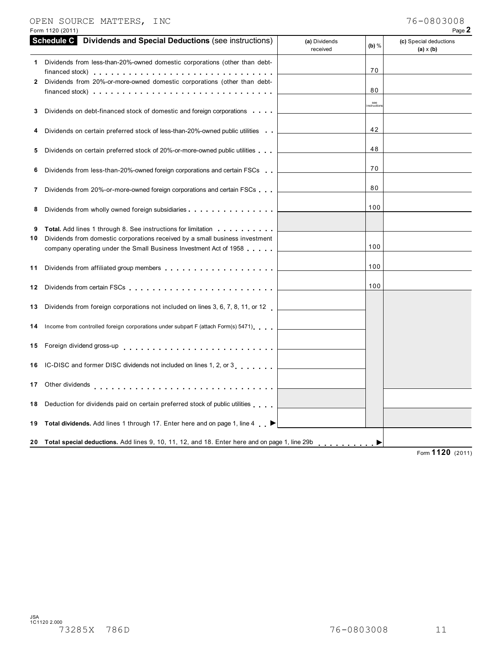### OPEN SOURCE MATTERS, INC 76-0803008

|--|--|

|         | Form 1120 (2011)                                                                                                                                                                                                               |                           |                   | Page 2                                     |
|---------|--------------------------------------------------------------------------------------------------------------------------------------------------------------------------------------------------------------------------------|---------------------------|-------------------|--------------------------------------------|
|         | <b>Schedule C</b> Dividends and Special Deductions (see instructions)                                                                                                                                                          | (a) Dividends<br>received | $(b)$ %           | (c) Special deductions<br>$(a) \times (b)$ |
|         | Dividends from less-than-20%-owned domestic corporations (other than debt-                                                                                                                                                     |                           | 70                |                                            |
| 2       | Dividends from 20%-or-more-owned domestic corporations (other than debt-<br>financed stock) $\cdots$ $\cdots$ $\cdots$ $\cdots$ $\cdots$ $\cdots$ $\cdots$ $\cdots$ $\cdots$ $\cdots$                                          |                           | 80                |                                            |
| 3       | Dividends on debt-financed stock of domestic and foreign corporations                                                                                                                                                          |                           | see<br>nstruction |                                            |
| 4       | Dividends on certain preferred stock of less-than-20%-owned public utilities                                                                                                                                                   |                           | 42                |                                            |
| 5       | Dividends on certain preferred stock of 20%-or-more-owned public utilities                                                                                                                                                     |                           | 48                |                                            |
| 6       | Dividends from less-than-20%-owned foreign corporations and certain FSCs                                                                                                                                                       |                           | 70                |                                            |
| 7       | Dividends from 20%-or-more-owned foreign corporations and certain FSCs                                                                                                                                                         |                           | 80                |                                            |
| 8       | Dividends from wholly owned foreign subsidiaries                                                                                                                                                                               |                           | 100               |                                            |
| 9<br>10 | <b>Total.</b> Add lines 1 through 8. See instructions for limitation<br>Dividends from domestic corporations received by a small business investment<br>company operating under the Small Business Investment Act of 1958      |                           | 100               |                                            |
| 11      |                                                                                                                                                                                                                                |                           | 100               |                                            |
| 12      | Dividends from certain FSCs enterprised in the contract of the contract of the contract of the contract of the contract of the contract of the contract of the contract of the contract of the contract of the contract of the |                           | 100               |                                            |
| 13      | Dividends from foreign corporations not included on lines 3, 6, 7, 8, 11, or 12                                                                                                                                                |                           |                   |                                            |
| 14      | Income from controlled foreign corporations under subpart F (attach Form(s) 5471)                                                                                                                                              |                           |                   |                                            |
| 15      | Foreign dividend gross-up                                                                                                                                                                                                      |                           |                   |                                            |
| 16      | IC-DISC and former DISC dividends not included on lines 1, 2, or 3                                                                                                                                                             |                           |                   |                                            |
| 17      | Other dividends                                                                                                                                                                                                                |                           |                   |                                            |
| 18      | Deduction for dividends paid on certain preferred stock of public utilities                                                                                                                                                    |                           |                   |                                            |
| 19      | Total dividends. Add lines 1 through 17. Enter here and on page 1, line 4 ▶                                                                                                                                                    |                           |                   |                                            |
| 20      | Total special deductions. Add lines 9, 10, 11, 12, and 18. Enter here and on page 1, line 29b                                                                                                                                  |                           |                   | $\overline{1100}$                          |

Form **1120** (2011)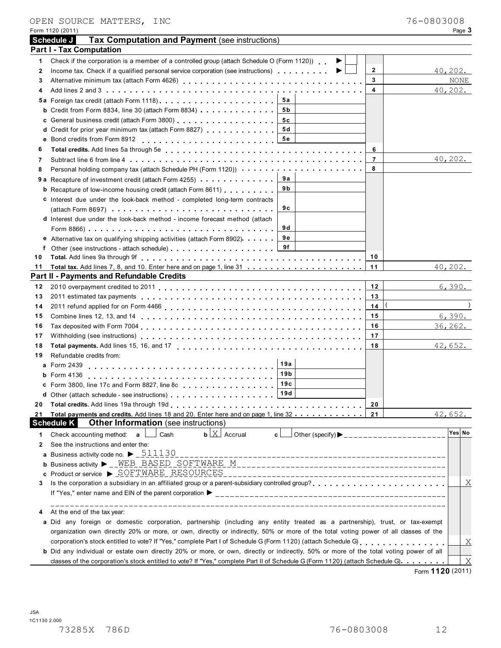|    | Schedule J<br>Tax Computation and Payment (see instructions)                                                                                                            |
|----|-------------------------------------------------------------------------------------------------------------------------------------------------------------------------|
|    | <b>Part I - Tax Computation</b>                                                                                                                                         |
| 1  | Check if the corporation is a member of a controlled group (attach Schedule O (Form 1120)).                                                                             |
| 2  | $\mathbf{2}$<br>Income tax. Check if a qualified personal service corporation (see instructions) $\ldots$ ,,,,,,,<br>40,202.                                            |
| 3  | 3<br>NONE                                                                                                                                                               |
| 4  | 4<br>40,202.                                                                                                                                                            |
|    | 5а                                                                                                                                                                      |
|    | <b>b</b> Credit from Form 8834, line 30 (attach Form 8834) $\cdots$ , , , , , , , , , , ,<br>5 b                                                                        |
|    | 5с                                                                                                                                                                      |
|    | 5 d<br>d Credit for prior year minimum tax (attach Form 8827)                                                                                                           |
|    | 5е                                                                                                                                                                      |
| 6  | 6                                                                                                                                                                       |
| 7  | 40, 202.<br>$\overline{7}$                                                                                                                                              |
| 8  | 8                                                                                                                                                                       |
|    | 9а<br><b>9 a</b> Recapture of investment credit (attach Form 4255) <b>and interest and Recapture of investment</b>                                                      |
|    | 9 b<br><b>b</b> Recapture of low-income housing credit (attach Form 8611) <b>compared to Recapture of low-income housing</b>                                            |
|    | c Interest due under the look-back method - completed long-term contracts                                                                                               |
|    | 9 C                                                                                                                                                                     |
|    | d Interest due under the look-back method - income forecast method (attach                                                                                              |
|    | 9 d                                                                                                                                                                     |
|    | 9е<br>e Alternative tax on qualifying shipping activities (attach Form 8902).                                                                                           |
|    | f Other (see instructions - attach schedule) 9f                                                                                                                         |
| 10 | 10                                                                                                                                                                      |
| 11 | 11<br>40, 202.                                                                                                                                                          |
|    | Part II - Payments and Refundable Credits                                                                                                                               |
| 12 | 6,390.<br>12                                                                                                                                                            |
| 13 | 13                                                                                                                                                                      |
| 14 | 14                                                                                                                                                                      |
| 15 | 6,390.<br>15                                                                                                                                                            |
| 16 | 36, 262.<br>16                                                                                                                                                          |
| 17 | 17                                                                                                                                                                      |
| 18 | 42,652.<br>18                                                                                                                                                           |
| 19 | Refundable credits from:                                                                                                                                                |
|    | 19а<br>a Form 2439<br>19 <sub>b</sub>                                                                                                                                   |
|    | <b>b</b> Form $4136$<br>19c                                                                                                                                             |
|    | c Form 3800, line 17c and Form 8827, line 8c<br>19d                                                                                                                     |
|    |                                                                                                                                                                         |
| 20 | 20                                                                                                                                                                      |
| 21 | Total payments and credits. Add lines 18 and 20. Enter here and on page 1, line 32<br>42,652.<br>21<br><b>Other Information</b> (see instructions)<br><b>Schedule K</b> |
|    | Yes No<br>$\mathbf{b}$ $\lfloor \underline{X} \rfloor$ Accrual                                                                                                          |
| 1. | Check accounting method: a<br>Cash<br>c l                                                                                                                               |
| 2  | See the instructions and enter the:<br>a Business activity code no. $\blacktriangleright$ $\underline{\phantom{0}511130}$                                               |
|    |                                                                                                                                                                         |
|    | c Product or service > SOFTWARE RESOURCES                                                                                                                               |
| 3  | Χ                                                                                                                                                                       |
|    |                                                                                                                                                                         |
|    | ______________<br>At the end of the tax year:                                                                                                                           |
|    | a Did any foreign or domestic corporation, partnership (including any entity treated as a partnership), trust, or tax-exempt                                            |
|    | organization own directly 20% or more, or own, directly or indirectly, 50% or more of the total voting power of all classes of the                                      |
|    | corporation's stock entitled to vote? If "Yes," complete Part I of Schedule G (Form 1120) (attach Schedule G)<br>Χ                                                      |
|    | b Did any individual or estate own directly 20% or more, or own, directly or indirectly, 50% or more of the total voting power of all                                   |
|    | X<br>classes of the corporation's stock entitled to vote? If "Yes," complete Part II of Schedule G (Form 1120) (attach Schedule G).                                     |

Form 1120 (2011) Page **3**

OPEN SOURCE MATTERS, INC 76-0803008

Form **1120** (2011)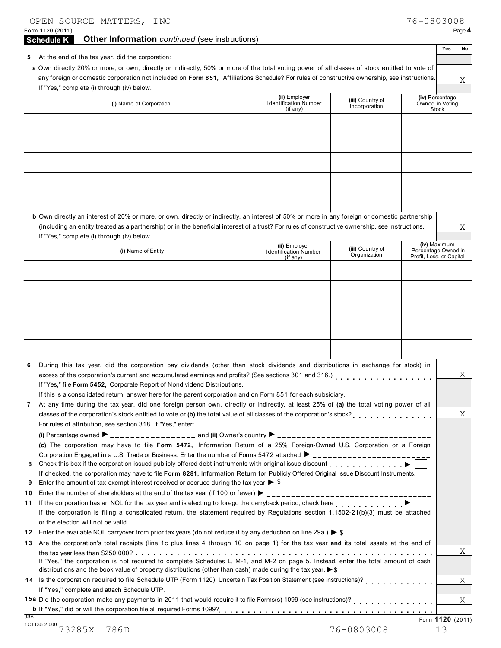| OPEN SOURCE MATTERS, INC<br>Form 1120 (2011)                                                                                                                                                                                                                                                                                               |                                                           |                                   | 76-0803008                                      | Page 4 |
|--------------------------------------------------------------------------------------------------------------------------------------------------------------------------------------------------------------------------------------------------------------------------------------------------------------------------------------------|-----------------------------------------------------------|-----------------------------------|-------------------------------------------------|--------|
| <b>Other Information</b> continued (see instructions)<br><b>Schedule K</b>                                                                                                                                                                                                                                                                 |                                                           |                                   |                                                 |        |
| At the end of the tax year, did the corporation:<br>5                                                                                                                                                                                                                                                                                      |                                                           |                                   | Yes                                             | No     |
| a Own directly 20% or more, or own, directly or indirectly, 50% or more of the total voting power of all classes of stock entitled to vote of<br>any foreign or domestic corporation not included on Form 851, Affiliations Schedule? For rules of constructive ownership, see instructions.<br>If "Yes," complete (i) through (iv) below. |                                                           |                                   |                                                 | Χ      |
| (i) Name of Corporation                                                                                                                                                                                                                                                                                                                    | (ii) Employer<br><b>Identification Number</b><br>(if any) | (iii) Country of<br>Incorporation | (iv) Percentage<br>Owned in Voting<br>Stock     |        |
|                                                                                                                                                                                                                                                                                                                                            |                                                           |                                   |                                                 |        |
|                                                                                                                                                                                                                                                                                                                                            |                                                           |                                   |                                                 |        |
|                                                                                                                                                                                                                                                                                                                                            |                                                           |                                   |                                                 |        |
|                                                                                                                                                                                                                                                                                                                                            |                                                           |                                   |                                                 |        |
|                                                                                                                                                                                                                                                                                                                                            |                                                           |                                   |                                                 |        |
|                                                                                                                                                                                                                                                                                                                                            |                                                           |                                   |                                                 |        |
|                                                                                                                                                                                                                                                                                                                                            |                                                           |                                   |                                                 |        |
| b Own directly an interest of 20% or more, or own, directly or indirectly, an interest of 50% or more in any foreign or domestic partnership                                                                                                                                                                                               |                                                           |                                   |                                                 |        |
| (including an entity treated as a partnership) or in the beneficial interest of a trust? For rules of constructive ownership, see instructions.<br>If "Yes," complete (i) through (iv) below.                                                                                                                                              |                                                           |                                   |                                                 | Χ      |
|                                                                                                                                                                                                                                                                                                                                            | (ii) Employer                                             | (iii) Country of                  | (iv) Maximum                                    |        |
| (i) Name of Entity                                                                                                                                                                                                                                                                                                                         | <b>Identification Number</b><br>(if any)                  | Organization                      | Percentage Owned in<br>Profit, Loss, or Capital |        |
|                                                                                                                                                                                                                                                                                                                                            |                                                           |                                   |                                                 |        |
|                                                                                                                                                                                                                                                                                                                                            |                                                           |                                   |                                                 |        |
|                                                                                                                                                                                                                                                                                                                                            |                                                           |                                   |                                                 |        |
|                                                                                                                                                                                                                                                                                                                                            |                                                           |                                   |                                                 |        |
|                                                                                                                                                                                                                                                                                                                                            |                                                           |                                   |                                                 |        |
|                                                                                                                                                                                                                                                                                                                                            |                                                           |                                   |                                                 |        |
|                                                                                                                                                                                                                                                                                                                                            |                                                           |                                   |                                                 |        |
| During this tax year, did the corporation pay dividends (other than stock dividends and distributions in exchange for stock) in                                                                                                                                                                                                            |                                                           |                                   |                                                 |        |
| excess of the corporation's current and accumulated earnings and profits? (See sections 301 and 316.)                                                                                                                                                                                                                                      |                                                           |                                   |                                                 | Χ      |
| If "Yes," file Form 5452, Corporate Report of Nondividend Distributions.<br>If this is a consolidated return, answer here for the parent corporation and on Form 851 for each subsidiary.                                                                                                                                                  |                                                           |                                   |                                                 |        |
| At any time during the tax year, did one foreign person own, directly or indirectly, at least 25% of (a) the total voting power of all                                                                                                                                                                                                     |                                                           |                                   |                                                 |        |
| classes of the corporation's stock entitled to vote or (b) the total value of all classes of the corporation's stock?                                                                                                                                                                                                                      |                                                           |                                   |                                                 | X      |
| For rules of attribution, see section 318. If "Yes," enter:                                                                                                                                                                                                                                                                                |                                                           |                                   |                                                 |        |
| (c) The corporation may have to file Form 5472, Information Return of a 25% Foreign-Owned U.S. Corporation or a Foreign                                                                                                                                                                                                                    |                                                           |                                   |                                                 |        |
| Corporation Engaged in a U.S. Trade or Business. Enter the number of Forms 5472 attached $\blacktriangleright$ ________________________                                                                                                                                                                                                    |                                                           |                                   |                                                 |        |
| Check this box if the corporation issued publicly offered debt instruments with original issue discount production of the corporation issue discount                                                                                                                                                                                       |                                                           |                                   |                                                 |        |
| If checked, the corporation may have to file Form 8281, Information Return for Publicly Offered Original Issue Discount Instruments.                                                                                                                                                                                                       |                                                           |                                   |                                                 |        |
|                                                                                                                                                                                                                                                                                                                                            |                                                           |                                   |                                                 |        |
| If the corporation has an NOL for the tax year and is electing to forego the carryback period, check here                                                                                                                                                                                                                                  |                                                           |                                   |                                                 |        |
| If the corporation is filing a consolidated return, the statement required by Regulations section 1.1502-21(b)(3) must be attached<br>or the election will not be valid.                                                                                                                                                                   |                                                           |                                   |                                                 |        |
| 12                                                                                                                                                                                                                                                                                                                                         |                                                           |                                   |                                                 |        |
| Are the corporation's total receipts (line 1c plus lines 4 through 10 on page 1) for the tax year and its total assets at the end of<br>13                                                                                                                                                                                                 |                                                           |                                   |                                                 |        |
| If "Yes," the corporation is not required to complete Schedules L, M-1, and M-2 on page 5. Instead, enter the total amount of cash<br>distributions and the book value of property distributions (other than cash) made during the tax year. $\triangleright$ \$                                                                           |                                                           |                                   |                                                 | X      |
| 14 Is the corporation required to file Schedule UTP (Form 1120), Uncertain Tax Position Statement (see instructions)?<br>If "Yes," complete and attach Schedule UTP.                                                                                                                                                                       |                                                           | _________________                 |                                                 | Χ      |
| 15a Did the corporation make any payments in 2011 that would require it to file Forms(s) 1099 (see instructions)?                                                                                                                                                                                                                          |                                                           |                                   |                                                 | X      |
| <b>JSA</b><br>1C1135 2.000                                                                                                                                                                                                                                                                                                                 |                                                           |                                   | Form 1120 (2011)                                |        |
| 73285X<br>786D                                                                                                                                                                                                                                                                                                                             |                                                           | 76-0803008                        | 13                                              |        |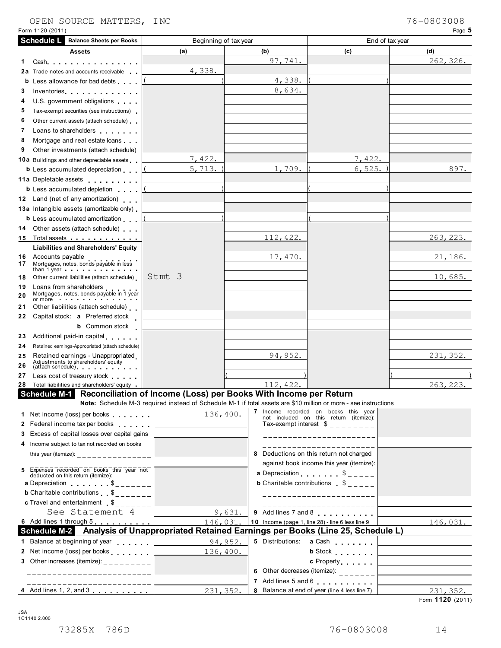#### OPEN SOURCE MATTERS, INC

| Form 1120 (2011)                                                                                                           |                                                                                                                 |           |                                                                                      | Page 5    |
|----------------------------------------------------------------------------------------------------------------------------|-----------------------------------------------------------------------------------------------------------------|-----------|--------------------------------------------------------------------------------------|-----------|
| <b>Schedule L</b><br><b>Balance Sheets per Books</b>                                                                       | Beginning of tax year                                                                                           |           | End of tax year                                                                      |           |
| <b>Assets</b>                                                                                                              | (a)                                                                                                             | (b)       | (c)                                                                                  | (d)       |
| 1.<br>$Cash \ldots \ldots \ldots \ldots \ldots$                                                                            |                                                                                                                 | 97,741.   |                                                                                      | 262, 326. |
| 2a<br>Trade notes and accounts receivable                                                                                  | 4,338.                                                                                                          |           |                                                                                      |           |
| b<br>Less allowance for bad debts                                                                                          |                                                                                                                 | 4,338.    |                                                                                      |           |
| 3<br>Inventories                                                                                                           |                                                                                                                 | 8,634.    |                                                                                      |           |
| 4<br>U.S. government obligations                                                                                           |                                                                                                                 |           |                                                                                      |           |
| 5<br>Tax-exempt securities (see instructions)                                                                              |                                                                                                                 |           |                                                                                      |           |
| 6<br>Other current assets (attach schedule)                                                                                |                                                                                                                 |           |                                                                                      |           |
| 7<br>Loans to shareholders <b>contained</b>                                                                                |                                                                                                                 |           |                                                                                      |           |
| 8<br>Mortgage and real estate loans                                                                                        |                                                                                                                 |           |                                                                                      |           |
| 9<br>Other investments (attach schedule)                                                                                   |                                                                                                                 |           |                                                                                      |           |
| <b>10a</b> Buildings and other depreciable assets                                                                          | 7,422.                                                                                                          |           | 7,422.                                                                               |           |
| <b>b</b> Less accumulated depreciation                                                                                     | 5, 713.                                                                                                         | 1,709.    | 6, 525.                                                                              | 897.      |
| 11a Depletable assets                                                                                                      |                                                                                                                 |           |                                                                                      |           |
| <b>b</b> Less accumulated depletion                                                                                        |                                                                                                                 |           |                                                                                      |           |
| 12 Land (net of any amortization)                                                                                          |                                                                                                                 |           |                                                                                      |           |
| 13a Intangible assets (amortizable only)                                                                                   |                                                                                                                 |           |                                                                                      |           |
| <b>b</b> Less accumulated amortization                                                                                     |                                                                                                                 |           |                                                                                      |           |
| 14 Other assets (attach schedule)                                                                                          |                                                                                                                 |           |                                                                                      |           |
| 15 Total assets                                                                                                            |                                                                                                                 | 112, 422. |                                                                                      | 263, 223. |
| <b>Liabilities and Shareholders' Equity</b><br><b>16</b> Accounts payable<br>Mortgages, notes, bonds payable in less<br>17 |                                                                                                                 | 17, 470.  |                                                                                      | 21,186.   |
| than 1 year $\cdots$ $\cdots$ $\cdots$ $\cdots$<br>Other current liabilities (attach schedule)<br>18                       | Stmt 3                                                                                                          |           |                                                                                      | 10,685.   |
| Loans from shareholders<br>19<br>Mortgages, notes, bonds payable in 1 year<br>20<br>or more $\blacksquare$                 |                                                                                                                 |           |                                                                                      |           |
| Other liabilities (attach schedule)<br>21                                                                                  |                                                                                                                 |           |                                                                                      |           |
| Capital stock: <b>a</b> Preferred stock<br>22                                                                              |                                                                                                                 |           |                                                                                      |           |
| <b>b</b> Common stock                                                                                                      |                                                                                                                 |           |                                                                                      |           |
| Additional paid-in capital<br>23                                                                                           |                                                                                                                 |           |                                                                                      |           |
| 24<br>Retained earnings-Appropriated (attach schedule)                                                                     |                                                                                                                 |           |                                                                                      |           |
| Retained earnings - Unappropriated<br>25<br>Adjustments to shareholders' equity<br>(attach schedule)<br>26                 |                                                                                                                 | 94,952.   |                                                                                      | 231, 352. |
| 27<br>Less cost of treasury stock                                                                                          |                                                                                                                 |           |                                                                                      |           |
| 28 Total liabilities and shareholders' equity .                                                                            |                                                                                                                 | 112, 422. |                                                                                      | 263, 223. |
| Schedule M-1 Reconciliation of Income (Loss) per Books With Income per Return                                              | Note: Schedule M-3 required instead of Schedule M-1 if total assets are \$10 million or more - see instructions |           | 7 Income recorded on books this year                                                 |           |
| 1 Net income (loss) per books<br>2 Federal income tax per books                                                            | 136,400.                                                                                                        |           | not included on this return (itemize):<br>Tax-exempt interest $\delta$ _ _ _ _ _ _ _ |           |
| 3 Excess of capital losses over capital gains                                                                              |                                                                                                                 |           | ______________________                                                               |           |
| 4 Income subject to tax not recorded on books                                                                              |                                                                                                                 |           |                                                                                      |           |
| this year (itemize): _________________                                                                                     |                                                                                                                 |           | 8 Deductions on this return not charged                                              |           |
|                                                                                                                            |                                                                                                                 |           | against book income this year (itemize):                                             |           |
| Expenses recorded on books this year not<br>deducted on this return (itemize):                                             |                                                                                                                 |           | <b>a</b> Depreciation $\begin{matrix} 1 & 1 \\ 2 & -2 \end{matrix}$                  |           |
| a Depreciation $\qquad \qquad \qquad$ $\qquad \qquad$ $\qquad \qquad$                                                      |                                                                                                                 |           | <b>b</b> Charitable contributions $\delta$ _ _ _ _                                   |           |
| <b>b</b> Charitable contributions $\begin{bmatrix} 1 & 0 \\ 0 & -1 & -1 \end{bmatrix}$                                     |                                                                                                                 |           | ______________________                                                               |           |
| <b>c</b> Travel and entertainment $\delta_{\text{max}} = 1$                                                                |                                                                                                                 |           |                                                                                      |           |
| ___ See Statement 4___                                                                                                     | 9,631.                                                                                                          |           | 9 Add lines 7 and 8                                                                  |           |
| 6 Add lines 1 through 5 [10] Add lines 1 through 5                                                                         | 146,031                                                                                                         |           | 10 Income (page 1, line 28) - line 6 less line 9                                     | 146,031.  |
| Schedule M-2 Analysis of Unappropriated Retained Earnings per Books (Line 25, Schedule L)                                  |                                                                                                                 |           |                                                                                      |           |
| 1 Balance at beginning of year                                                                                             | 94,952.                                                                                                         |           | 5 Distributions: a Cash                                                              |           |
| 2 Net income (loss) per books                                                                                              | 136,400.                                                                                                        |           | <b>b</b> Stock                                                                       |           |
| 3 Other increases (itemize): $\frac{1}{2}$ = $\frac{1}{2}$ = $\frac{1}{2}$ = $\frac{1}{2}$ = $\frac{1}{2}$                 |                                                                                                                 |           | c Property                                                                           |           |
| -----------------------                                                                                                    |                                                                                                                 |           | 6 Other decreases (itemize): $\frac{1}{2}$                                           |           |
| ----------------------                                                                                                     |                                                                                                                 |           | 7 Add lines 5 and 6                                                                  |           |
| 4 Add lines 1, 2, and 3                                                                                                    | 231, 352.                                                                                                       |           | 8 Balance at end of year (line 4 less line 7)                                        | 231, 352. |

Form **1120** (2011)

JSA 1C1140 2.000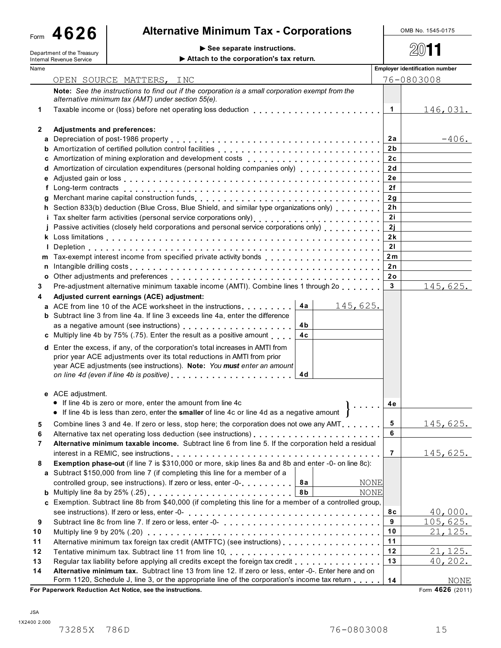Form **4626**

# Alternative Minimum Tax - Corporations **COLOGAL ALTER** No. 1545-0175

| ronn tvev                  |                                             |      |
|----------------------------|---------------------------------------------|------|
| Department of the Treasury | $\triangleright$ See separate instructions. | 2011 |

| Department of the Treasury |                                 | See separate instructions.                                                                                                                                                                                                                                                                                                                                                                                                                                                  |                                       |                  |  |  |
|----------------------------|---------------------------------|-----------------------------------------------------------------------------------------------------------------------------------------------------------------------------------------------------------------------------------------------------------------------------------------------------------------------------------------------------------------------------------------------------------------------------------------------------------------------------|---------------------------------------|------------------|--|--|
|                            | <b>Internal Revenue Service</b> | Attach to the corporation's tax return.                                                                                                                                                                                                                                                                                                                                                                                                                                     |                                       |                  |  |  |
| Name                       |                                 |                                                                                                                                                                                                                                                                                                                                                                                                                                                                             | <b>Employer identification number</b> |                  |  |  |
|                            |                                 | OPEN SOURCE MATTERS, INC                                                                                                                                                                                                                                                                                                                                                                                                                                                    |                                       | 76-0803008       |  |  |
|                            |                                 | Note: See the instructions to find out if the corporation is a small corporation exempt from the<br>alternative minimum tax (AMT) under section 55(e).                                                                                                                                                                                                                                                                                                                      |                                       |                  |  |  |
| 1                          |                                 | Taxable income or (loss) before net operating loss deduction                                                                                                                                                                                                                                                                                                                                                                                                                | $\overline{1}$                        | <u> 146,031.</u> |  |  |
|                            |                                 |                                                                                                                                                                                                                                                                                                                                                                                                                                                                             |                                       |                  |  |  |
| 2                          | Adjustments and preferences:    |                                                                                                                                                                                                                                                                                                                                                                                                                                                                             |                                       |                  |  |  |
|                            |                                 |                                                                                                                                                                                                                                                                                                                                                                                                                                                                             | 2a                                    | $-406.$          |  |  |
|                            |                                 |                                                                                                                                                                                                                                                                                                                                                                                                                                                                             | 2 <sub>b</sub>                        |                  |  |  |
|                            |                                 |                                                                                                                                                                                                                                                                                                                                                                                                                                                                             | 2c                                    |                  |  |  |
|                            |                                 | d Amortization of circulation expenditures (personal holding companies only)                                                                                                                                                                                                                                                                                                                                                                                                | 2d<br>2e                              |                  |  |  |
|                            |                                 |                                                                                                                                                                                                                                                                                                                                                                                                                                                                             | 2f                                    |                  |  |  |
|                            |                                 |                                                                                                                                                                                                                                                                                                                                                                                                                                                                             | 2g                                    |                  |  |  |
|                            |                                 | h Section 833(b) deduction (Blue Cross, Blue Shield, and similar type organizations only)                                                                                                                                                                                                                                                                                                                                                                                   | 2h                                    |                  |  |  |
|                            |                                 |                                                                                                                                                                                                                                                                                                                                                                                                                                                                             | 2i                                    |                  |  |  |
|                            |                                 | j Passive activities (closely held corporations and personal service corporations only)                                                                                                                                                                                                                                                                                                                                                                                     | 2j                                    |                  |  |  |
|                            |                                 |                                                                                                                                                                                                                                                                                                                                                                                                                                                                             | 2k                                    |                  |  |  |
|                            |                                 |                                                                                                                                                                                                                                                                                                                                                                                                                                                                             | 21                                    |                  |  |  |
|                            |                                 | m Tax-exempt interest income from specified private activity bonds entitled values of the set of the set of the set of the set of the set of the set of the set of the set of the set of the set of the set of the set of the                                                                                                                                                                                                                                               | 2m                                    |                  |  |  |
|                            |                                 | n Intangible drilling costs enterpretation of the state of the state of the state of the state of the state of the state of the state of the state of the state of the state of the state of the state of the state of the sta                                                                                                                                                                                                                                              | 2 n                                   |                  |  |  |
| o                          |                                 |                                                                                                                                                                                                                                                                                                                                                                                                                                                                             | 2٥                                    |                  |  |  |
| 3                          |                                 | Pre-adjustment alternative minimum taxable income (AMTI). Combine lines 1 through 2o                                                                                                                                                                                                                                                                                                                                                                                        | $\overline{3}$                        | 145,625.         |  |  |
| 4                          |                                 | Adjusted current earnings (ACE) adjustment:                                                                                                                                                                                                                                                                                                                                                                                                                                 |                                       |                  |  |  |
|                            |                                 | 4a<br>145,625.<br>a ACE from line 10 of the ACE worksheet in the instructions                                                                                                                                                                                                                                                                                                                                                                                               |                                       |                  |  |  |
|                            |                                 | <b>b</b> Subtract line 3 from line 4a. If line 3 exceeds line 4a, enter the difference                                                                                                                                                                                                                                                                                                                                                                                      |                                       |                  |  |  |
|                            |                                 | 4b.                                                                                                                                                                                                                                                                                                                                                                                                                                                                         |                                       |                  |  |  |
|                            |                                 | 4c<br>c Multiply line 4b by 75% (.75). Enter the result as a positive amount                                                                                                                                                                                                                                                                                                                                                                                                |                                       |                  |  |  |
|                            |                                 | d Enter the excess, if any, of the corporation's total increases in AMTI from<br>prior year ACE adjustments over its total reductions in AMTI from prior<br>year ACE adjustments (see instructions). Note: You must enter an amount<br>on line 4d (even if line 4b is positive) entitled and interventional contact the set of the set of the set of the set of the set of the set of the set of the set of the set of the set of the set of the set of the set of th<br>4d |                                       |                  |  |  |
|                            | e ACE adjustment.               | • If line 4b is zero or more, enter the amount from line 4c<br>$\mathbf{1}$<br>If line 4b is less than zero, enter the smaller of line 4c or line 4d as a negative amount                                                                                                                                                                                                                                                                                                   | 4e                                    |                  |  |  |
| 5                          |                                 | Combine lines 3 and 4e. If zero or less, stop here; the corporation does not owe any AMT                                                                                                                                                                                                                                                                                                                                                                                    | 5                                     | <u>145,625.</u>  |  |  |
| 6                          |                                 |                                                                                                                                                                                                                                                                                                                                                                                                                                                                             | 6                                     |                  |  |  |
| 7                          |                                 | Alternative minimum taxable income. Subtract line 6 from line 5. If the corporation held a residual                                                                                                                                                                                                                                                                                                                                                                         |                                       |                  |  |  |
|                            |                                 |                                                                                                                                                                                                                                                                                                                                                                                                                                                                             | $\overline{7}$                        | <u>145,625.</u>  |  |  |
| 8                          |                                 | Exemption phase-out (if line 7 is \$310,000 or more, skip lines 8a and 8b and enter -0- on line 8c):                                                                                                                                                                                                                                                                                                                                                                        |                                       |                  |  |  |
|                            |                                 | a Subtract \$150,000 from line 7 (if completing this line for a member of a                                                                                                                                                                                                                                                                                                                                                                                                 |                                       |                  |  |  |
|                            |                                 | 8а<br>controlled group, see instructions). If zero or less, enter -0-<br><b>NONE</b>                                                                                                                                                                                                                                                                                                                                                                                        |                                       |                  |  |  |
|                            |                                 | 8 b<br>NONE                                                                                                                                                                                                                                                                                                                                                                                                                                                                 |                                       |                  |  |  |
|                            |                                 | c Exemption. Subtract line 8b from \$40,000 (if completing this line for a member of a controlled group,                                                                                                                                                                                                                                                                                                                                                                    |                                       |                  |  |  |
|                            |                                 |                                                                                                                                                                                                                                                                                                                                                                                                                                                                             | 8c<br>9                               | 40,000.          |  |  |
| 9                          |                                 |                                                                                                                                                                                                                                                                                                                                                                                                                                                                             | 10                                    | 105,625.         |  |  |
| 10                         |                                 |                                                                                                                                                                                                                                                                                                                                                                                                                                                                             | 11                                    | <u>21,125.</u>   |  |  |
| 11                         |                                 | Alternative minimum tax foreign tax credit (AMTFTC) (see instructions)                                                                                                                                                                                                                                                                                                                                                                                                      | 12                                    | 21, 125.         |  |  |
| $12$<br>13                 |                                 |                                                                                                                                                                                                                                                                                                                                                                                                                                                                             | 13                                    | 40, 202.         |  |  |
| 14                         |                                 | Alternative minimum tax. Subtract line 13 from line 12. If zero or less, enter -0-. Enter here and on                                                                                                                                                                                                                                                                                                                                                                       |                                       |                  |  |  |
|                            |                                 | Form 1120, Schedule J, line 3, or the appropriate line of the corporation's income tax return                                                                                                                                                                                                                                                                                                                                                                               | 14                                    | NONE             |  |  |
|                            |                                 | For Paperwork Reduction Act Notice, see the instructions.                                                                                                                                                                                                                                                                                                                                                                                                                   |                                       | Form 4626 (2011) |  |  |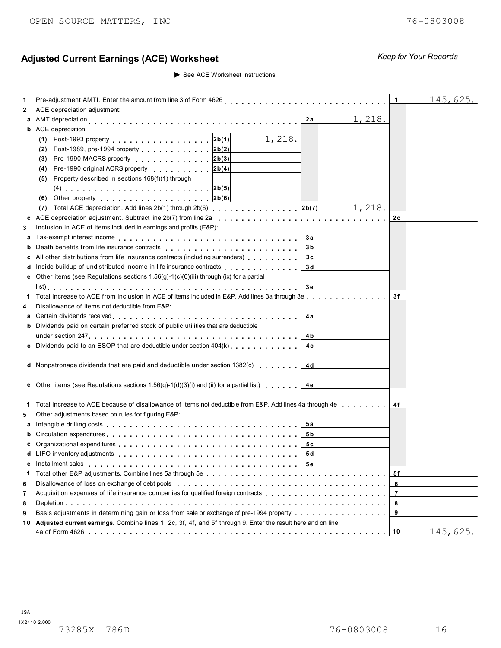# Adjusted Current Earnings (ACE) Worksheet *Keep for Your Records Keep for Your Records*

See ACE Worksheet Instructions.

| 1  |                                                                                                                         | $\mathbf 1$ | 145,625.        |
|----|-------------------------------------------------------------------------------------------------------------------------|-------------|-----------------|
| 2  | ACE depreciation adjustment:                                                                                            |             |                 |
|    | <u>1,218.</u><br>2a                                                                                                     |             |                 |
|    | <b>b</b> ACE depreciation:                                                                                              |             |                 |
|    | 1,218.<br>(1) Post-1993 property 2b(1)                                                                                  |             |                 |
|    | Post-1989, pre-1994 property 2b(2)<br>(2)                                                                               |             |                 |
|    | Pre-1990 MACRS property 2b(3)<br>(3)                                                                                    |             |                 |
|    | Pre-1990 original ACRS property 2b(4)<br>(4)                                                                            |             |                 |
|    | Property described in sections 168(f)(1) through<br>(5)                                                                 |             |                 |
|    |                                                                                                                         |             |                 |
|    | (6) Other property $ 2b(6) $                                                                                            |             |                 |
|    |                                                                                                                         |             |                 |
|    | 1,218.<br>(7)                                                                                                           |             |                 |
|    |                                                                                                                         | 2c          |                 |
| 3  | Inclusion in ACE of items included in earnings and profits (E&P):                                                       |             |                 |
| а  | За                                                                                                                      |             |                 |
|    | 3b                                                                                                                      |             |                 |
| c  | All other distributions from life insurance contracts (including surrenders) [100]<br>3c                                |             |                 |
| d  | Inside buildup of undistributed income in life insurance contracts<br>3d                                                |             |                 |
|    | e Other items (see Regulations sections $1.56(g)-1(c)(6)(iii)$ through (ix) for a partial                               |             |                 |
|    | 3е                                                                                                                      |             |                 |
| f  | Total increase to ACE from inclusion in ACE of items included in E&P. Add lines 3a through 3e                           | 3f          |                 |
| 4  | Disallowance of items not deductible from E&P:                                                                          |             |                 |
| а  | 4a                                                                                                                      |             |                 |
|    | <b>b</b> Dividends paid on certain preferred stock of public utilities that are deductible                              |             |                 |
|    | 4 b                                                                                                                     |             |                 |
|    |                                                                                                                         |             |                 |
|    | 4c                                                                                                                      |             |                 |
|    |                                                                                                                         |             |                 |
|    | <b>d</b> Nonpatronage dividends that are paid and deductible under section $1382(c)$<br>4 d                             |             |                 |
|    |                                                                                                                         |             |                 |
|    | <b>e</b> Other items (see Regulations sections 1.56(g)-1(d)(3)(i) and (ii) for a partial list) $\blacksquare$ <b>4e</b> |             |                 |
|    |                                                                                                                         |             |                 |
|    | f Total increase to ACE because of disallowance of items not deductible from E&P. Add lines 4a through 4e               | 4f          |                 |
| 5  | Other adjustments based on rules for figuring E&P:                                                                      |             |                 |
| а  | 5а                                                                                                                      |             |                 |
|    | 5 b                                                                                                                     |             |                 |
|    | 5с                                                                                                                      |             |                 |
|    | 5 d<br><b>d</b> LIFO inventory adjustments                                                                              |             |                 |
|    |                                                                                                                         |             |                 |
| f. |                                                                                                                         | 5f          |                 |
|    |                                                                                                                         |             |                 |
| 6  |                                                                                                                         | 6           |                 |
| 7  |                                                                                                                         | 7           |                 |
| 8  |                                                                                                                         | 8           |                 |
| 9  | Basis adjustments in determining gain or loss from sale or exchange of pre-1994 property                                | 9           |                 |
| 10 | Adjusted current earnings. Combine lines 1, 2c, 3f, 4f, and 5f through 9. Enter the result here and on line             |             |                 |
|    |                                                                                                                         |             | <u>145,625.</u> |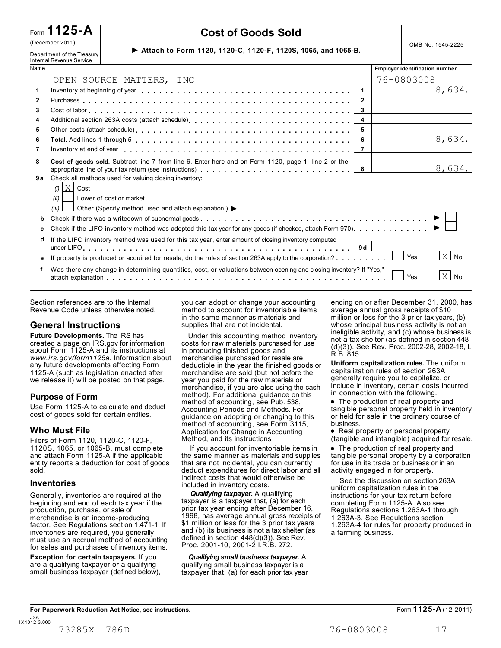| (December 2011)            |                                                                 | OMB No. 1545-2225 |
|----------------------------|-----------------------------------------------------------------|-------------------|
| Department of the Treasury | ► Attach to Form 1120, 1120-C, 1120-F, 1120S, 1065, and 1065-B. |                   |

# Form **1125-A Cost of Goods Sold**

|              | Internal Revenue Service                                                                                                                                                                                                                      |                                       |        |
|--------------|-----------------------------------------------------------------------------------------------------------------------------------------------------------------------------------------------------------------------------------------------|---------------------------------------|--------|
| Name         |                                                                                                                                                                                                                                               | <b>Employer identification number</b> |        |
|              | OPEN SOURCE MATTERS, INC                                                                                                                                                                                                                      | 76-0803008                            |        |
| $\mathbf{1}$ | Inventory at beginning of year enterpretation of the state of the state of the state of the state of the state of the state of the state of the state of the state of the state of the state of the state of the state of the<br>$\mathbf{1}$ |                                       | 8,634. |
| $\mathbf{2}$ | $\overline{2}$                                                                                                                                                                                                                                |                                       |        |
| 3            | $\mathbf{3}$                                                                                                                                                                                                                                  |                                       |        |
| 4            | 4                                                                                                                                                                                                                                             |                                       |        |
| 5            | 5                                                                                                                                                                                                                                             |                                       |        |
| 6            | 6                                                                                                                                                                                                                                             |                                       | 8,634. |
| 7            | $\overline{7}$                                                                                                                                                                                                                                |                                       |        |
| 8            | Cost of goods sold. Subtract line 7 from line 6. Enter here and on Form 1120, page 1, line 2 or the<br>8                                                                                                                                      |                                       | 8,634. |
| 9а           | Check all methods used for valuing closing inventory:<br>$X$ Cost<br>(i)<br>(ii)<br>Lower of cost or market<br>(iii)                                                                                                                          |                                       |        |
| b            |                                                                                                                                                                                                                                               |                                       |        |
| С            | Check if the LIFO inventory method was adopted this tax year for any goods (if checked, attach Form 970).                                                                                                                                     |                                       |        |
| d            | If the LIFO inventory method was used for this tax year, enter amount of closing inventory computed                                                                                                                                           |                                       |        |
| е            | If property is produced or acquired for resale, do the rules of section 263A apply to the corporation?                                                                                                                                        | Yes                                   | $X$ No |
|              | Was there any change in determining quantities, cost, or valuations between opening and closing inventory? If "Yes,"                                                                                                                          | Yes                                   | $X$ No |
|              |                                                                                                                                                                                                                                               |                                       |        |

Section references are to the Internal Revenue Code unless otherwise noted.

#### **General Instructions**

**Future Developments.** The IRS has created a page on IRS.gov for information about Form 1125-A and its instructions at *www.irs.gov/form1125a.* Information about any future developments affecting Form 1125-A (such as legislation enacted after we release it) will be posted on that page.

**Purpose of Form**<br>Use Form 1125-A to calculate and deduct cost of goods sold for certain entities.

1120S, 1065, or 1065-B, must complete and attach Form 1125-A if the applicable entity reports a deduction for cost of goods sold.

#### **Inventories**

Generally, inventories are required at the beginning and end of each tax year if the production, purchase, or sale of merchandise is an income-producing factor. See Regulations section 1.471-1. If inventories are required, you generally must use an accrual method of accounting for sales and purchases of inventory items.

**Exception for certain taxpayers.** If you are a qualifying taxpayer or a qualifying small business taxpayer (defined below),

you can adopt or change your accounting method to account for inventoriable items in the same manner as materials and supplies that are not incidental.

 Under this accounting method inventory costs for raw materials purchased for use in producing finished goods and merchandise purchased for resale are deductible in the year the finished goods or merchandise are sold (but not before the year you paid for the raw materials or merchandise, if you are also using the cash include in inventory, certain cost<br>method). For additional quidance on this in connection with the following. **Purpose of Form in the method**). For additional guidance on this in connection with the following. method of accounting, see Pub. 538, Accounting Periods and Methods. For guidance on adopting or changing to this method of accounting, see Form 3115, Who Must File<br>
Microsoft Application for Change in Accounting<br>
Application for Change in Accounting<br> **Who Must File**<br>
Real property or personal property<br>  $\bullet$  Real property or personal property Method, and its instructions

> If you account for inventoriable items in the same manner as materials and supplies that are not incidental, you can currently deduct expenditures for direct labor and all indirect costs that would otherwise be included in inventory costs.

> *Qualifying taxpayer.* A qualifying taxpayer is a taxpayer that, (a) for each prior tax year ending after December 16, 1998, has average annual gross receipts of \$1 million or less for the 3 prior tax years and (b) its business is not a tax shelter (as defined in section 448(d)(3)). See Rev. Proc. 2001-10, 2001-2 I.R.B. 272.

 *Qualifying small business taxpayer.* A qualifying small business taxpayer is a taxpayer that, (a) for each prior tax year ending on or after December 31, 2000, has average annual gross receipts of \$10 million or less for the 3 prior tax years, (b) whose principal business activity is not an ineligible activity, and (c) whose business is not a tax shelter (as defined in section 448 (d)(3)). See Rev. Proc. 2002-28, 2002-18, I. R.B. 815.

**Uniform capitalization rules.** The uniform capitalization rules of section 263A generally require you to capitalize, or include in inventory, certain costs incurred

• The production of real property and tangible personal property held in inventory or held for sale in the ordinary course of business.

Filers of Form 1120, 1120-C, 1120-F, Method, and its instructions (tangible and intangible) acquired for resale.

(tangible and intangible) acquired for resal<br>● The production of real property and<br>tangible passessed from the properties tangible personal property by a corporation for use in its trade or business or in an activity engaged in for property.

 See the discussion on section 263A uniform capitalization rules in the instructions for your tax return before completing Form 1125-A. Also see Regulations sections 1.263A-1 through 1.263A-3. See Regulations section 1.263A-4 for rules for property produced in a farming business.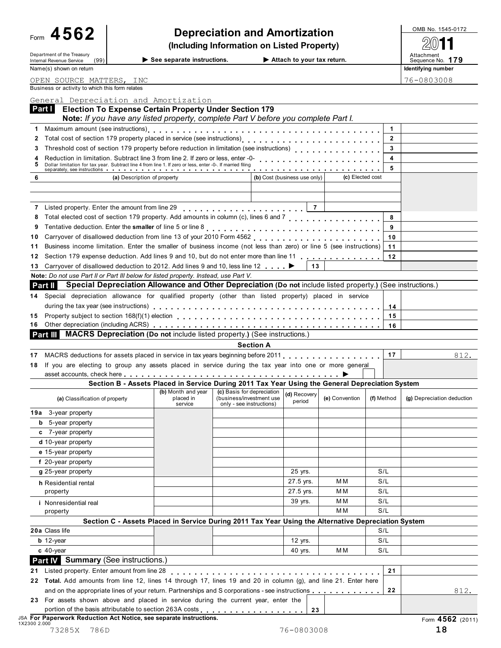| See separate instructions. |  |
|----------------------------|--|
|----------------------------|--|

|    |                                                                |                                                                                                                                                                                      | (Including Information on Listed Property) |                  |                |                                |
|----|----------------------------------------------------------------|--------------------------------------------------------------------------------------------------------------------------------------------------------------------------------------|--------------------------------------------|------------------|----------------|--------------------------------|
|    | Department of the Treasury<br>Internal Revenue Service<br>(99) | $\blacktriangleright$ See separate instructions.                                                                                                                                     | Attach to your tax return.                 |                  |                | Attachment<br>Sequence No. 179 |
|    | Name(s) shown on return                                        |                                                                                                                                                                                      |                                            |                  |                | Identifying number             |
|    | OPEN SOURCE MATTERS, INC                                       |                                                                                                                                                                                      |                                            |                  |                | 76-0803008                     |
|    | Business or activity to which this form relates                |                                                                                                                                                                                      |                                            |                  |                |                                |
|    |                                                                | General Depreciation and Amortization                                                                                                                                                |                                            |                  |                |                                |
|    | Part I                                                         | <b>Election To Expense Certain Property Under Section 179</b>                                                                                                                        |                                            |                  |                |                                |
|    |                                                                | Note: If you have any listed property, complete Part V before you complete Part I.                                                                                                   |                                            |                  |                |                                |
|    |                                                                |                                                                                                                                                                                      |                                            |                  |                |                                |
|    |                                                                |                                                                                                                                                                                      |                                            |                  | $\overline{2}$ |                                |
|    |                                                                | Threshold cost of section 179 property before reduction in limitation (see instructions)<br>Threshold cost of section 179 property before reduction in limitation (see instructions) |                                            |                  |                |                                |
|    |                                                                | Reduction in limitation. Subtract line 3 from line 2. If zero or less, enter -0-                                                                                                     |                                            |                  |                |                                |
|    |                                                                | Dollar limitation for tax year. Subtract line 4 from line 1. If zero or less, enter -0-. If married filing                                                                           |                                            |                  |                |                                |
| 6  |                                                                | (a) Description of property                                                                                                                                                          | (b) Cost (business use only)               | (c) Elected cost |                |                                |
|    |                                                                |                                                                                                                                                                                      |                                            |                  |                |                                |
|    |                                                                |                                                                                                                                                                                      |                                            |                  |                |                                |
|    |                                                                | 7 Listed property. Enter the amount from line 29                                                                                                                                     | $\overline{7}$                             |                  |                |                                |
|    |                                                                | Total elected cost of section 179 property. Add amounts in column (c), lines 6 and 7                                                                                                 |                                            |                  |                |                                |
|    |                                                                |                                                                                                                                                                                      |                                            |                  |                |                                |
| 10 |                                                                |                                                                                                                                                                                      |                                            |                  | 10             |                                |
| 11 |                                                                | Business income limitation. Enter the smaller of business income (not less than zero) or line 5 (see instructions)                                                                   |                                            |                  | 11             |                                |
|    |                                                                | 12 Section 179 expense deduction. Add lines 9 and 10, but do not enter more than line 11                                                                                             |                                            |                  | 12             |                                |

| 12 Section 179 expense deduction. Add lines 9 and 10, but do not enter more than line 11 |              |  |
|------------------------------------------------------------------------------------------|--------------|--|
| 13 Carryover of disallowed deduction to 2012. Add lines 9 and 10, less line 12 ▶         | $\boxed{13}$ |  |

| Note: Do not use Part II or Part III below for listed property. Instead, use Part V. |  |
|--------------------------------------------------------------------------------------|--|
|--------------------------------------------------------------------------------------|--|

|  | <b>Part II</b> Special Depreciation Allowance and Other Depreciation (Do not include listed property.) (See instructions.)                                                                                                     |  |  |  |  |  |  |  |
|--|--------------------------------------------------------------------------------------------------------------------------------------------------------------------------------------------------------------------------------|--|--|--|--|--|--|--|
|  | 14 Special depreciation allowance for qualified property (other than listed property) placed in service                                                                                                                        |  |  |  |  |  |  |  |
|  | during the tax year (see instructions) enterpretation of the state of the state of the state of the state of the state of the state of the state of the state of the state of the state of the state of the state of the state |  |  |  |  |  |  |  |
|  | 15 Property subject to section 168(f)(1) election enteries and such a section of the contract of the contract of the contract of the contract of the contract of the contract of the contract of the contract of the contract  |  |  |  |  |  |  |  |
|  |                                                                                                                                                                                                                                |  |  |  |  |  |  |  |

|  |  | <b>Part III</b> MACRS Depreciation (Do not include listed property.) (See instructions.) |
|--|--|------------------------------------------------------------------------------------------|

#### **Section A**

| <b>Section A</b>                                                                                                                                                               |  |
|--------------------------------------------------------------------------------------------------------------------------------------------------------------------------------|--|
| 17 MACRS deductions for assets placed in service in tax years beginning before 2011 [11] MACRS deductions for assets placed in service in tax years beginning before 2011 [17] |  |
| 18 If you are electing to group any assets placed in service during the tax year into one or more general                                                                      |  |
|                                                                                                                                                                                |  |

#### **Section B - Assets Placed in Service During 2011 Tax Year Using the General Depreciation System**

|                                                                                                                    | Section B - Assets Placed in Service During 2011 Tax Tear Osing the General Depreciation System     |                                                                                    |                        |                |            |                            |
|--------------------------------------------------------------------------------------------------------------------|-----------------------------------------------------------------------------------------------------|------------------------------------------------------------------------------------|------------------------|----------------|------------|----------------------------|
| (a) Classification of property                                                                                     | (b) Month and year<br>placed in<br>service                                                          | (c) Basis for depreciation<br>(business/investment use<br>only - see instructions) | (d) Recovery<br>period | (e) Convention | (f) Method | (g) Depreciation deduction |
| 19a 3-year property                                                                                                |                                                                                                     |                                                                                    |                        |                |            |                            |
| 5-year property<br>b                                                                                               |                                                                                                     |                                                                                    |                        |                |            |                            |
| c 7-year property                                                                                                  |                                                                                                     |                                                                                    |                        |                |            |                            |
| d 10-year property                                                                                                 |                                                                                                     |                                                                                    |                        |                |            |                            |
| e 15-year property                                                                                                 |                                                                                                     |                                                                                    |                        |                |            |                            |
| f 20-year property                                                                                                 |                                                                                                     |                                                                                    |                        |                |            |                            |
| g 25-year property                                                                                                 |                                                                                                     |                                                                                    | 25 yrs.                |                | S/L        |                            |
| h Residential rental                                                                                               |                                                                                                     |                                                                                    | 27.5 yrs.              | M <sub>M</sub> | S/L        |                            |
| property                                                                                                           |                                                                                                     |                                                                                    | 27.5 yrs.              | M <sub>M</sub> | S/L        |                            |
| <i>i</i> Nonresidential real                                                                                       |                                                                                                     |                                                                                    | 39 yrs.                | M M            | S/L        |                            |
| property                                                                                                           |                                                                                                     |                                                                                    |                        | M <sub>M</sub> | S/L        |                            |
|                                                                                                                    | Section C - Assets Placed in Service During 2011 Tax Year Using the Alternative Depreciation System |                                                                                    |                        |                |            |                            |
| 20a Class life                                                                                                     |                                                                                                     |                                                                                    |                        |                | S/L        |                            |
| $b$ 12-year                                                                                                        |                                                                                                     |                                                                                    | 12 yrs.                |                | S/L        |                            |
| $c$ 40-year                                                                                                        |                                                                                                     |                                                                                    | 40 yrs.                | M M            | S/L        |                            |
| <b>Part IV</b> Summary (See instructions.)                                                                         |                                                                                                     |                                                                                    |                        |                |            |                            |
| Listed property. Enter amount from line 28<br>21                                                                   | . <b>.</b>                                                                                          |                                                                                    |                        |                | 21         |                            |
| Total. Add amounts from line 12, lines 14 through 17, lines 19 and 20 in column (g), and line 21. Enter here<br>22 |                                                                                                     |                                                                                    |                        |                |            |                            |
| and on the appropriate lines of your return. Partnerships and S corporations - see instructions                    |                                                                                                     |                                                                                    |                        |                | 22         | 812.                       |
| For assets shown above and placed in service during the current year, enter the<br>23                              |                                                                                                     |                                                                                    |                        |                |            |                            |

| portion of the basis attributable to section 263A costs $\ldots$ , , , , , , , , , , , , , , , , $\mid$ $\sim$ | $\sim$<br>-43 |                    |
|----------------------------------------------------------------------------------------------------------------|---------------|--------------------|
| <b>JSA For Paperwork Reduction Act Notice, see separate instructions.</b><br>1X2300 2.000                      |               | Form $4562$ (2011) |
| 73285X<br>786L                                                                                                 | 76-0803008    |                    |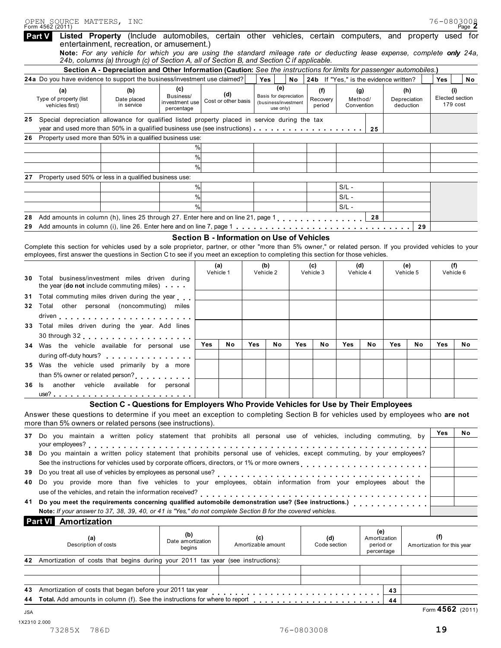|        | OPEN SOURCE MATTERS, INC<br>Form 4562 (2011)     |                                                                                                                                                                                                                                                                                                |                                           |      |                                            |     |                                                             |     |                                        |         |                              |                                                |                                  |                                   | 76-0803008<br>Page $\mathbb Z$     |
|--------|--------------------------------------------------|------------------------------------------------------------------------------------------------------------------------------------------------------------------------------------------------------------------------------------------------------------------------------------------------|-------------------------------------------|------|--------------------------------------------|-----|-------------------------------------------------------------|-----|----------------------------------------|---------|------------------------------|------------------------------------------------|----------------------------------|-----------------------------------|------------------------------------|
| Part V |                                                  | Listed Property (Include automobiles, certain other vehicles, certain computers, and property used for<br>entertainment, recreation, or amusement.)                                                                                                                                            |                                           |      |                                            |     |                                                             |     |                                        |         |                              |                                                |                                  |                                   |                                    |
|        |                                                  | Note: For any vehicle for which you are using the standard mileage rate or deducting lease expense, complete only 24a,<br>24b, columns (a) through (c) of Section A, all of Section B, and Section C if applicable.                                                                            |                                           |      |                                            |     |                                                             |     |                                        |         |                              |                                                |                                  |                                   |                                    |
|        |                                                  | Section A - Depreciation and Other Information (Caution: See the instructions for limits for passenger automobiles.)<br>24a Do you have evidence to support the business/investment use claimed?                                                                                               |                                           |      |                                            |     | Yes                                                         | No  | 24b If "Yes," is the evidence written? |         |                              |                                                |                                  | Yes                               | No                                 |
|        |                                                  |                                                                                                                                                                                                                                                                                                | (c)                                       |      |                                            |     | (e)                                                         |     |                                        |         |                              |                                                |                                  |                                   |                                    |
|        | (a)<br>Type of property (list<br>vehicles first) | (b)<br>Date placed<br>in service                                                                                                                                                                                                                                                               | Business/<br>investment use<br>percentage |      | (d)<br>Cost or other basis                 |     | Basis for depreciation<br>(business/investment<br>use only) |     | (f)<br>Recovery<br>period              |         | (g)<br>Method/<br>Convention |                                                | (h)<br>Depreciation<br>deduction |                                   | (i)<br>Elected section<br>179 cost |
|        |                                                  | 25 Special depreciation allowance for qualified listed property placed in service during the tax                                                                                                                                                                                               |                                           |      |                                            |     |                                                             |     |                                        |         | 25                           |                                                |                                  |                                   |                                    |
|        |                                                  | 26 Property used more than 50% in a qualified business use:                                                                                                                                                                                                                                    |                                           |      |                                            |     |                                                             |     |                                        |         |                              |                                                |                                  |                                   |                                    |
|        |                                                  |                                                                                                                                                                                                                                                                                                |                                           | %    |                                            |     |                                                             |     |                                        |         |                              |                                                |                                  |                                   |                                    |
|        |                                                  |                                                                                                                                                                                                                                                                                                |                                           | %    |                                            |     |                                                             |     |                                        |         |                              |                                                |                                  |                                   |                                    |
|        |                                                  |                                                                                                                                                                                                                                                                                                |                                           | %    |                                            |     |                                                             |     |                                        |         |                              |                                                |                                  |                                   |                                    |
|        |                                                  | Property used 50% or less in a qualified business use:                                                                                                                                                                                                                                         |                                           |      |                                            |     |                                                             |     |                                        |         |                              |                                                |                                  |                                   |                                    |
|        |                                                  |                                                                                                                                                                                                                                                                                                |                                           | %    |                                            |     |                                                             |     |                                        | $S/L -$ |                              |                                                |                                  |                                   |                                    |
|        |                                                  |                                                                                                                                                                                                                                                                                                |                                           | %    |                                            |     |                                                             |     |                                        | $S/L -$ |                              |                                                |                                  |                                   |                                    |
|        |                                                  |                                                                                                                                                                                                                                                                                                |                                           | $\%$ |                                            |     |                                                             |     |                                        | $S/L -$ |                              |                                                |                                  |                                   |                                    |
|        |                                                  | Add amounts in column (h), lines 25 through 27. Enter here and on line 21, page 1 [1] [1] Add amounts in column (h), lines 25 through 27. Enter here and on line 21, page 1                                                                                                                    |                                           |      |                                            |     |                                                             |     |                                        |         | 28                           |                                                |                                  |                                   |                                    |
| 29     |                                                  |                                                                                                                                                                                                                                                                                                |                                           |      |                                            |     |                                                             |     |                                        |         |                              |                                                | 29                               |                                   |                                    |
|        |                                                  |                                                                                                                                                                                                                                                                                                |                                           |      | Section B - Information on Use of Vehicles |     |                                                             |     |                                        |         |                              |                                                |                                  |                                   |                                    |
|        |                                                  | Complete this section for vehicles used by a sole proprietor, partner, or other "more than 5% owner," or related person. If you provided vehicles to your<br>employees, first answer the questions in Section C to see if you meet an exception to completing this section for those vehicles. |                                           |      |                                            |     |                                                             |     |                                        |         |                              |                                                |                                  |                                   |                                    |
|        |                                                  |                                                                                                                                                                                                                                                                                                |                                           |      | (a)                                        |     | (b)                                                         |     | (c)                                    |         | (d)                          |                                                | (e)                              |                                   | (f)                                |
|        |                                                  | Total business/investment miles driven during<br>the year (do not include commuting miles)                                                                                                                                                                                                     |                                           |      | Vehicle 1                                  |     | Vehicle 2                                                   |     | Vehicle 3                              |         | Vehicle 4                    |                                                | Vehicle 5                        |                                   | Vehicle 6                          |
|        |                                                  | Total commuting miles driven during the year                                                                                                                                                                                                                                                   |                                           |      |                                            |     |                                                             |     |                                        |         |                              |                                                |                                  |                                   |                                    |
|        |                                                  | 32 Total other personal (noncommuting) miles                                                                                                                                                                                                                                                   |                                           |      |                                            |     |                                                             |     |                                        |         |                              |                                                |                                  |                                   |                                    |
|        |                                                  | 33 Total miles driven during the year. Add lines                                                                                                                                                                                                                                               |                                           |      |                                            |     |                                                             |     |                                        |         |                              |                                                |                                  |                                   |                                    |
|        |                                                  | 34 Was the vehicle available for personal use                                                                                                                                                                                                                                                  |                                           | Yes  | No                                         | Yes | Νo                                                          | Yes | No                                     | Yes     | No                           | Yes                                            | No                               | Yes                               | No                                 |
|        |                                                  |                                                                                                                                                                                                                                                                                                |                                           |      |                                            |     |                                                             |     |                                        |         |                              |                                                |                                  |                                   |                                    |
|        |                                                  | 35 Was the vehicle used primarily by a more                                                                                                                                                                                                                                                    |                                           |      |                                            |     |                                                             |     |                                        |         |                              |                                                |                                  |                                   |                                    |
|        |                                                  |                                                                                                                                                                                                                                                                                                |                                           |      |                                            |     |                                                             |     |                                        |         |                              |                                                |                                  |                                   |                                    |
|        |                                                  | 36 Is another vehicle available for personal                                                                                                                                                                                                                                                   |                                           |      |                                            |     |                                                             |     |                                        |         |                              |                                                |                                  |                                   |                                    |
|        |                                                  |                                                                                                                                                                                                                                                                                                |                                           |      |                                            |     |                                                             |     |                                        |         |                              |                                                |                                  |                                   |                                    |
|        |                                                  | Section C - Questions for Employers Who Provide Vehicles for Use by Their Employees                                                                                                                                                                                                            |                                           |      |                                            |     |                                                             |     |                                        |         |                              |                                                |                                  |                                   |                                    |
|        |                                                  | Answer these questions to determine if you meet an exception to completing Section B for vehicles used by employees who are not<br>more than 5% owners or related persons (see instructions).                                                                                                  |                                           |      |                                            |     |                                                             |     |                                        |         |                              |                                                |                                  |                                   |                                    |
|        |                                                  | 37 Do you maintain a written policy statement that prohibits all personal use of vehicles, including commuting, by                                                                                                                                                                             |                                           |      |                                            |     |                                                             |     |                                        |         |                              |                                                |                                  | Yes                               | No                                 |
|        |                                                  | your employees?<br>38 Do you maintain a written policy statement that prohibits personal use of vehicles, except commuting, by your employees?                                                                                                                                                 |                                           |      |                                            |     |                                                             |     |                                        |         |                              |                                                |                                  |                                   |                                    |
|        |                                                  | See the instructions for vehicles used by corporate officers, directors, or 1% or more owners                                                                                                                                                                                                  |                                           |      |                                            |     |                                                             |     |                                        |         |                              |                                                |                                  |                                   |                                    |
|        |                                                  |                                                                                                                                                                                                                                                                                                |                                           |      |                                            |     |                                                             |     |                                        |         |                              |                                                |                                  |                                   |                                    |
| 40.    |                                                  | Do you provide more than five vehicles to your employees, obtain information from your employees about the                                                                                                                                                                                     |                                           |      |                                            |     |                                                             |     |                                        |         |                              |                                                |                                  |                                   |                                    |
| 41     |                                                  | Note: If your answer to 37, 38, 39, 40, or 41 is "Yes," do not complete Section B for the covered vehicles.                                                                                                                                                                                    |                                           |      |                                            |     |                                                             |     |                                        |         |                              |                                                |                                  |                                   |                                    |
|        | Amortization<br><b>Part VI</b>                   |                                                                                                                                                                                                                                                                                                |                                           |      |                                            |     |                                                             |     |                                        |         |                              |                                                |                                  |                                   |                                    |
|        | (a)<br>Description of costs                      |                                                                                                                                                                                                                                                                                                | (b)<br>Date amortization<br>begins        |      |                                            | (c) | Amortizable amount                                          |     | (d)<br>Code section                    |         |                              | (e)<br>Amortization<br>period or<br>percentage |                                  | (f)<br>Amortization for this year |                                    |
|        |                                                  | 42 Amortization of costs that begins during your 2011 tax year (see instructions):                                                                                                                                                                                                             |                                           |      |                                            |     |                                                             |     |                                        |         |                              |                                                |                                  |                                   |                                    |
|        |                                                  |                                                                                                                                                                                                                                                                                                |                                           |      |                                            |     |                                                             |     |                                        |         |                              |                                                |                                  |                                   |                                    |
|        |                                                  |                                                                                                                                                                                                                                                                                                |                                           |      |                                            |     |                                                             |     |                                        |         |                              |                                                |                                  |                                   |                                    |
|        |                                                  |                                                                                                                                                                                                                                                                                                |                                           |      |                                            |     |                                                             |     |                                        |         |                              |                                                |                                  |                                   |                                    |
|        |                                                  | Total. Add amounts in column (f). See the instructions for where to report                                                                                                                                                                                                                     |                                           |      |                                            |     |                                                             |     |                                        |         |                              | 43<br>44                                       |                                  |                                   |                                    |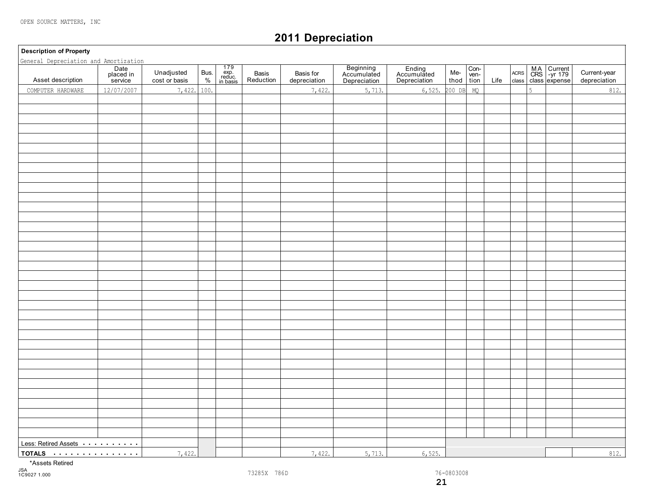# **2011 Depreciation**

**Description of Property**

| General Depreciation and Amortization                         |                              |                             |              |                                                                                        |                    |                           |                                          |                                       |             |                    |      |                     |   |                                            |                              |
|---------------------------------------------------------------|------------------------------|-----------------------------|--------------|----------------------------------------------------------------------------------------|--------------------|---------------------------|------------------------------------------|---------------------------------------|-------------|--------------------|------|---------------------|---|--------------------------------------------|------------------------------|
| Asset description                                             | Date<br>placed in<br>service | Unadjusted<br>cost or basis | Bus.<br>$\%$ | $\begin{array}{c} 179 \\ \text{exp.} \\ \text{reduce.} \\ \text{in basis} \end{array}$ | Basis<br>Reduction | Basis for<br>depreciation | Beginning<br>Accumulated<br>Depreciation | Ending<br>Accumulated<br>Depreciation | Me-<br>thod | $Con-ven-$<br>tion | Life | $\sf ACRS$<br>class |   | MA Current<br>CRS -yr 179<br>class expense | Current-year<br>depreciation |
| COMPUTER HARDWARE                                             | 12/07/2007                   | 7,422.                      | 100.         |                                                                                        |                    | 7,422.                    | 5,713.                                   | 6,525.                                | 200 DB      | MQ                 |      |                     | 5 |                                            | 812.                         |
|                                                               |                              |                             |              |                                                                                        |                    |                           |                                          |                                       |             |                    |      |                     |   |                                            |                              |
|                                                               |                              |                             |              |                                                                                        |                    |                           |                                          |                                       |             |                    |      |                     |   |                                            |                              |
|                                                               |                              |                             |              |                                                                                        |                    |                           |                                          |                                       |             |                    |      |                     |   |                                            |                              |
|                                                               |                              |                             |              |                                                                                        |                    |                           |                                          |                                       |             |                    |      |                     |   |                                            |                              |
|                                                               |                              |                             |              |                                                                                        |                    |                           |                                          |                                       |             |                    |      |                     |   |                                            |                              |
|                                                               |                              |                             |              |                                                                                        |                    |                           |                                          |                                       |             |                    |      |                     |   |                                            |                              |
|                                                               |                              |                             |              |                                                                                        |                    |                           |                                          |                                       |             |                    |      |                     |   |                                            |                              |
|                                                               |                              |                             |              |                                                                                        |                    |                           |                                          |                                       |             |                    |      |                     |   |                                            |                              |
|                                                               |                              |                             |              |                                                                                        |                    |                           |                                          |                                       |             |                    |      |                     |   |                                            |                              |
|                                                               |                              |                             |              |                                                                                        |                    |                           |                                          |                                       |             |                    |      |                     |   |                                            |                              |
|                                                               |                              |                             |              |                                                                                        |                    |                           |                                          |                                       |             |                    |      |                     |   |                                            |                              |
|                                                               |                              |                             |              |                                                                                        |                    |                           |                                          |                                       |             |                    |      |                     |   |                                            |                              |
|                                                               |                              |                             |              |                                                                                        |                    |                           |                                          |                                       |             |                    |      |                     |   |                                            |                              |
|                                                               |                              |                             |              |                                                                                        |                    |                           |                                          |                                       |             |                    |      |                     |   |                                            |                              |
|                                                               |                              |                             |              |                                                                                        |                    |                           |                                          |                                       |             |                    |      |                     |   |                                            |                              |
|                                                               |                              |                             |              |                                                                                        |                    |                           |                                          |                                       |             |                    |      |                     |   |                                            |                              |
|                                                               |                              |                             |              |                                                                                        |                    |                           |                                          |                                       |             |                    |      |                     |   |                                            |                              |
|                                                               |                              |                             |              |                                                                                        |                    |                           |                                          |                                       |             |                    |      |                     |   |                                            |                              |
|                                                               |                              |                             |              |                                                                                        |                    |                           |                                          |                                       |             |                    |      |                     |   |                                            |                              |
|                                                               |                              |                             |              |                                                                                        |                    |                           |                                          |                                       |             |                    |      |                     |   |                                            |                              |
|                                                               |                              |                             |              |                                                                                        |                    |                           |                                          |                                       |             |                    |      |                     |   |                                            |                              |
|                                                               |                              |                             |              |                                                                                        |                    |                           |                                          |                                       |             |                    |      |                     |   |                                            |                              |
|                                                               |                              |                             |              |                                                                                        |                    |                           |                                          |                                       |             |                    |      |                     |   |                                            |                              |
|                                                               |                              |                             |              |                                                                                        |                    |                           |                                          |                                       |             |                    |      |                     |   |                                            |                              |
|                                                               |                              |                             |              |                                                                                        |                    |                           |                                          |                                       |             |                    |      |                     |   |                                            |                              |
|                                                               |                              |                             |              |                                                                                        |                    |                           |                                          |                                       |             |                    |      |                     |   |                                            |                              |
|                                                               |                              |                             |              |                                                                                        |                    |                           |                                          |                                       |             |                    |      |                     |   |                                            |                              |
|                                                               |                              |                             |              |                                                                                        |                    |                           |                                          |                                       |             |                    |      |                     |   |                                            |                              |
|                                                               |                              |                             |              |                                                                                        |                    |                           |                                          |                                       |             |                    |      |                     |   |                                            |                              |
|                                                               |                              |                             |              |                                                                                        |                    |                           |                                          |                                       |             |                    |      |                     |   |                                            |                              |
|                                                               |                              |                             |              |                                                                                        |                    |                           |                                          |                                       |             |                    |      |                     |   |                                            |                              |
|                                                               |                              |                             |              |                                                                                        |                    |                           |                                          |                                       |             |                    |      |                     |   |                                            |                              |
|                                                               |                              |                             |              |                                                                                        |                    |                           |                                          |                                       |             |                    |      |                     |   |                                            |                              |
|                                                               |                              |                             |              |                                                                                        |                    |                           |                                          |                                       |             |                    |      |                     |   |                                            |                              |
|                                                               |                              |                             |              |                                                                                        |                    |                           |                                          |                                       |             |                    |      |                     |   |                                            |                              |
|                                                               |                              |                             |              |                                                                                        |                    |                           |                                          |                                       |             |                    |      |                     |   |                                            |                              |
| Less: Retired Assets <b>Acceleration</b> Less: Retired Assets |                              |                             |              |                                                                                        |                    |                           |                                          |                                       |             |                    |      |                     |   |                                            |                              |
| TOTALS                                                        |                              | 7,422.                      |              |                                                                                        |                    | 7,422.                    | 5,713.                                   | 6,525.                                |             |                    |      |                     |   |                                            | 812.                         |

\*Assets Retired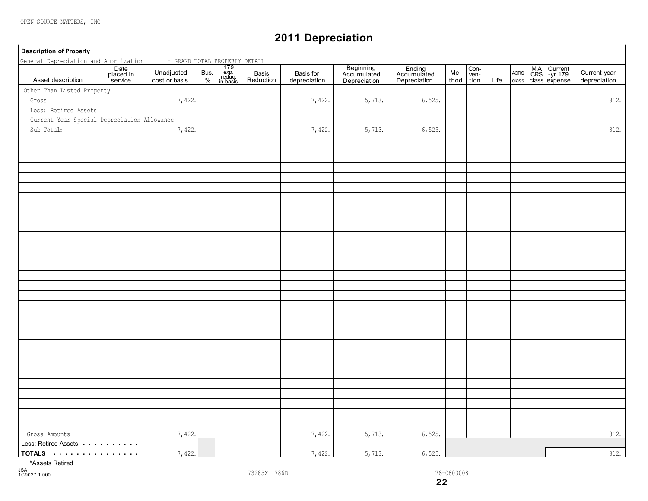$\mathsf{r}$ 

# **2011 Depreciation**

| <b>Description of Property</b>                                |                              |                                                                                                                         |  |                    |                           |                                          |                                              |             |                      |      |  |                                        |                              |
|---------------------------------------------------------------|------------------------------|-------------------------------------------------------------------------------------------------------------------------|--|--------------------|---------------------------|------------------------------------------|----------------------------------------------|-------------|----------------------|------|--|----------------------------------------|------------------------------|
| General Depreciation and Amortization<br>Asset description    | Date<br>placed in<br>service | - GRAND TOTAL PROPERTY DETAIL<br>adjusted Bus. exp. Basis<br>tor basis % in basis Reduct<br>Unadjusted<br>cost or basis |  | Basis<br>Reduction | Basis for<br>depreciation | Beginning<br>Accumulated<br>Depreciation | Ending<br>Accumulated<br><b>Depreciation</b> | Me-<br>thod | Con-<br>ven-<br>tion | Life |  | ACRS MA Current<br>class class expense | Current-year<br>depreciation |
| Other Than Listed Property                                    |                              |                                                                                                                         |  |                    |                           |                                          |                                              |             |                      |      |  |                                        |                              |
|                                                               |                              | 7,422.                                                                                                                  |  |                    | 7,422.                    |                                          | 6,525.                                       |             |                      |      |  |                                        | 812.                         |
| Gross                                                         |                              |                                                                                                                         |  |                    |                           | 5,713.                                   |                                              |             |                      |      |  |                                        |                              |
| Less: Retired Assets                                          |                              |                                                                                                                         |  |                    |                           |                                          |                                              |             |                      |      |  |                                        |                              |
| Current Year Special Depreciation Allowance                   |                              |                                                                                                                         |  |                    |                           |                                          |                                              |             |                      |      |  |                                        |                              |
| Sub Total:                                                    |                              | 7,422.                                                                                                                  |  |                    | 7,422.                    | 5,713.                                   | 6,525.                                       |             |                      |      |  |                                        | 812.                         |
|                                                               |                              |                                                                                                                         |  |                    |                           |                                          |                                              |             |                      |      |  |                                        |                              |
|                                                               |                              |                                                                                                                         |  |                    |                           |                                          |                                              |             |                      |      |  |                                        |                              |
|                                                               |                              |                                                                                                                         |  |                    |                           |                                          |                                              |             |                      |      |  |                                        |                              |
|                                                               |                              |                                                                                                                         |  |                    |                           |                                          |                                              |             |                      |      |  |                                        |                              |
|                                                               |                              |                                                                                                                         |  |                    |                           |                                          |                                              |             |                      |      |  |                                        |                              |
|                                                               |                              |                                                                                                                         |  |                    |                           |                                          |                                              |             |                      |      |  |                                        |                              |
|                                                               |                              |                                                                                                                         |  |                    |                           |                                          |                                              |             |                      |      |  |                                        |                              |
|                                                               |                              |                                                                                                                         |  |                    |                           |                                          |                                              |             |                      |      |  |                                        |                              |
|                                                               |                              |                                                                                                                         |  |                    |                           |                                          |                                              |             |                      |      |  |                                        |                              |
|                                                               |                              |                                                                                                                         |  |                    |                           |                                          |                                              |             |                      |      |  |                                        |                              |
|                                                               |                              |                                                                                                                         |  |                    |                           |                                          |                                              |             |                      |      |  |                                        |                              |
|                                                               |                              |                                                                                                                         |  |                    |                           |                                          |                                              |             |                      |      |  |                                        |                              |
|                                                               |                              |                                                                                                                         |  |                    |                           |                                          |                                              |             |                      |      |  |                                        |                              |
|                                                               |                              |                                                                                                                         |  |                    |                           |                                          |                                              |             |                      |      |  |                                        |                              |
|                                                               |                              |                                                                                                                         |  |                    |                           |                                          |                                              |             |                      |      |  |                                        |                              |
|                                                               |                              |                                                                                                                         |  |                    |                           |                                          |                                              |             |                      |      |  |                                        |                              |
|                                                               |                              |                                                                                                                         |  |                    |                           |                                          |                                              |             |                      |      |  |                                        |                              |
|                                                               |                              |                                                                                                                         |  |                    |                           |                                          |                                              |             |                      |      |  |                                        |                              |
|                                                               |                              |                                                                                                                         |  |                    |                           |                                          |                                              |             |                      |      |  |                                        |                              |
|                                                               |                              |                                                                                                                         |  |                    |                           |                                          |                                              |             |                      |      |  |                                        |                              |
|                                                               |                              |                                                                                                                         |  |                    |                           |                                          |                                              |             |                      |      |  |                                        |                              |
|                                                               |                              |                                                                                                                         |  |                    |                           |                                          |                                              |             |                      |      |  |                                        |                              |
|                                                               |                              |                                                                                                                         |  |                    |                           |                                          |                                              |             |                      |      |  |                                        |                              |
|                                                               |                              |                                                                                                                         |  |                    |                           |                                          |                                              |             |                      |      |  |                                        |                              |
|                                                               |                              |                                                                                                                         |  |                    |                           |                                          |                                              |             |                      |      |  |                                        |                              |
|                                                               |                              |                                                                                                                         |  |                    |                           |                                          |                                              |             |                      |      |  |                                        |                              |
|                                                               |                              |                                                                                                                         |  |                    |                           |                                          |                                              |             |                      |      |  |                                        |                              |
|                                                               |                              |                                                                                                                         |  |                    |                           |                                          |                                              |             |                      |      |  |                                        |                              |
|                                                               |                              |                                                                                                                         |  |                    |                           |                                          |                                              |             |                      |      |  |                                        |                              |
|                                                               |                              |                                                                                                                         |  |                    |                           |                                          |                                              |             |                      |      |  |                                        |                              |
|                                                               |                              |                                                                                                                         |  |                    |                           |                                          |                                              |             |                      |      |  |                                        |                              |
| Gross Amounts                                                 |                              | 7,422.                                                                                                                  |  |                    | 7,422.                    | 5,713.                                   | 6,525.                                       |             |                      |      |  |                                        | 812.                         |
| Less: Retired Assets <b>Acceleration</b> Less: Retired Assets |                              |                                                                                                                         |  |                    |                           |                                          |                                              |             |                      |      |  |                                        |                              |
| TOTALS                                                        |                              | 7,422.                                                                                                                  |  |                    | 7,422.                    | 5,713.                                   | 6,525.                                       |             |                      |      |  |                                        | 812.                         |

\*Assets Retired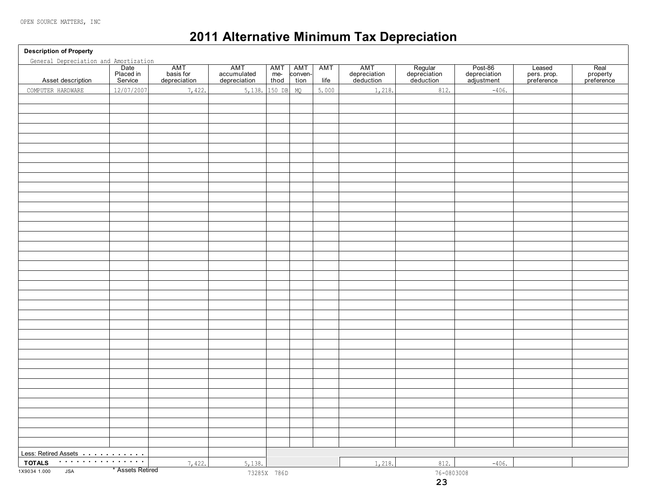# **2011 Alternative Minimum Tax Depreciation**

**Description of Property** Date | AMT | AMT |AMT|AMT|AMT | AMT | Regular | Post-86 | Leased | Real Placed in | basis for | accumulated | me- conven- | depreciation | depreciation | depreciation | pers. prop. | property Asset description Service depreciation depreciation thod tion life deduction deduction adjustment preference preference Less: Retired Assets **TOTALS** 1X9034 1.000 JSA \* Assets Retired **23** 73285X 786D 76-0803008 General Depreciation and Amortization COMPUTER HARDWARE  $12/07/2007$  7,422. 5,138. 150 DB MQ 5.000 1,218. 812. 812. 7,422. 5,138. 1,218. 1,218. 1,218. 1,218. 1,218. 1,218. 1,218. 1,218. 1,218. 1,218. 1,218. 1,218. 1,218. 1,218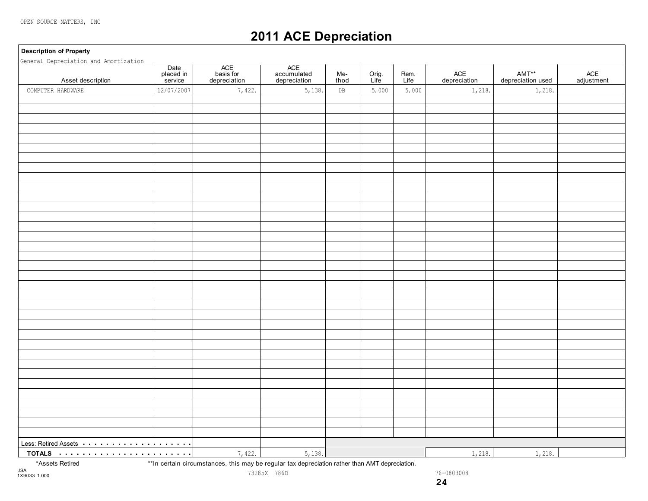# **2011 ACE Depreciation**

#### **Description of Property**

| General Depreciation and Amortization                                                                                                                                                                                               |                              |                                  |                                    |               |               |              |                     |                            |                   |
|-------------------------------------------------------------------------------------------------------------------------------------------------------------------------------------------------------------------------------------|------------------------------|----------------------------------|------------------------------------|---------------|---------------|--------------|---------------------|----------------------------|-------------------|
| Asset description                                                                                                                                                                                                                   | Date<br>placed in<br>service | ACE<br>basis for<br>depreciation | ACE<br>accumulated<br>depreciation | Me-<br>thod   | Orig.<br>Life | Rem.<br>Life | ACE<br>depreciation | AMT**<br>depreciation used | ACE<br>adjustment |
| COMPUTER HARDWARE                                                                                                                                                                                                                   | 12/07/2007                   | 7,422.                           | 5,138.                             | $\texttt{DB}$ | 5.000         | 5.000        | 1,218.              | 1,218.                     |                   |
|                                                                                                                                                                                                                                     |                              |                                  |                                    |               |               |              |                     |                            |                   |
|                                                                                                                                                                                                                                     |                              |                                  |                                    |               |               |              |                     |                            |                   |
|                                                                                                                                                                                                                                     |                              |                                  |                                    |               |               |              |                     |                            |                   |
|                                                                                                                                                                                                                                     |                              |                                  |                                    |               |               |              |                     |                            |                   |
|                                                                                                                                                                                                                                     |                              |                                  |                                    |               |               |              |                     |                            |                   |
|                                                                                                                                                                                                                                     |                              |                                  |                                    |               |               |              |                     |                            |                   |
|                                                                                                                                                                                                                                     |                              |                                  |                                    |               |               |              |                     |                            |                   |
|                                                                                                                                                                                                                                     |                              |                                  |                                    |               |               |              |                     |                            |                   |
|                                                                                                                                                                                                                                     |                              |                                  |                                    |               |               |              |                     |                            |                   |
|                                                                                                                                                                                                                                     |                              |                                  |                                    |               |               |              |                     |                            |                   |
|                                                                                                                                                                                                                                     |                              |                                  |                                    |               |               |              |                     |                            |                   |
|                                                                                                                                                                                                                                     |                              |                                  |                                    |               |               |              |                     |                            |                   |
|                                                                                                                                                                                                                                     |                              |                                  |                                    |               |               |              |                     |                            |                   |
|                                                                                                                                                                                                                                     |                              |                                  |                                    |               |               |              |                     |                            |                   |
|                                                                                                                                                                                                                                     |                              |                                  |                                    |               |               |              |                     |                            |                   |
|                                                                                                                                                                                                                                     |                              |                                  |                                    |               |               |              |                     |                            |                   |
|                                                                                                                                                                                                                                     |                              |                                  |                                    |               |               |              |                     |                            |                   |
|                                                                                                                                                                                                                                     |                              |                                  |                                    |               |               |              |                     |                            |                   |
|                                                                                                                                                                                                                                     |                              |                                  |                                    |               |               |              |                     |                            |                   |
|                                                                                                                                                                                                                                     |                              |                                  |                                    |               |               |              |                     |                            |                   |
|                                                                                                                                                                                                                                     |                              |                                  |                                    |               |               |              |                     |                            |                   |
|                                                                                                                                                                                                                                     |                              |                                  |                                    |               |               |              |                     |                            |                   |
|                                                                                                                                                                                                                                     |                              |                                  |                                    |               |               |              |                     |                            |                   |
|                                                                                                                                                                                                                                     |                              |                                  |                                    |               |               |              |                     |                            |                   |
|                                                                                                                                                                                                                                     |                              |                                  |                                    |               |               |              |                     |                            |                   |
|                                                                                                                                                                                                                                     |                              |                                  |                                    |               |               |              |                     |                            |                   |
|                                                                                                                                                                                                                                     |                              |                                  |                                    |               |               |              |                     |                            |                   |
|                                                                                                                                                                                                                                     |                              |                                  |                                    |               |               |              |                     |                            |                   |
|                                                                                                                                                                                                                                     |                              |                                  |                                    |               |               |              |                     |                            |                   |
|                                                                                                                                                                                                                                     |                              |                                  |                                    |               |               |              |                     |                            |                   |
|                                                                                                                                                                                                                                     |                              |                                  |                                    |               |               |              |                     |                            |                   |
|                                                                                                                                                                                                                                     |                              |                                  |                                    |               |               |              |                     |                            |                   |
|                                                                                                                                                                                                                                     |                              |                                  |                                    |               |               |              |                     |                            |                   |
|                                                                                                                                                                                                                                     |                              |                                  |                                    |               |               |              |                     |                            |                   |
|                                                                                                                                                                                                                                     |                              |                                  |                                    |               |               |              |                     |                            |                   |
| Less: Retired Assets <b>Example 20</b> Section 20 and 20 Section 20 and 20 and 20 and 20 and 20 and 20 and 20 and 20 and 20 and 20 and 20 and 20 and 20 and 20 and 20 and 20 and 20 and 20 and 20 and 20 and 20 and 20 and 20 and 2 |                              |                                  |                                    |               |               |              |                     |                            |                   |
|                                                                                                                                                                                                                                     |                              | 7,422.                           | 5,138.                             |               |               |              | 1,218.              | 1,218.                     |                   |

73285X 786D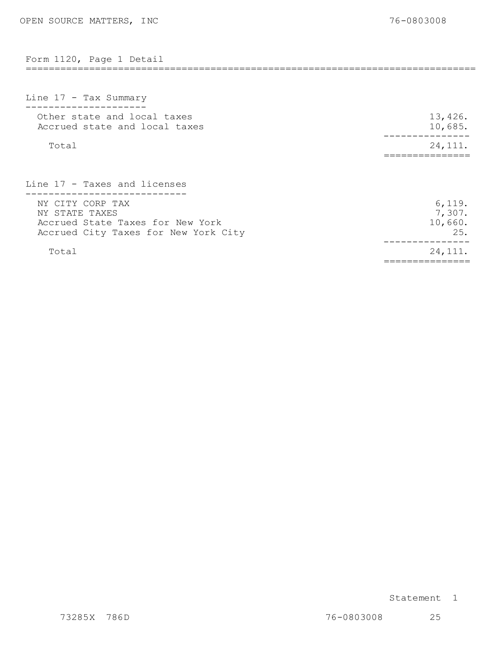|  |  | Form 1120, Page 1 Detail |
|--|--|--------------------------|

| Line 17 - Tax Summary                                                                                          |                                    |
|----------------------------------------------------------------------------------------------------------------|------------------------------------|
| Other state and local taxes<br>Accrued state and local taxes                                                   | 13,426.<br>10,685.                 |
| Total                                                                                                          | 24, 111.                           |
| Line 17 - Taxes and licenses                                                                                   |                                    |
| NY CITY CORP TAX<br>NY STATE TAXES<br>Accrued State Taxes for New York<br>Accrued City Taxes for New York City | 6,119.<br>7,307.<br>10,660.<br>25. |
| Total                                                                                                          | 24, 111.                           |

==============================================================================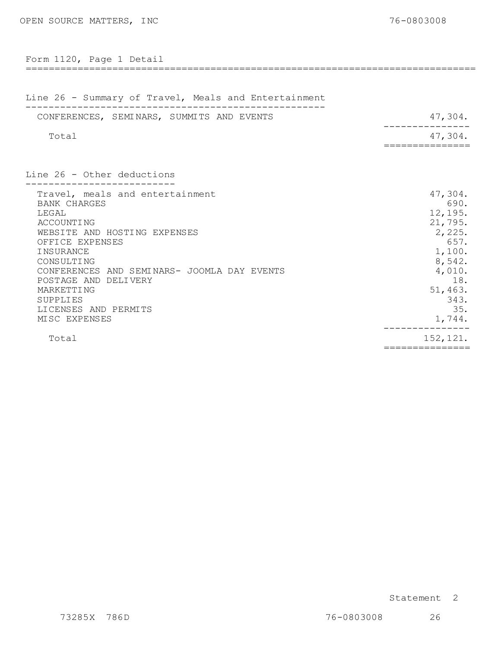| Form 1120, Page 1 Detail                                                                                                                                                                                                                                                                              |                                                                                                                                    |
|-------------------------------------------------------------------------------------------------------------------------------------------------------------------------------------------------------------------------------------------------------------------------------------------------------|------------------------------------------------------------------------------------------------------------------------------------|
| =============================                                                                                                                                                                                                                                                                         |                                                                                                                                    |
| Line 26 - Summary of Travel, Meals and Entertainment                                                                                                                                                                                                                                                  |                                                                                                                                    |
| CONFERENCES, SEMINARS, SUMMITS AND EVENTS                                                                                                                                                                                                                                                             | 47,304.                                                                                                                            |
| Total                                                                                                                                                                                                                                                                                                 | 47,304.                                                                                                                            |
|                                                                                                                                                                                                                                                                                                       |                                                                                                                                    |
| Line 26 - Other deductions                                                                                                                                                                                                                                                                            |                                                                                                                                    |
| Travel, meals and entertainment<br><b>BANK CHARGES</b><br>LEGAL<br>ACCOUNTING<br>WEBSITE AND HOSTING EXPENSES<br>OFFICE EXPENSES<br>INSURANCE<br>CONSULTING<br>CONFERENCES AND SEMINARS- JOOMLA DAY EVENTS<br>POSTAGE AND DELIVERY<br>MARKETTING<br>SUPPLIES<br>LICENSES AND PERMITS<br>MISC EXPENSES | 47,304.<br>690.<br>12, 195.<br>21,795.<br>2,225.<br>657.<br>1,100.<br>8,542.<br>4,010.<br>18.<br>51, 463.<br>343.<br>35.<br>1,744. |
| Total                                                                                                                                                                                                                                                                                                 | 152, 121.<br>===============                                                                                                       |

Statement 2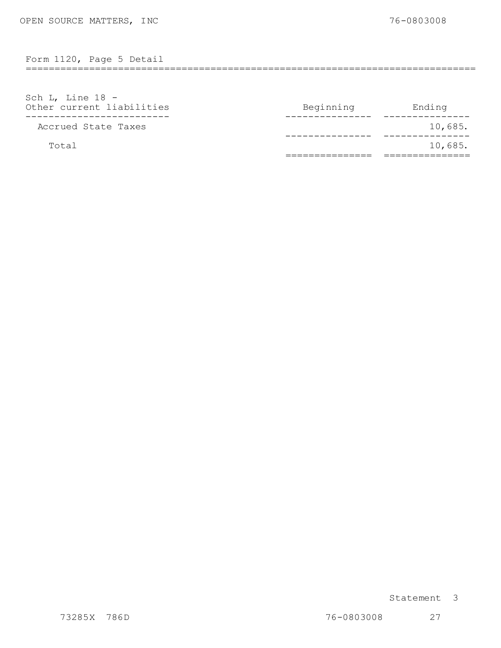Form 1120, Page 5 Detail

| Sch L, Line $18 -$<br>Other current liabilities | Beginning | Ending  |
|-------------------------------------------------|-----------|---------|
| Accrued State Taxes                             |           | 10,685. |
| Total                                           |           | 10,685. |

==============================================================================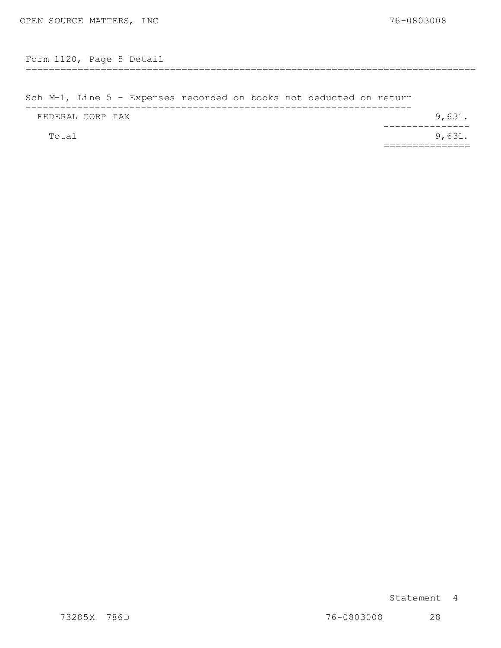============================================================================== Form 1120, Page 5 Detail

Sch M-1, Line 5 - Expens es recorded on b ooks not dedu cted on retu rn ------------------------------------------------------------------- FEDERAL CORP TAX  $Total$  9,631. ---------------<br>.9,631 ===============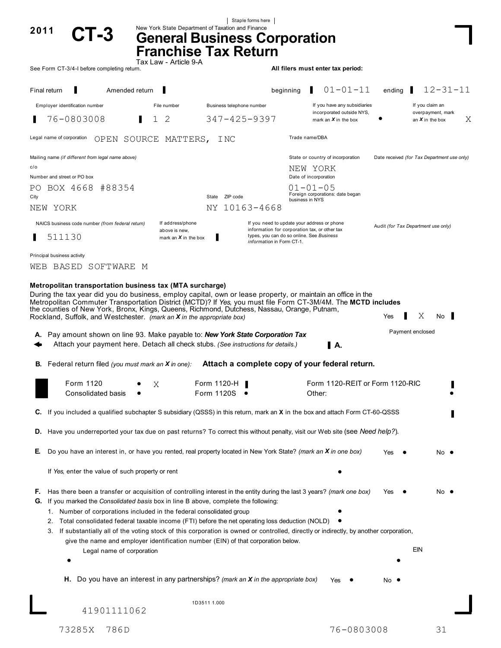|                                                                                                                                                                                                                                                                                                                                                                                                                                                                                                                                                                                                                                                                      |                                                                                                                         |                           | Staple forms here                                                      |                                                                                              |        |                                             |
|----------------------------------------------------------------------------------------------------------------------------------------------------------------------------------------------------------------------------------------------------------------------------------------------------------------------------------------------------------------------------------------------------------------------------------------------------------------------------------------------------------------------------------------------------------------------------------------------------------------------------------------------------------------------|-------------------------------------------------------------------------------------------------------------------------|---------------------------|------------------------------------------------------------------------|----------------------------------------------------------------------------------------------|--------|---------------------------------------------|
| 2011                                                                                                                                                                                                                                                                                                                                                                                                                                                                                                                                                                                                                                                                 | New York State Department of Taxation and Finance<br><b>General Business Corporation</b><br><b>Franchise Tax Return</b> |                           |                                                                        |                                                                                              |        |                                             |
| See Form CT-3/4-I before completing return.                                                                                                                                                                                                                                                                                                                                                                                                                                                                                                                                                                                                                          | Tax Law - Article 9-A                                                                                                   |                           |                                                                        | All filers must enter tax period:                                                            |        |                                             |
| Amended return<br>Final return                                                                                                                                                                                                                                                                                                                                                                                                                                                                                                                                                                                                                                       |                                                                                                                         |                           | beginning                                                              | $01 - 01 - 11$                                                                               | ending | $12 - 31 - 11$                              |
| Employer identification number                                                                                                                                                                                                                                                                                                                                                                                                                                                                                                                                                                                                                                       | File number                                                                                                             | Business telephone number |                                                                        | If you have any subsidiaries                                                                 |        | If you claim an                             |
| 76-0803008                                                                                                                                                                                                                                                                                                                                                                                                                                                                                                                                                                                                                                                           | 1.<br>2                                                                                                                 | $347 - 425 - 9397$        |                                                                        | incorporated outside NYS,<br>mark an $X$ in the box                                          |        | overpayment, mark<br>Χ<br>an $X$ in the box |
| Legal name of corporation<br>OPEN SOURCE MATTERS,                                                                                                                                                                                                                                                                                                                                                                                                                                                                                                                                                                                                                    |                                                                                                                         | I NC                      |                                                                        | Trade name/DBA                                                                               |        |                                             |
| Mailing name (if different from legal name above)                                                                                                                                                                                                                                                                                                                                                                                                                                                                                                                                                                                                                    |                                                                                                                         |                           |                                                                        | State or country of incorporation                                                            |        | Date received (for Tax Department use only) |
| c/o<br>Number and street or PO box                                                                                                                                                                                                                                                                                                                                                                                                                                                                                                                                                                                                                                   |                                                                                                                         |                           |                                                                        | NEW YORK<br>Date of incorporation                                                            |        |                                             |
| BOX 4668 #88354<br>PO.                                                                                                                                                                                                                                                                                                                                                                                                                                                                                                                                                                                                                                               |                                                                                                                         |                           |                                                                        | $01 - 01 - 05$                                                                               |        |                                             |
| City                                                                                                                                                                                                                                                                                                                                                                                                                                                                                                                                                                                                                                                                 |                                                                                                                         | State ZIP code            |                                                                        | Foreign corporations: date began<br>business in NYS                                          |        |                                             |
| NEW YORK                                                                                                                                                                                                                                                                                                                                                                                                                                                                                                                                                                                                                                                             |                                                                                                                         | NY 10163-4668             |                                                                        |                                                                                              |        |                                             |
| NAICS business code number (from federal return)                                                                                                                                                                                                                                                                                                                                                                                                                                                                                                                                                                                                                     | If address/phone<br>above is new,                                                                                       |                           |                                                                        | If you need to update your address or phone<br>information for corporation tax, or other tax |        | Audit (for Tax Department use only)         |
| 511130                                                                                                                                                                                                                                                                                                                                                                                                                                                                                                                                                                                                                                                               | mark an $X$ in the box                                                                                                  |                           | types, you can do so online. See Business<br>information in Form CT-1. |                                                                                              |        |                                             |
| Principal business activity<br>WEB BASED<br>SOFTWARE M                                                                                                                                                                                                                                                                                                                                                                                                                                                                                                                                                                                                               |                                                                                                                         |                           |                                                                        |                                                                                              |        |                                             |
|                                                                                                                                                                                                                                                                                                                                                                                                                                                                                                                                                                                                                                                                      |                                                                                                                         |                           |                                                                        |                                                                                              |        |                                             |
| Pay amount shown on line 93. Make payable to: New York State Corporation Tax<br>А.<br>Attach your payment here. Detach all check stubs. (See instructions for details.)                                                                                                                                                                                                                                                                                                                                                                                                                                                                                              |                                                                                                                         |                           |                                                                        | II A.                                                                                        |        | Payment enclosed                            |
| <b>B.</b> Federal return filed (you must mark an <b>X</b> in one):                                                                                                                                                                                                                                                                                                                                                                                                                                                                                                                                                                                                   |                                                                                                                         |                           |                                                                        | Attach a complete copy of your federal return.                                               |        |                                             |
| Form 1120<br>Consolidated basis                                                                                                                                                                                                                                                                                                                                                                                                                                                                                                                                                                                                                                      | Χ                                                                                                                       | Form 1120-H<br>Form 1120S |                                                                        | Form 1120-REIT or Form 1120-RIC<br>Other:                                                    |        |                                             |
| C. If you included a qualified subchapter S subsidiary (QSSS) in this return, mark an X in the box and attach Form CT-60-QSSS                                                                                                                                                                                                                                                                                                                                                                                                                                                                                                                                        |                                                                                                                         |                           |                                                                        |                                                                                              |        |                                             |
| D. Have you underreported your tax due on past returns? To correct this without penalty, visit our Web site (see Need help?).                                                                                                                                                                                                                                                                                                                                                                                                                                                                                                                                        |                                                                                                                         |                           |                                                                        |                                                                                              |        |                                             |
| Do you have an interest in, or have you rented, real property located in New York State? (mark an X in one box)<br>Е.                                                                                                                                                                                                                                                                                                                                                                                                                                                                                                                                                |                                                                                                                         |                           |                                                                        |                                                                                              | Yes    | No •                                        |
| If Yes, enter the value of such property or rent                                                                                                                                                                                                                                                                                                                                                                                                                                                                                                                                                                                                                     |                                                                                                                         |                           |                                                                        |                                                                                              |        |                                             |
| Has there been a transfer or acquisition of controlling interest in the entity during the last 3 years? (mark one box)<br>F.<br>If you marked the Consolidated basis box in line B above, complete the following:<br>G.<br>1. Number of corporations included in the federal consolidated group<br>Total consolidated federal taxable income (FTI) before the net operating loss deduction (NOLD)<br>2.<br>3. If substantially all of the voting stock of this corporation is owned or controlled, directly or indirectly, by another corporation,<br>give the name and employer identification number (EIN) of that corporation below.<br>Legal name of corporation |                                                                                                                         |                           |                                                                        |                                                                                              | Yes    | No •<br>EIN                                 |
|                                                                                                                                                                                                                                                                                                                                                                                                                                                                                                                                                                                                                                                                      |                                                                                                                         |                           |                                                                        |                                                                                              |        |                                             |
| H. Do you have an interest in any partnerships? (mark an $X$ in the appropriate box)                                                                                                                                                                                                                                                                                                                                                                                                                                                                                                                                                                                 |                                                                                                                         |                           |                                                                        | Yes                                                                                          | No .   |                                             |
| 41901111062                                                                                                                                                                                                                                                                                                                                                                                                                                                                                                                                                                                                                                                          |                                                                                                                         | 1D3511 1.000              |                                                                        |                                                                                              |        |                                             |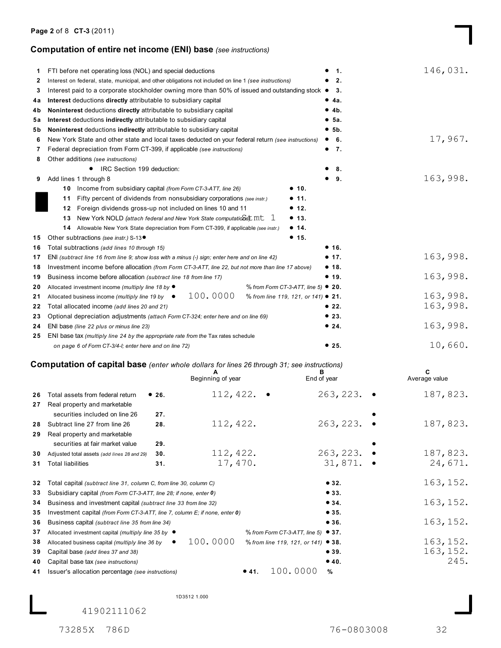## **Computation of entire net income (ENI) base** *(see instructions)*

| 1.  | FTI before net operating loss (NOL) and special deductions                                             |       |                                                                                    | 1.                                          | 146,031.      |
|-----|--------------------------------------------------------------------------------------------------------|-------|------------------------------------------------------------------------------------|---------------------------------------------|---------------|
| 2   | Interest on federal, state, municipal, and other obligations not included on line 1 (see instructions) |       |                                                                                    | 2.                                          |               |
| 3   | Interest paid to a corporate stockholder owning more than 50% of issued and outstanding stock ●        |       |                                                                                    | 3.                                          |               |
| 4a  | Interest deductions directly attributable to subsidiary capital                                        |       |                                                                                    | • 4a.                                       |               |
| 4b  | Noninterest deductions directly attributable to subsidiary capital                                     |       |                                                                                    | • 4b.                                       |               |
| 5а  | Interest deductions indirectly attributable to subsidiary capital                                      |       |                                                                                    | •5a.                                        |               |
| 5 b | Noninterest deductions indirectly attributable to subsidiary capital                                   |       |                                                                                    | • 5b.                                       |               |
| 6   | New York State and other state and local taxes deducted on your federal return (see instructions)      |       |                                                                                    | • 6.                                        | 17,967.       |
| 7   | Federal depreciation from Form CT-399, if applicable (see instructions)                                |       |                                                                                    | $\bullet$ 7.                                |               |
| 8   | Other additions (see instructions)                                                                     |       |                                                                                    |                                             |               |
|     | IRC Section 199 deduction:                                                                             |       |                                                                                    | 8.                                          |               |
| 9   | Add lines 1 through 8                                                                                  |       |                                                                                    | 9.                                          | 163,998.      |
|     | Income from subsidiary capital (from Form CT-3-ATT, line 26)<br>10                                     |       |                                                                                    | • 10.                                       |               |
|     | 11                                                                                                     |       | Fifty percent of dividends from nonsubsidiary corporations (see instr.)            | • 11.                                       |               |
|     | Foreign dividends gross-up not included on lines 10 and 11<br>12                                       |       |                                                                                    | • 12.                                       |               |
|     | 13.                                                                                                    |       | New York NOLD (attach federal and New York State computations) Int 1               | • 13.                                       |               |
|     | 14                                                                                                     |       | Allowable New York State depreciation from Form CT-399, if applicable (see instr.) | • 14.                                       |               |
| 15  | Other subtractions (see instr.) S-13 ·                                                                 |       |                                                                                    | • 15.                                       |               |
| 16  | Total subtractions (add lines 10 through 15)                                                           |       |                                                                                    | • 16.                                       |               |
| 17  | ENI (subtract line 16 from line 9; show loss with a minus (-) sign; enter here and on line 42)         |       |                                                                                    | • 17.                                       | 163,998.      |
| 18  | Investment income before allocation (from Form CT-3-ATT, line 22, but not more than line 17 above)     |       |                                                                                    | • 18.                                       |               |
| 19  | Business income before allocation (subtract line 18 from line 17)                                      |       |                                                                                    | • 19.                                       | 163,998.      |
| 20  | Allocated investment income (multiply line 18 by ●                                                     |       |                                                                                    | % from Form CT-3-ATT, line 5) $\bullet$ 20. |               |
| 21  | Allocated business income (multiply line 19 by $\bullet$                                               |       | 100.0000                                                                           | % from line 119, 121, or 141) ● 21.         | 163,998.      |
| 22  | Total allocated income (add lines 20 and 21)                                                           |       |                                                                                    | •22.                                        | 163,998.      |
| 23  | Optional depreciation adjustments (attach Form CT-324; enter here and on line 69)                      |       |                                                                                    | •23.                                        |               |
| 24  | ENI base (line 22 plus or minus line 23)                                                               |       |                                                                                    | • 24.                                       | 163,998.      |
| 25  | ENI base tax (multiply line 24 by the appropriate rate from the Tax rates schedule                     |       |                                                                                    |                                             |               |
|     | on page 6 of Form CT-3/4-I; enter here and on line 72)                                                 |       |                                                                                    | • 25.                                       | 10,660.       |
|     | <b>Computation of capital base</b> (enter whole dollars for lines 26 through 31; see instructions)     |       |                                                                                    |                                             |               |
|     |                                                                                                        |       | A                                                                                  | в                                           | c             |
|     |                                                                                                        |       | Beginning of year                                                                  | End of year                                 | Average value |
| 26  | Total assets from federal return                                                                       | • 26. | 112,422. $\bullet$                                                                 | 263, 223.                                   | 187,823.      |
| 27  | Real property and marketable                                                                           |       |                                                                                    |                                             |               |
|     | securities included on line 26                                                                         | 27.   |                                                                                    |                                             |               |
|     | 28 Subtract line 27 from line 26                                                                       | 28.   | 112, 422.                                                                          | 263, 223.                                   | 187,823.      |
| 29  | Real property and marketable                                                                           |       |                                                                                    |                                             |               |
|     | securities at fair market value                                                                        | 29.   |                                                                                    |                                             |               |
| 30  | Adjusted total assets (add lines 28 and 29)                                                            | 30.   | 112, 422.                                                                          | 263, 223.                                   | 187,823.      |
| 31  | <b>Total liabilities</b>                                                                               | 31.   | 17, 470.                                                                           | 31,871.                                     | 24,671.       |
| 32  | Total capital (subtract line 31, column C, from line 30, column C)                                     |       |                                                                                    | •32.                                        | 163, 152.     |
| 33  | Subsidiary capital (from Form CT-3-ATT, line 28; if none, enter 0)                                     |       |                                                                                    | •33.                                        |               |
| 34  | Business and investment capital (subtract line 33 from line 32)                                        |       |                                                                                    | • 34.                                       | 163, 152.     |
| 35  | Investment capital (from Form CT-3-ATT, line 7, column E; if none, enter 0)                            |       |                                                                                    | •35.                                        |               |
| 36  | Business capital (subtract line 35 from line 34)                                                       |       |                                                                                    | •36.                                        | 163, 152.     |
| 37  | Allocated investment capital (multiply line 35 by ●                                                    |       |                                                                                    | % from Form CT-3-ATT, line 5) $\bullet$ 37. |               |
| 38  | Allocated business capital (multiply line 36 by                                                        |       | 100.0000                                                                           | % from line 119, 121, or 141) ● 38.         | 163, 152.     |
| 39  | Capital base (add lines 37 and 38)                                                                     |       |                                                                                    | •39.                                        | 163, 152.     |
| 40  | Capital base tax (see instructions)                                                                    |       |                                                                                    | •40.                                        | 245.          |
| 41  | Issuer's allocation percentage (see instructions)                                                      |       | • 41.                                                                              | 100.0000<br>%                               |               |
|     |                                                                                                        |       |                                                                                    |                                             |               |

1D3512 1.000

41902111062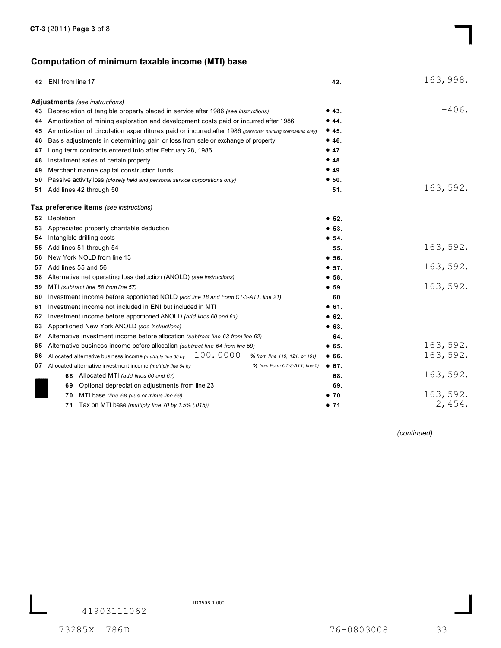# **Computation of minimum taxable income (MTI) base**

|     | 42 ENI from line 17                                                                                     | 42.   | 163,998. |
|-----|---------------------------------------------------------------------------------------------------------|-------|----------|
|     | Adjustments (see instructions)                                                                          |       |          |
|     | 43 Depreciation of tangible property placed in service after 1986 (see instructions)                    | •43.  | $-406.$  |
| 44  | Amortization of mining exploration and development costs paid or incurred after 1986                    | •44.  |          |
| 45  | Amortization of circulation expenditures paid or incurred after 1986 (personal holding companies only)  | •45.  |          |
| 46  | Basis adjustments in determining gain or loss from sale or exchange of property                         | •46.  |          |
| 47  | Long term contracts entered into after February 28, 1986                                                | •47.  |          |
| 48  | Installment sales of certain property                                                                   | •48.  |          |
| 49  | Merchant marine capital construction funds                                                              | •49.  |          |
| 50  | Passive activity loss (closely held and personal service corporations only)                             | • 50. |          |
|     | 51 Add lines 42 through 50                                                                              | 51.   | 163,592. |
|     | Tax preference items (see instructions)                                                                 |       |          |
|     | 52 Depletion                                                                                            | • 52. |          |
|     | 53 Appreciated property charitable deduction                                                            | • 53. |          |
| 54. | Intangible drilling costs                                                                               | • 54. |          |
| 55  | Add lines 51 through 54                                                                                 | 55.   | 163,592. |
| 56. | New York NOLD from line 13                                                                              | • 56. |          |
| 57  | Add lines 55 and 56                                                                                     | • 57. | 163,592. |
| 58  | Alternative net operating loss deduction (ANOLD) (see instructions)                                     | •58.  |          |
| 59  | MTI (subtract line 58 from line 57)                                                                     | • 59. | 163,592. |
| 60  | Investment income before apportioned NOLD (add line 18 and Form CT-3-ATT, line 21)                      | 60.   |          |
| 61  | Investment income not included in ENI but included in MTI                                               | • 61. |          |
| 62  | Investment income before apportioned ANOLD (add lines 60 and 61)                                        | • 62. |          |
| 63  | Apportioned New York ANOLD (see instructions)                                                           | • 63. |          |
| 64  | Alternative investment income before allocation (subtract line 63 from line 62)                         | 64.   |          |
| 65  | Alternative business income before allocation (subtract line 64 from line 59)                           | • 65. | 163,592. |
| 66  | 100.0000<br>Allocated alternative business income (multiply line 65 by<br>% from line 119, 121, or 161) | • 66. | 163,592. |
|     | 67 Allocated alternative investment income (multiply line 64 by<br>% from Form CT-3-ATT, line 5)        | • 67. |          |
|     | 68 Allocated MTI (add lines 66 and 67)                                                                  | 68.   | 163,592. |
|     | Optional depreciation adjustments from line 23<br>69                                                    | 69.   |          |
|     | MTI base (line 68 plus or minus line 69)<br>70                                                          | •70.  | 163,592. |
|     | Tax on MTI base (multiply line 70 by 1.5% (.015))<br>71                                                 | •71.  | 2,454.   |

*(continued)*

41903111062

1D3598 1.000

73285X 786D 76-0803008 33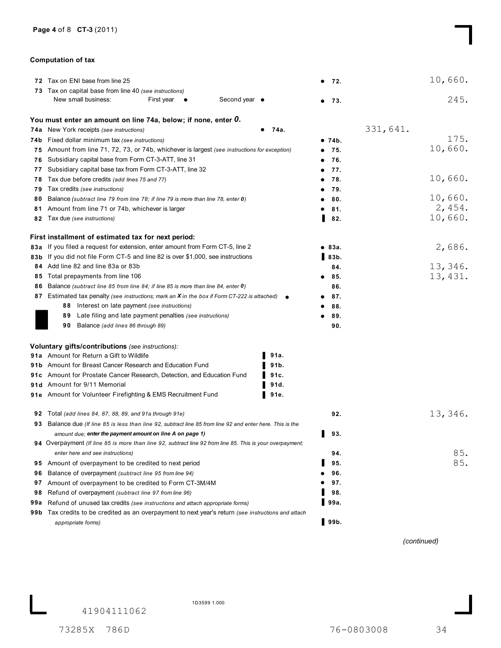#### **Computation of tax**

|      | 72 Tax on ENI base from line 25                                                                                  |        |                     | 10,660.  |
|------|------------------------------------------------------------------------------------------------------------------|--------|---------------------|----------|
|      |                                                                                                                  |        | - 72.<br>$\bullet$  |          |
|      | 73 Tax on capital base from line 40 (see instructions)<br>Second year •<br>New small business:<br>First year     |        |                     | 245.     |
|      |                                                                                                                  |        | 73.<br>٠            |          |
|      | You must enter an amount on line 74a, below; if none, enter 0.                                                   |        |                     |          |
|      | 74a New York receipts (see instructions)                                                                         | 74a.   |                     | 331,641. |
|      | 74b Fixed dollar minimum tax (see instructions)                                                                  |        | ● 74b.              | 175.     |
| 75   | Amount from line 71, 72, 73, or 74b, whichever is largest (see instructions for exception)                       |        | 75.<br>٠            | 10,660.  |
| 76   | Subsidiary capital base from Form CT-3-ATT, line 31                                                              |        | 76.                 |          |
| 77   | Subsidiary capital base tax from Form CT-3-ATT, line 32                                                          |        | 77.<br>٠            |          |
| 78   | Tax due before credits (add lines 75 and 77)                                                                     |        | 78.<br>٠            | 10,660.  |
| 79   | Tax credits (see instructions)                                                                                   |        | 79.                 |          |
| 80   | Balance (subtract line 79 from line 78; if line 79 is more than line 78, enter 0)                                |        | 80.                 | 10,660.  |
| 81   | Amount from line 71 or 74b, whichever is larger                                                                  |        | 81.                 | 2,454.   |
| 82   | Tax due (see instructions)                                                                                       |        | 82.                 | 10,660.  |
|      | First installment of estimated tax for next period:                                                              |        |                     |          |
| 83а  | If you filed a request for extension, enter amount from Form CT-5, line 2                                        |        | • 83a.              | 2,686.   |
|      | 83b If you did not file Form CT-5 and line 82 is over \$1,000, see instructions                                  |        | $\blacksquare$ 83b. |          |
| 84   | Add line 82 and line 83a or 83b                                                                                  |        | 84.                 | 13,346.  |
| 85   | Total prepayments from line 106                                                                                  |        | 85.                 | 13, 431. |
| 86   | Balance (subtract line 85 from line 84; if line 85 is more than line 84, enter 0)                                |        | 86.                 |          |
|      | 87 Estimated tax penalty (see instructions; mark an X in the box if Form CT-222 is attached)                     |        | 87.                 |          |
|      | 88 Interest on late payment (see instructions)                                                                   |        | 88.                 |          |
|      | Late filing and late payment penalties (see instructions)<br>89                                                  |        | 89.                 |          |
|      | Balance (add lines 86 through 89)<br>90                                                                          |        | 90.                 |          |
|      | Voluntary gifts/contributions (see instructions):                                                                |        |                     |          |
|      | <b>91a</b> Amount for Return a Gift to Wildlife                                                                  | 91a.   |                     |          |
|      | <b>91b</b> Amount for Breast Cancer Research and Education Fund                                                  | 91b.   |                     |          |
|      | <b>91c</b> Amount for Prostate Cancer Research, Detection, and Education Fund                                    | 91c.   |                     |          |
|      | 91d Amount for 9/11 Memorial                                                                                     | 91d.   |                     |          |
|      | 91e Amount for Volunteer Firefighting & EMS Recruitment Fund                                                     | ▌ 91e. |                     |          |
| 92   | Total (add lines 84, 87, 88, 89, and 91a through 91e)                                                            |        | 92.                 | 13,346.  |
|      | 93 Balance due (If line 85 is less than line 92, subtract line 85 from line 92 and enter here. This is the       |        |                     |          |
|      | amount due; enter the payment amount on line A on page 1)                                                        |        | 93.                 |          |
|      | <b>94</b> Overpayment (If line 85 is more than line 92, subtract line 92 from line 85. This is your overpayment; |        |                     |          |
|      | enter here and see instructions)                                                                                 |        | 94.                 | 85.      |
| 95   | Amount of overpayment to be credited to next period                                                              |        | 95.                 | 85.      |
| 96   | Balance of overpayment (subtract line 95 from line 94)                                                           |        | 96.                 |          |
| 97   | Amount of overpayment to be credited to Form CT-3M/4M                                                            |        | 97.                 |          |
| 98   | Refund of overpayment (subtract line 97 from line 96)                                                            |        | 98.                 |          |
| 99a  | Refund of unused tax credits (see instructions and attach appropriate forms)                                     |        | 99a.                |          |
| 99 b | Tax credits to be credited as an overpayment to next year's return (see instructions and attach                  |        |                     |          |
|      | appropriate forms)                                                                                               |        | $\blacksquare$ 99b. |          |

*(continued)*

41904111062

1D3599 1.000

73285X 786D 76-0803008 34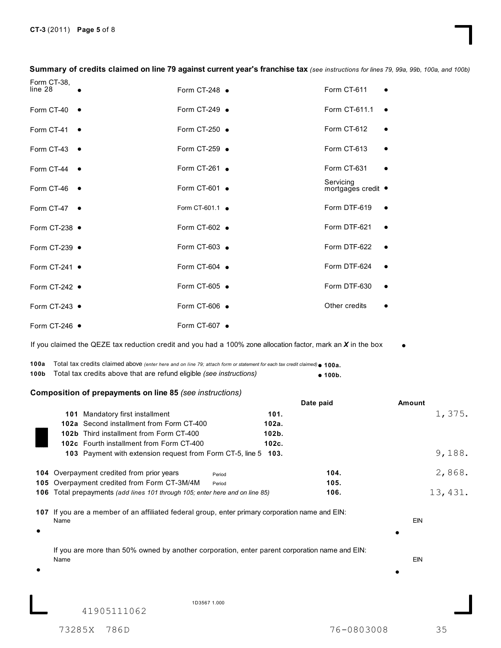**Summary of credits claimed on line 79 against current year's franchise tax** *(see instructions for lines 79, 99a, 99b, 100a, and 100b)*

| Form CT-38,<br>line 28  | Form CT-248 $\bullet$ | Form CT-611                     |  |
|-------------------------|-----------------------|---------------------------------|--|
|                         |                       |                                 |  |
| Form CT-40 •            | Form CT-249 $\bullet$ | Form CT-611.1                   |  |
| Form CT-41 $\bullet$    | Form CT-250 •         | Form CT-612                     |  |
| Form CT-43 $\bullet$    | Form CT-259 •         | Form CT-613                     |  |
| Form CT-44 $\bullet$    | Form CT-261 $\bullet$ | Form CT-631                     |  |
| Form CT-46<br>$\bullet$ | Form CT-601 $\bullet$ | Servicing<br>mortgages credit ● |  |
| Form CT-47 $\bullet$    | Form CT-601.1 •       | Form DTF-619                    |  |
| Form CT-238 $\bullet$   | Form CT-602 $\bullet$ | Form DTF-621                    |  |
| Form CT-239 $\bullet$   | Form CT-603 $\bullet$ | Form DTF-622                    |  |
| Form CT-241 $\bullet$   | Form CT-604 $\bullet$ | Form DTF-624                    |  |
| Form CT-242 $\bullet$   | Form CT-605 $\bullet$ | Form DTF-630                    |  |
| Form CT-243 •           | Form CT-606 $\bullet$ | Other credits                   |  |
| Form CT-246 ·           | Form CT-607 $\bullet$ |                                 |  |

If you claimed the QEZE tax reduction credit and you had a 100% zone allocation factor, mark an *X* in the box

**100a** Total tax credits claimed above *(enter here and on line 79; attach form or statement for each tax credit claimed)* **100a.**  $• 100b.$ **100b** Total tax credits above that are refund eligible **100b.** *(see instructions)*

#### **Composition of prepayments on line 85** *(see instructions)*

|     |                                                                                                         |        | Date paid | Amount     |
|-----|---------------------------------------------------------------------------------------------------------|--------|-----------|------------|
|     | Mandatory first installment<br>101                                                                      | 101.   |           | 1,375.     |
|     | 102a Second installment from Form CT-400                                                                | 102a.  |           |            |
|     | 102b Third installment from Form CT-400                                                                 | 102b.  |           |            |
|     | 102c Fourth installment from Form CT-400                                                                | 102c.  |           |            |
|     | 103 Payment with extension request from Form CT-5, line 5                                               | 103.   |           | 9,188.     |
|     | <b>104</b> Overpayment credited from prior years                                                        | Period | 104.      | 2,868.     |
|     | 105 Overpayment credited from Form CT-3M/4M                                                             | Period | 105.      |            |
| 106 | Total prepayments (add lines 101 through 105; enter here and on line 85)                                |        | 106.      | 13, 431.   |
|     | 107 If you are a member of an affiliated federal group, enter primary corporation name and EIN:<br>Name |        |           | <b>EIN</b> |
|     | If you are more than 50% owned by another corporation, enter parent corporation name and EIN:<br>Name   |        |           | EIN        |
|     | 1D3567 1.000<br>41905111062                                                                             |        |           |            |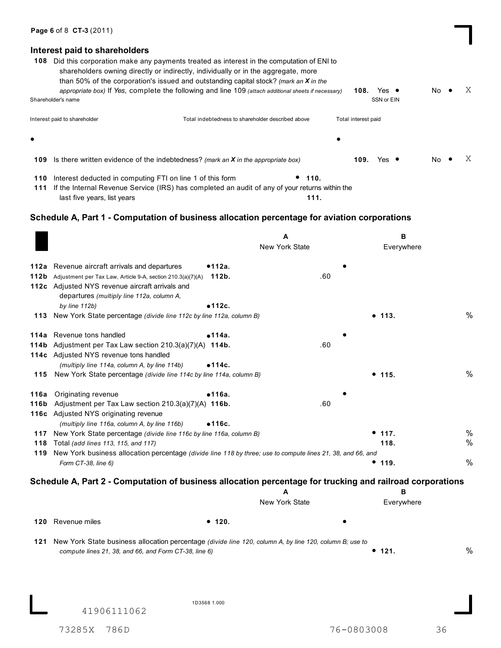### **Interest paid to shareholders**

| 108       | Did this corporation make any payments treated as interest in the computation of ENI to<br>shareholders owning directly or indirectly, individually or in the aggregate, more<br>than 50% of the corporation's issued and outstanding capital stock? <i>(mark an X in the</i><br>appropriate box) If Yes, complete the following and line 109 (attach additional sheets if necessary) |                                                   |      | 108.                | Yes $\bullet$ | No. | Χ |
|-----------|---------------------------------------------------------------------------------------------------------------------------------------------------------------------------------------------------------------------------------------------------------------------------------------------------------------------------------------------------------------------------------------|---------------------------------------------------|------|---------------------|---------------|-----|---|
|           | Shareholder's name                                                                                                                                                                                                                                                                                                                                                                    |                                                   |      |                     | SSN or EIN    |     |   |
|           | Interest paid to shareholder                                                                                                                                                                                                                                                                                                                                                          | Total indebtedness to shareholder described above |      | Total interest paid |               |     |   |
| $\bullet$ |                                                                                                                                                                                                                                                                                                                                                                                       |                                                   | ٠    |                     |               |     |   |
| 109       | Is there written evidence of the indebtedness? (mark an <b>X</b> in the appropriate box)                                                                                                                                                                                                                                                                                              |                                                   |      | 109.                | Yes $\bullet$ | No. |   |
| 110       | Interest deducted in computing FTI on line 1 of this form                                                                                                                                                                                                                                                                                                                             |                                                   | 110. |                     |               |     |   |

If the Internal Revenue Service (IRS) has completed an audit of any of your returns within the **111** last five years, list years **111.**

## **Schedule A, Part 1 - Computation of business allocation percentage for aviation corporations**

|              |                                                                                                                                                                                                         |                 | А              | В          |      |
|--------------|---------------------------------------------------------------------------------------------------------------------------------------------------------------------------------------------------------|-----------------|----------------|------------|------|
|              |                                                                                                                                                                                                         |                 | New York State | Everywhere |      |
| 112a<br>112b | Revenue aircraft arrivals and departures<br>Adjustment per Tax Law, Article 9-A, section 210.3(a)(7)(A)<br>112c Adjusted NYS revenue aircraft arrivals and<br>departures (multiply line 112a, column A, | ●112a.<br>112b. | .60            |            |      |
|              | by line $112b$ )<br>113 New York State percentage (divide line 112c by line 112a, column B)                                                                                                             | •112c.          |                | • 113.     | $\%$ |
|              |                                                                                                                                                                                                         |                 |                |            |      |
|              | 114a Revenue tons handled                                                                                                                                                                               | •114a.          |                |            |      |
| 114b         | Adjustment per Tax Law section $210.3(a)(7)(A)$ 114b.<br>114c Adjusted NYS revenue tons handled<br>(multiply line 114a, column A, by line 114b)                                                         | •114c.          | .60            |            |      |
|              | 115 New York State percentage (divide line 114c by line 114a, column B)                                                                                                                                 |                 |                | • 115.     | %    |
| 116a<br>116b | Originating revenue<br>Adjustment per Tax Law section 210.3(a)(7)(A) 116b.<br>116c Adjusted NYS originating revenue                                                                                     | •116a.          | .60            |            |      |
|              | (multiply line 116a, column A, by line 116b)<br>117 New York State percentage (divide line 116c by line 116a, column B)                                                                                 | •116c.          |                | • 117.     | %    |
| 118          | Total (add lines 113, 115, and 117)                                                                                                                                                                     |                 |                | 118.       | %    |
|              | 119 New York business allocation percentage (divide line 118 by three; use to compute lines 21, 38, and 66, and<br>Form CT-38, line 6)                                                                  |                 |                | • 119.     | %    |
|              | Schedule A, Part 2 - Computation of business allocation percentage for trucking and railroad corporations                                                                                               |                 | A              | в          |      |
|              |                                                                                                                                                                                                         |                 | New York State | Everywhere |      |
| 120          | Revenue miles                                                                                                                                                                                           | • 120.          |                |            |      |
|              | 121 New York State business allocation percentage (divide line 120, column A, by line 120, column B; use to<br>compute lines 21, 38, and 66, and Form CT-38, line 6)                                    |                 |                | • 121.     | $\%$ |
|              | 41906111062                                                                                                                                                                                             | 1D3568 1.000    |                |            |      |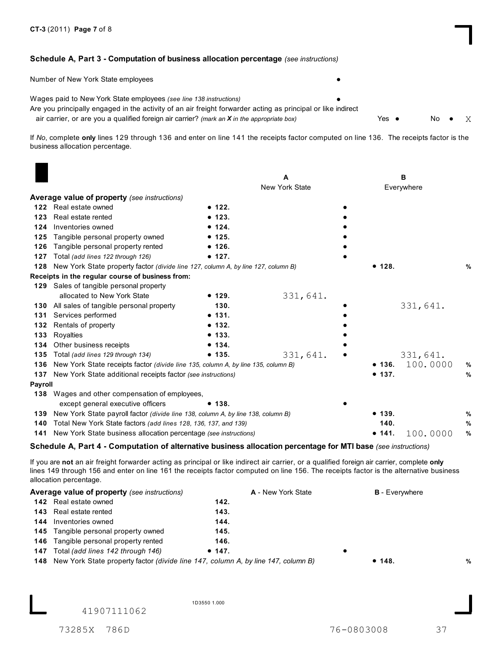#### **Schedule A, Part 3 - Computation of business allocation percentage** *(see instructions)*

| Number of New York State employees                                                                                                                                                                                                                                                  |               |      |  |
|-------------------------------------------------------------------------------------------------------------------------------------------------------------------------------------------------------------------------------------------------------------------------------------|---------------|------|--|
| Wages paid to New York State employees (see line 138 instructions)<br>Are you principally engaged in the activity of an air freight forwarder acting as principal or like indirect<br>air carrier, or are you a qualified foreign air carrier? (mark an $X$ in the appropriate box) | Yes $\bullet$ | No • |  |

If *No*, complete **only** lines 129 through 136 and enter on line 141 the receipts factor computed on line 136. The receipts factor is the business allocation percentage.

|         |                                                                                   |        |                       | в          |          |      |
|---------|-----------------------------------------------------------------------------------|--------|-----------------------|------------|----------|------|
|         |                                                                                   |        | <b>New York State</b> | Everywhere |          |      |
|         | Average value of property (see instructions)                                      |        |                       |            |          |      |
| 122     | Real estate owned                                                                 | • 122. |                       |            |          |      |
| 123     | Real estate rented                                                                | • 123. |                       |            |          |      |
| 124     | Inventories owned                                                                 | • 124. |                       |            |          |      |
| 125     | Tangible personal property owned                                                  | • 125. |                       |            |          |      |
| 126     | Tangible personal property rented                                                 | • 126. |                       |            |          |      |
| 127     | Total (add lines 122 through 126)                                                 | • 127. |                       |            |          |      |
| 128     | New York State property factor (divide line 127, column A, by line 127, column B) |        |                       | • 128.     |          | %    |
|         | Receipts in the regular course of business from:                                  |        |                       |            |          |      |
|         | 129 Sales of tangible personal property                                           |        |                       |            |          |      |
|         | allocated to New York State                                                       | • 129. | 331,641.              |            |          |      |
| 130     | All sales of tangible personal property                                           | 130.   |                       |            | 331,641. |      |
| 131     | Services performed                                                                | • 131. |                       |            |          |      |
| 132     | Rentals of property                                                               | • 132. |                       |            |          |      |
| 133     | Royalties                                                                         | • 133. |                       |            |          |      |
| 134     | Other business receipts                                                           | • 134. |                       |            |          |      |
| 135     | Total (add lines 129 through 134)                                                 | • 135. | 331,641.              |            | 331,641. |      |
| 136     | New York State receipts factor (divide line 135, column A, by line 135, column B) |        |                       | • 136.     | 100.0000 | %    |
| 137     | New York State additional receipts factor (see instructions)                      |        |                       | • 137.     |          | ℅    |
| Payroll |                                                                                   |        |                       |            |          |      |
|         | 138 Wages and other compensation of employees,                                    |        |                       |            |          |      |
|         | except general executive officers                                                 | • 138. |                       |            |          |      |
| 139     | New York State payroll factor (divide line 138, column A, by line 138, column B)  |        |                       | • 139.     |          | $\%$ |
| 140     | Total New York State factors (add lines 128, 136, 137, and 139)                   |        |                       | 140.       |          | $\%$ |
| 141     | New York State business allocation percentage (see instructions)                  |        |                       | • 141.     | 100.0000 | $\%$ |
|         |                                                                                   |        |                       |            |          |      |

#### **Schedule A, Part 4 - Computation of alternative business allocation percentage for MTI base** *(see instructions)*

If you are **not** an air freight forwarder acting as principal or like indirect air carrier, or a qualified foreign air carrier, complete **only** lines 149 through 156 and enter on line 161 the receipts factor computed on line 156. The receipts factor is the alternative business allocation percentage.

| <b>Average value of property</b> (see instructions)                                          |        | A - New York State | <b>B</b> - Everywhere |   |
|----------------------------------------------------------------------------------------------|--------|--------------------|-----------------------|---|
| <b>142</b> Real estate owned                                                                 | 142.   |                    |                       |   |
| <b>143</b> Real estate rented                                                                | 143.   |                    |                       |   |
| <b>144</b> Inventories owned                                                                 | 144.   |                    |                       |   |
| <b>145</b> Tangible personal property owned                                                  | 145.   |                    |                       |   |
| <b>146</b> Tangible personal property rented                                                 | 146.   |                    |                       |   |
| <b>147</b> Total (add lines 142 through 146)                                                 | • 147. |                    |                       |   |
| <b>148</b> New York State property factor (divide line 147, column A, by line 147, column B) |        |                    | • 148.                | % |

41907111062

1D3550 1.000

73285X 786D 76-0803008 37

X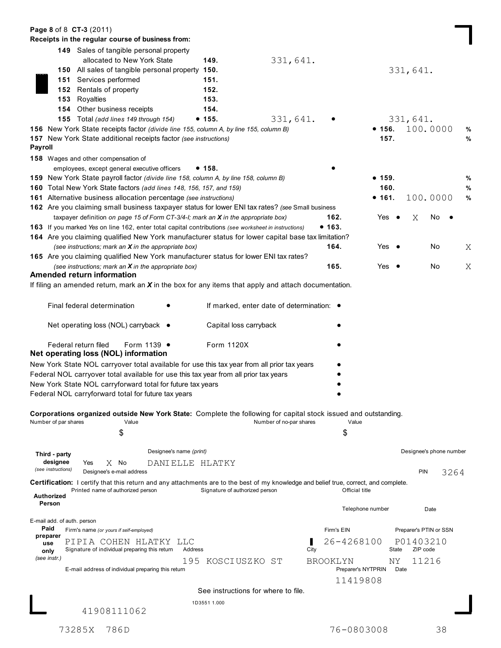| Page 8 of 8 CT-3 (2011)             |                                                                                                                                              |                                     |                                           |                                       |               |                         |   |
|-------------------------------------|----------------------------------------------------------------------------------------------------------------------------------------------|-------------------------------------|-------------------------------------------|---------------------------------------|---------------|-------------------------|---|
|                                     | Receipts in the regular course of business from:                                                                                             |                                     |                                           |                                       |               |                         |   |
|                                     | 149 Sales of tangible personal property                                                                                                      |                                     |                                           |                                       |               |                         |   |
|                                     | allocated to New York State                                                                                                                  | 149.                                | 331,641.                                  |                                       |               |                         |   |
|                                     | 150 All sales of tangible personal property 150.                                                                                             |                                     |                                           |                                       |               | 331,641.                |   |
|                                     | 151 Services performed                                                                                                                       | 151.                                |                                           |                                       |               |                         |   |
|                                     | 152 Rentals of property                                                                                                                      | 152.                                |                                           |                                       |               |                         |   |
| 153                                 | Royalties                                                                                                                                    | 153.                                |                                           |                                       |               |                         |   |
|                                     | 154 Other business receipts                                                                                                                  | 154.                                |                                           |                                       |               |                         |   |
|                                     | 155 Total (add lines 149 through 154)                                                                                                        | • 155.                              | 331,641.                                  |                                       |               | 331,641.                |   |
|                                     | 156 New York State receipts factor (divide line 155, column A, by line 155, column B)                                                        |                                     |                                           |                                       | • 156.        | 100.0000                | ℅ |
|                                     | <b>157</b> New York State additional receipts factor (see instructions)                                                                      |                                     |                                           |                                       | 157.          |                         | % |
| <b>Payroll</b>                      |                                                                                                                                              |                                     |                                           |                                       |               |                         |   |
|                                     | <b>158</b> Wages and other compensation of                                                                                                   |                                     |                                           |                                       |               |                         |   |
|                                     | employees, except general executive officers                                                                                                 | • 158.                              |                                           |                                       |               |                         |   |
|                                     | 159 New York State payroll factor (divide line 158, column A, by line 158, column B)                                                         |                                     |                                           |                                       | ● 159.        |                         | % |
|                                     | 160 Total New York State factors (add lines 148, 156, 157, and 159)                                                                          |                                     |                                           |                                       | 160.          |                         | % |
|                                     | <b>161</b> Alternative business allocation percentage (see instructions)                                                                     |                                     |                                           |                                       | ● 161.        | 100.0000                | % |
|                                     | 162 Are you claiming small business taxpayer status for lower ENI tax rates? (see Small business                                             |                                     |                                           |                                       |               |                         |   |
|                                     | taxpayer definition on page 15 of Form CT-3/4-I; mark an $X$ in the appropriate box)                                                         |                                     |                                           | 162.                                  | Yes $\bullet$ | Χ<br>No.                |   |
|                                     | 163 If you marked Yes on line 162, enter total capital contributions (see worksheet in instructions)                                         |                                     |                                           | • 163.                                |               |                         |   |
|                                     | 164 Are you claiming qualified New York manufacturer status for lower capital base tax limitation?                                           |                                     |                                           |                                       |               |                         |   |
|                                     | (see instructions; mark an $X$ in the appropriate box)                                                                                       |                                     |                                           | 164.                                  | Yes $\bullet$ | No                      | Χ |
|                                     | 165 Are you claiming qualified New York manufacturer status for lower ENI tax rates?                                                         |                                     |                                           |                                       |               |                         |   |
|                                     | (see instructions; mark an $X$ in the appropriate box)                                                                                       |                                     |                                           | 165.                                  | Yes $\bullet$ | No                      | Χ |
|                                     | <b>Amended return information</b>                                                                                                            |                                     |                                           |                                       |               |                         |   |
|                                     | If filing an amended return, mark an $X$ in the box for any items that apply and attach documentation.                                       |                                     |                                           |                                       |               |                         |   |
|                                     | Final federal determination<br>Net operating loss (NOL) carryback ●                                                                          | Capital loss carryback              | If marked, enter date of determination: ● |                                       |               |                         |   |
|                                     | Federal return filed<br>Form 1139 .<br>Net operating loss (NOL) information                                                                  | Form 1120X                          |                                           |                                       |               |                         |   |
|                                     | New York State NOL carryover total available for use this tax year from all prior tax years                                                  |                                     |                                           |                                       |               |                         |   |
|                                     | Federal NOL carryover total available for use this tax year from all prior tax years                                                         |                                     |                                           |                                       |               |                         |   |
|                                     | New York State NOL carryforward total for future tax years                                                                                   |                                     |                                           |                                       |               |                         |   |
|                                     | Federal NOL carryforward total for future tax years                                                                                          |                                     |                                           |                                       |               |                         |   |
|                                     |                                                                                                                                              |                                     |                                           |                                       |               |                         |   |
|                                     | Corporations organized outside New York State: Complete the following for capital stock issued and outstanding.                              |                                     |                                           |                                       |               |                         |   |
| Number of par shares                | Value                                                                                                                                        |                                     | Number of no-par shares                   | Value                                 |               |                         |   |
|                                     | \$                                                                                                                                           |                                     |                                           | \$                                    |               |                         |   |
|                                     |                                                                                                                                              |                                     |                                           |                                       |               |                         |   |
| Third - party                       | Designee's name (print)                                                                                                                      |                                     |                                           |                                       |               | Designee's phone number |   |
| designee                            | $X$ No<br>Yes                                                                                                                                | DANIELLE HLATKY                     |                                           |                                       |               |                         |   |
| (see instructions)                  | Designee's e-mail address                                                                                                                    |                                     |                                           |                                       |               | PIN<br>3264             |   |
|                                     | <b>Certification:</b> I certify that this return and any attachments are to the best of my knowledge and belief true, correct, and complete. |                                     |                                           |                                       |               |                         |   |
| Authorized                          | Printed name of authorized person                                                                                                            | Signature of authorized person      |                                           | Official title                        |               |                         |   |
| Person                              |                                                                                                                                              |                                     |                                           | Telephone number                      |               | Date                    |   |
|                                     |                                                                                                                                              |                                     |                                           |                                       |               |                         |   |
| E-mail add. of auth. person<br>Paid |                                                                                                                                              |                                     |                                           |                                       |               |                         |   |
| preparer                            | Firm's name (or yours if self-employed)                                                                                                      |                                     |                                           | Firm's EIN                            |               | Preparer's PTIN or SSN  |   |
| use                                 | PIPIA COHEN HLATKY LLC                                                                                                                       |                                     |                                           | 26-4268100                            |               | P01403210               |   |
| only<br>(see instr.)                | Signature of individual preparing this return                                                                                                | Address                             |                                           | City                                  | State         | ZIP code                |   |
|                                     | E-mail address of individual preparing this return                                                                                           | 195<br>KOSCIUSZKO ST                |                                           | <b>BROOKLYN</b><br>Preparer's NYTPRIN | NY.<br>Date   | 11216                   |   |
|                                     |                                                                                                                                              |                                     |                                           | 11419808                              |               |                         |   |
|                                     |                                                                                                                                              | See instructions for where to file. |                                           |                                       |               |                         |   |
|                                     |                                                                                                                                              | 1D3551 1.000                        |                                           |                                       |               |                         |   |
|                                     | 41908111062                                                                                                                                  |                                     |                                           |                                       |               |                         |   |
|                                     |                                                                                                                                              |                                     |                                           |                                       |               |                         |   |
|                                     | 73285X<br>786D                                                                                                                               |                                     |                                           | 76-0803008                            |               | 38                      |   |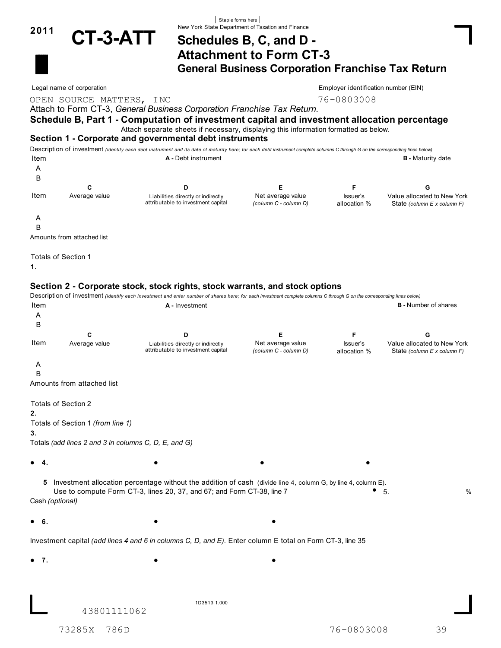

# New York State Department of Taxation and Finance **<sup>2011</sup> CT-3-ATT Schedules B, C, and D - Attachment to Form CT-3 General Business Corporation Franchise Tax Return**

OPEN SOURCE MATTERS, INC<br>
76-0803008

Legal name of corporation extension that the corporation extends the corporation of CIN) Employer identification number (EIN)

Attach to Form CT-3, *General Business Corporation Franchise Tax Return.*

### **Schedule B, Part 1 - Computation of investment capital and investment allocation percentage**

Attach separate sheets if necessary, displaying this information formatted as below.

Staple forms here

#### **Section 1 - Corporate and governmental debt instruments**

Description of investment *(identify each debt instrument and its date of maturity here; for each debt instrument complete columns C through G on the corresponding lines below)* Item **A -** Debt instrument **B -** Maturity date A

| Item | Average value | Liabilities directly or indirectly<br>attributable to investment capital | Net average value<br>(column C - column D) | Issuer's<br>allocation % | Value allocated to New York<br>State (column E x column F) |
|------|---------------|--------------------------------------------------------------------------|--------------------------------------------|--------------------------|------------------------------------------------------------|

A

B

Amounts from attached list

Totals of Section 1

**1.**

### **Section 2 - Corporate stock, stock rights, stock warrants, and stock options**

Description of investment *(identify each investment and enter number of shares here; for each investment complete columns C through G on the corresponding lines below)* **A** - Investment **A** - Investment **B** - Number of shares A B **C D E F G** Item Average value **Liabilities directly or indirectly** Met average value **Net average value** Susuer's Value allocated to New York *(column C - column D)* State *(column E x column F)* attributable to investment capital Issuer's allocation % A B Amounts from attached list Totals of Section 2 **2.** Totals of Section 1 *(from line 1)* **3.** Totals *(add lines 2 and 3 in columns C, D, E, and G)*  $\bullet$  4.  $\bullet$ **4. 5** Investment allocation percentage without the addition of cash (divide line 4, column G, by line 4, column E).<br>Use to compute Form CT-3, lines 20, 37, and 67; and Form CT-38, line 7 **6 6**. Cash *(optional)*  $\bullet$  6. **6.** Investment capital *(add lines 4 and 6 in columns C, D, and E)*. Enter column E total on Form CT-3, line 35  $\bullet$  7. **7.** 1D3513 1.000 43801111062 73285X 786D 76-0803008 39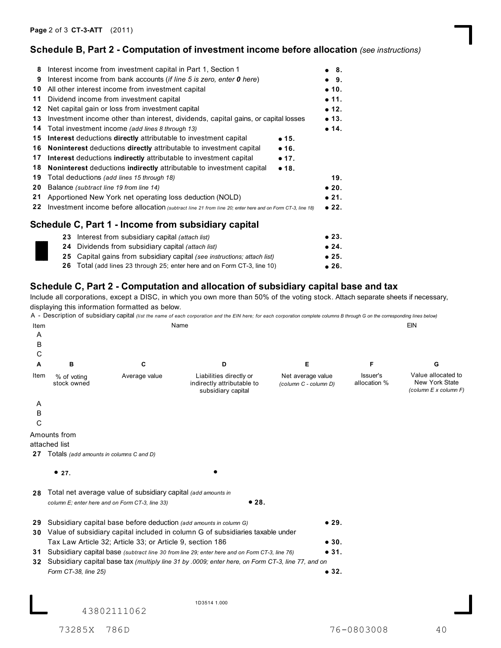### **Schedule B, Part 2 - Computation of investment income before allocation** *(see instructions)*

| 8  | Interest income from investment capital in Part 1, Section 1                                              | ● 8.          |
|----|-----------------------------------------------------------------------------------------------------------|---------------|
| 9  | Interest income from bank accounts <i>(if line 5 is zero, enter 0 here)</i>                               | • 9.          |
| 10 | All other interest income from investment capital                                                         | $\bullet$ 10. |
| 11 | Dividend income from investment capital                                                                   | • 11.         |
| 12 | Net capital gain or loss from investment capital                                                          | $\bullet$ 12. |
| 13 | Investment income other than interest, dividends, capital gains, or capital losses                        | • 13.         |
| 14 | Total investment income (add lines 8 through 13)                                                          | • 14.         |
| 15 | Interest deductions directly attributable to investment capital<br>• 15.                                  |               |
| 16 | Noninterest deductions directly attributable to investment capital<br>$\bullet$ 16.                       |               |
| 17 | Interest deductions indirectly attributable to investment capital<br>$\bullet$ 17.                        |               |
| 18 | Noninterest deductions indirectly attributable to investment capital<br>•18.                              |               |
| 19 | Total deductions (add lines 15 through 18)                                                                | 19.           |
| 20 | Balance (subtract line 19 from line 14)                                                                   | $\bullet$ 20. |
| 21 | Apportioned New York net operating loss deduction (NOLD)                                                  | $\bullet$ 21. |
| 22 | Investment income before allocation (subtract line 21 from line 20; enter here and on Form CT-3, line 18) | •22.          |
|    |                                                                                                           |               |
|    | Schedule C, Part 1 - Income from subsidiary capital                                                       |               |
|    | 23 Interest from subsidiary capital (attach list)                                                         | $\bullet$ 23. |
|    | <b>24</b> Dividends from subsidiary capital (attach list)                                                 | • 24.         |
|    |                                                                                                           |               |

**25** Capital gains from subsidiary capital *(see instructions; attach list)*

**26** Total (add lines 23 through 25; enter here and on Form CT-3, line 10)

# ● 25.<br>● 26. **Schedule C, Part 2 - Computation and allocation of subsidiary capital base and tax**

Include all corporations, except a DISC, in which you own more than 50% of the voting stock. Attach separate sheets if necessary, displaying this information formatted as below.

|      |                                            |                                                                    | A - Description of subsidiary capital (list the name of each corporation and the EIN here; for each corporation complete columns B through G on the corresponding lines below) |                                            |                          |                                                               |
|------|--------------------------------------------|--------------------------------------------------------------------|--------------------------------------------------------------------------------------------------------------------------------------------------------------------------------|--------------------------------------------|--------------------------|---------------------------------------------------------------|
| Item |                                            |                                                                    | Name                                                                                                                                                                           |                                            |                          | <b>EIN</b>                                                    |
| Α    |                                            |                                                                    |                                                                                                                                                                                |                                            |                          |                                                               |
| В    |                                            |                                                                    |                                                                                                                                                                                |                                            |                          |                                                               |
| С    |                                            |                                                                    |                                                                                                                                                                                |                                            |                          |                                                               |
| A    | в                                          | С                                                                  | D                                                                                                                                                                              | Е                                          | F                        | G                                                             |
| Item | % of voting<br>stock owned                 | Average value                                                      | Liabilities directly or<br>indirectly attributable to<br>subsidiary capital                                                                                                    | Net average value<br>(column C - column D) | Issuer's<br>allocation % | Value allocated to<br>New York State<br>(column E x column F) |
| Α    |                                            |                                                                    |                                                                                                                                                                                |                                            |                          |                                                               |
| B    |                                            |                                                                    |                                                                                                                                                                                |                                            |                          |                                                               |
| C    |                                            |                                                                    |                                                                                                                                                                                |                                            |                          |                                                               |
|      | Amounts from                               |                                                                    |                                                                                                                                                                                |                                            |                          |                                                               |
|      | attached list                              |                                                                    |                                                                                                                                                                                |                                            |                          |                                                               |
|      | 27 Totals (add amounts in columns C and D) |                                                                    |                                                                                                                                                                                |                                            |                          |                                                               |
|      |                                            |                                                                    |                                                                                                                                                                                |                                            |                          |                                                               |
|      | •27.                                       |                                                                    |                                                                                                                                                                                |                                            |                          |                                                               |
|      |                                            |                                                                    |                                                                                                                                                                                |                                            |                          |                                                               |
| 28   |                                            | Total net average value of subsidiary capital (add amounts in      |                                                                                                                                                                                |                                            |                          |                                                               |
|      |                                            | column E; enter here and on Form CT-3, line 33)                    | •28.                                                                                                                                                                           |                                            |                          |                                                               |
|      |                                            |                                                                    |                                                                                                                                                                                | •29.                                       |                          |                                                               |
| 29   |                                            | Subsidiary capital base before deduction (add amounts in column G) | 30 Value of subsidiary capital included in column G of subsidiaries taxable under                                                                                              |                                            |                          |                                                               |
|      |                                            | Tax Law Article 32; Article 33; or Article 9, section 186          |                                                                                                                                                                                | • 30.                                      |                          |                                                               |
|      |                                            |                                                                    | 31 Subsidiary capital base (subtract line 30 from line 29; enter here and on Form CT-3, line 76)                                                                               | • 31.                                      |                          |                                                               |
| 32   |                                            |                                                                    | Subsidiary capital base tax (multiply line 31 by .0009; enter here, on Form CT-3, line 77, and on                                                                              |                                            |                          |                                                               |
|      |                                            |                                                                    |                                                                                                                                                                                | • 32.                                      |                          |                                                               |
|      | Form CT-38, line 25)                       |                                                                    |                                                                                                                                                                                |                                            |                          |                                                               |
|      |                                            |                                                                    |                                                                                                                                                                                |                                            |                          |                                                               |
|      |                                            |                                                                    | 1D3514 1.000                                                                                                                                                                   |                                            |                          |                                                               |
|      |                                            | 43802111062                                                        |                                                                                                                                                                                |                                            |                          |                                                               |

73285X 786D 76-0803008 40

**25.**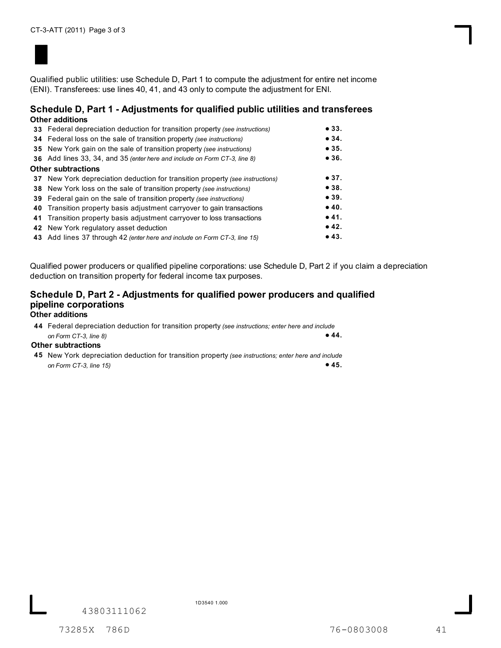

Qualified public utilities: use Schedule D, Part 1 to compute the adjustment for entire net income (ENI). Transferees: use lines 40, 41, and 43 only to compute the adjustment for ENI.

#### **Schedule D, Part 1 - Adjustments for qualified public utilities and transferees Other additions**

| Other additions                                                               |      |
|-------------------------------------------------------------------------------|------|
| 33 Federal depreciation deduction for transition property (see instructions)  | •33. |
| 34 Federal loss on the sale of transition property (see instructions)         | •34. |
| <b>35</b> New York gain on the sale of transition property (see instructions) | •35. |
| 36 Add lines 33, 34, and 35 (enter here and include on Form CT-3, line 8)     | •36. |
| Other subtractions                                                            |      |
| 37 New York depreciation deduction for transition property (see instructions) | •37. |
| <b>38</b> New York loss on the sale of transition property (see instructions) | •38. |
| <b>39</b> Federal gain on the sale of transition property (see instructions)  | •39. |
| 40 Transition property basis adjustment carryover to gain transactions        | •40. |
| 41 Transition property basis adjustment carryover to loss transactions        | •41. |
| 42 New York regulatory asset deduction                                        | •42. |
| 43 Add lines 37 through 42 (enter here and include on Form CT-3, line 15)     | •43. |
|                                                                               |      |

Qualified power producers or qualified pipeline corporations: use Schedule D, Part 2 if you claim a depreciation deduction on transition property for federal income tax purposes.

# **Schedule D, Part 2 - Adjustments for qualified power producers and qualified pipeline corporations**

### **Other additions**

 **44.** Federal depreciation deduction for transition property *(see instructions; enter here and include* **44** *on Form CT-3, line 8)*

#### **Other subtractions**

 **45** New York depreciation deduction for transition property *(see instructions; enter here and include* **45.** *on Form CT-3, line 15)*

43803111062

1D3540 1.000

73285X 786D 76-0803008 41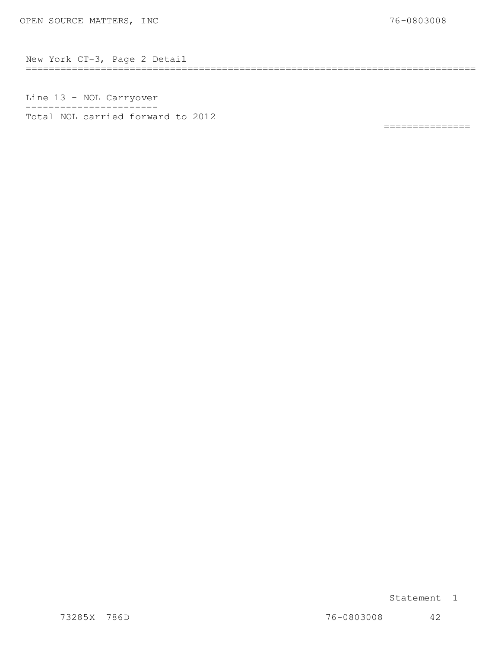============================================================================== New York CT-3, Page 2 Detail

Line 13 - NOL Carry over ----------------------- Line 13 - NOL Carryover<br>-----------------------<br>Total NOL carried forward to 2012

===============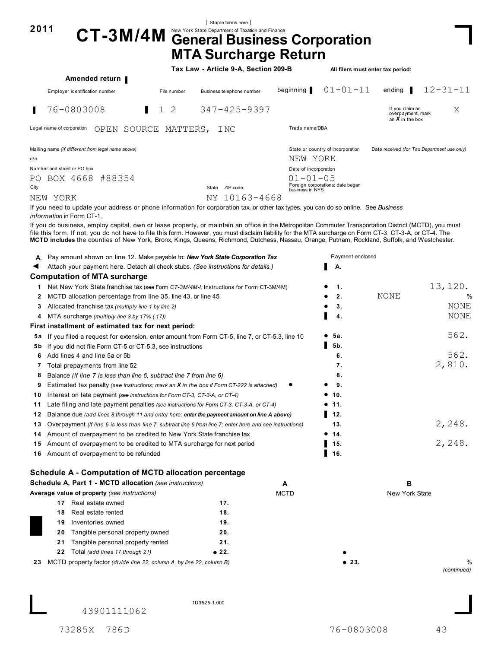| New York State Department of Taxation and Finance<br>$CT-3M/4M$<br><b>General Business Corporation</b><br><b>MTA Surcharge Return</b><br>Tax Law - Article 9-A, Section 209-B<br>All filers must enter tax period:<br>Amended return<br>$01 - 01 - 11$<br>$12 - 31 - 11$<br>beginning<br>ending $\blacksquare$<br>Employer identification number<br>File number<br>Business telephone number<br>1 <sub>2</sub><br>$347 - 425 - 9397$<br>76-0803008<br>If you claim an<br>Χ<br>overpayment, mark<br>an $X$ in the box<br>Trade name/DBA<br>Legal name of corporation<br>OPEN SOURCE MATTERS,<br>I NC<br>Mailing name (if different from legal name above)<br>State or country of incorporation<br>Date received (for Tax Department use only)<br>NEW YORK<br>Number and street or PO box<br>Date of incorporation<br>PO BOX 4668 #88354<br>$01 - 01 - 05$<br>Foreign corporations: date began<br>State ZIP code<br>business in NYS<br>NY 10163-4668<br>NEW YORK<br>If you need to update your address or phone information for corporation tax, or other tax types, you can do so online. See Business<br><i>information</i> in Form CT-1.<br>If you do business, employ capital, own or lease property, or maintain an office in the Metropolitan Commuter Transportation District (MCTD), you must<br>file this form. If not, you do not have to file this form. However, you must disclaim liability for the MTA surcharge on Form CT-3, CT-3-A, or CT-4. The<br>MCTD includes the counties of New York, Bronx, Kings, Queens, Richmond, Dutchess, Nassau, Orange, Putnam, Rockland, Suffolk, and Westchester.<br>Payment enclosed<br>A. Pay amount shown on line 12. Make payable to: New York State Corporation Tax<br>Attach your payment here. Detach all check stubs. (See instructions for details.)<br>А.<br><b>Computation of MTA surcharge</b><br>13, 120.<br>Net New York State franchise tax (see Form CT-3M/4M-I, Instructions for Form CT-3M/4M)<br>1.<br>$\mathbf{1}$<br>NONE<br>MCTD allocation percentage from line 35, line 43, or line 45<br>2.<br>2<br>3.<br>Allocated franchise tax (multiply line 1 by line 2)<br>3<br>MTA surcharge (multiply line 3 by 17% (.17))<br>4.<br>4<br>First installment of estimated tax for next period:<br>562.<br>5а.<br>5a If you filed a request for extension, enter amount from Form CT-5, line 7, or CT-5.3, line 10<br>5b.<br><b>5b</b> If you did not file Form CT-5 or CT-5.3, see instructions<br>562.<br>Add lines 4 and line 5a or 5b<br>6.<br>6<br>2,810.<br>7.<br>7 Total prepayments from line 52<br>8.<br>8<br>Balance (if line 7 is less than line 6, subtract line 7 from line 6)<br>9.<br>9<br>Estimated tax penalty (see instructions; mark an <b>X</b> in the box if Form CT-222 is attached)<br>● 10.<br>10 Interest on late payment (see instructions for Form CT-3, CT-3-A, or CT-4)<br>Late filing and late payment penalties (see instructions for Form CT-3, CT-3-A, or CT-4)<br>11.<br>▌ 12.<br>Balance due (add lines 8 through 11 and enter here; enter the payment amount on line A above)<br>2,248.<br>13.<br>Overpayment (if line 6 is less than line 7, subtract line 6 from line 7; enter here and see instructions)<br>Amount of overpayment to be credited to New York State franchise tax<br>• 14.<br>2,248.<br>Amount of overpayment to be credited to MTA surcharge for next period<br>15.<br>▌ 16.<br>Amount of overpayment to be refunded<br>Schedule A - Computation of MCTD allocation percentage<br>Schedule A, Part 1 - MCTD allocation (see instructions)<br>в<br>A<br>Average value of property (see instructions)<br><b>MCTD</b><br>New York State<br>17 Real estate owned<br>17.<br>18.<br>Real estate rented<br>18<br>Inventories owned<br>19.<br>19<br>Tangible personal property owned<br>20.<br>20<br>Tangible personal property rented<br>21.<br>21<br>22 Total (add lines 17 through 21)<br>● 22.<br>MCTD property factor (divide line 22, column A, by line 22, column B)<br>• 23. | 2011 |  | Staple forms here |  |                  |
|--------------------------------------------------------------------------------------------------------------------------------------------------------------------------------------------------------------------------------------------------------------------------------------------------------------------------------------------------------------------------------------------------------------------------------------------------------------------------------------------------------------------------------------------------------------------------------------------------------------------------------------------------------------------------------------------------------------------------------------------------------------------------------------------------------------------------------------------------------------------------------------------------------------------------------------------------------------------------------------------------------------------------------------------------------------------------------------------------------------------------------------------------------------------------------------------------------------------------------------------------------------------------------------------------------------------------------------------------------------------------------------------------------------------------------------------------------------------------------------------------------------------------------------------------------------------------------------------------------------------------------------------------------------------------------------------------------------------------------------------------------------------------------------------------------------------------------------------------------------------------------------------------------------------------------------------------------------------------------------------------------------------------------------------------------------------------------------------------------------------------------------------------------------------------------------------------------------------------------------------------------------------------------------------------------------------------------------------------------------------------------------------------------------------------------------------------------------------------------------------------------------------------------------------------------------------------------------------------------------------------------------------------------------------------------------------------------------------------------------------------------------------------------------------------------------------------------------------------------------------------------------------------------------------------------------------------------------------------------------------------------------------------------------------------------------------------------------------------------------------------------------------------------------------------------------------------------------------------------------------------------------------------------------------------------------------------------------------------------------------------------------------------------------------------------------------------------------------------------------------------------------------------------------------------------------------------------------------------------------------------------------------------------------------------------------------------------------------------------------------------------------------------------------------------------------------------------------------------------------------------------------------------------------------------------------------------------------------------------------------------|------|--|-------------------|--|------------------|
|                                                                                                                                                                                                                                                                                                                                                                                                                                                                                                                                                                                                                                                                                                                                                                                                                                                                                                                                                                                                                                                                                                                                                                                                                                                                                                                                                                                                                                                                                                                                                                                                                                                                                                                                                                                                                                                                                                                                                                                                                                                                                                                                                                                                                                                                                                                                                                                                                                                                                                                                                                                                                                                                                                                                                                                                                                                                                                                                                                                                                                                                                                                                                                                                                                                                                                                                                                                                                                                                                                                                                                                                                                                                                                                                                                                                                                                                                                                                                                                                  |      |  |                   |  |                  |
|                                                                                                                                                                                                                                                                                                                                                                                                                                                                                                                                                                                                                                                                                                                                                                                                                                                                                                                                                                                                                                                                                                                                                                                                                                                                                                                                                                                                                                                                                                                                                                                                                                                                                                                                                                                                                                                                                                                                                                                                                                                                                                                                                                                                                                                                                                                                                                                                                                                                                                                                                                                                                                                                                                                                                                                                                                                                                                                                                                                                                                                                                                                                                                                                                                                                                                                                                                                                                                                                                                                                                                                                                                                                                                                                                                                                                                                                                                                                                                                                  |      |  |                   |  |                  |
|                                                                                                                                                                                                                                                                                                                                                                                                                                                                                                                                                                                                                                                                                                                                                                                                                                                                                                                                                                                                                                                                                                                                                                                                                                                                                                                                                                                                                                                                                                                                                                                                                                                                                                                                                                                                                                                                                                                                                                                                                                                                                                                                                                                                                                                                                                                                                                                                                                                                                                                                                                                                                                                                                                                                                                                                                                                                                                                                                                                                                                                                                                                                                                                                                                                                                                                                                                                                                                                                                                                                                                                                                                                                                                                                                                                                                                                                                                                                                                                                  |      |  |                   |  |                  |
|                                                                                                                                                                                                                                                                                                                                                                                                                                                                                                                                                                                                                                                                                                                                                                                                                                                                                                                                                                                                                                                                                                                                                                                                                                                                                                                                                                                                                                                                                                                                                                                                                                                                                                                                                                                                                                                                                                                                                                                                                                                                                                                                                                                                                                                                                                                                                                                                                                                                                                                                                                                                                                                                                                                                                                                                                                                                                                                                                                                                                                                                                                                                                                                                                                                                                                                                                                                                                                                                                                                                                                                                                                                                                                                                                                                                                                                                                                                                                                                                  |      |  |                   |  |                  |
|                                                                                                                                                                                                                                                                                                                                                                                                                                                                                                                                                                                                                                                                                                                                                                                                                                                                                                                                                                                                                                                                                                                                                                                                                                                                                                                                                                                                                                                                                                                                                                                                                                                                                                                                                                                                                                                                                                                                                                                                                                                                                                                                                                                                                                                                                                                                                                                                                                                                                                                                                                                                                                                                                                                                                                                                                                                                                                                                                                                                                                                                                                                                                                                                                                                                                                                                                                                                                                                                                                                                                                                                                                                                                                                                                                                                                                                                                                                                                                                                  |      |  |                   |  |                  |
|                                                                                                                                                                                                                                                                                                                                                                                                                                                                                                                                                                                                                                                                                                                                                                                                                                                                                                                                                                                                                                                                                                                                                                                                                                                                                                                                                                                                                                                                                                                                                                                                                                                                                                                                                                                                                                                                                                                                                                                                                                                                                                                                                                                                                                                                                                                                                                                                                                                                                                                                                                                                                                                                                                                                                                                                                                                                                                                                                                                                                                                                                                                                                                                                                                                                                                                                                                                                                                                                                                                                                                                                                                                                                                                                                                                                                                                                                                                                                                                                  | П    |  |                   |  |                  |
|                                                                                                                                                                                                                                                                                                                                                                                                                                                                                                                                                                                                                                                                                                                                                                                                                                                                                                                                                                                                                                                                                                                                                                                                                                                                                                                                                                                                                                                                                                                                                                                                                                                                                                                                                                                                                                                                                                                                                                                                                                                                                                                                                                                                                                                                                                                                                                                                                                                                                                                                                                                                                                                                                                                                                                                                                                                                                                                                                                                                                                                                                                                                                                                                                                                                                                                                                                                                                                                                                                                                                                                                                                                                                                                                                                                                                                                                                                                                                                                                  |      |  |                   |  |                  |
|                                                                                                                                                                                                                                                                                                                                                                                                                                                                                                                                                                                                                                                                                                                                                                                                                                                                                                                                                                                                                                                                                                                                                                                                                                                                                                                                                                                                                                                                                                                                                                                                                                                                                                                                                                                                                                                                                                                                                                                                                                                                                                                                                                                                                                                                                                                                                                                                                                                                                                                                                                                                                                                                                                                                                                                                                                                                                                                                                                                                                                                                                                                                                                                                                                                                                                                                                                                                                                                                                                                                                                                                                                                                                                                                                                                                                                                                                                                                                                                                  |      |  |                   |  |                  |
|                                                                                                                                                                                                                                                                                                                                                                                                                                                                                                                                                                                                                                                                                                                                                                                                                                                                                                                                                                                                                                                                                                                                                                                                                                                                                                                                                                                                                                                                                                                                                                                                                                                                                                                                                                                                                                                                                                                                                                                                                                                                                                                                                                                                                                                                                                                                                                                                                                                                                                                                                                                                                                                                                                                                                                                                                                                                                                                                                                                                                                                                                                                                                                                                                                                                                                                                                                                                                                                                                                                                                                                                                                                                                                                                                                                                                                                                                                                                                                                                  | c/o  |  |                   |  |                  |
|                                                                                                                                                                                                                                                                                                                                                                                                                                                                                                                                                                                                                                                                                                                                                                                                                                                                                                                                                                                                                                                                                                                                                                                                                                                                                                                                                                                                                                                                                                                                                                                                                                                                                                                                                                                                                                                                                                                                                                                                                                                                                                                                                                                                                                                                                                                                                                                                                                                                                                                                                                                                                                                                                                                                                                                                                                                                                                                                                                                                                                                                                                                                                                                                                                                                                                                                                                                                                                                                                                                                                                                                                                                                                                                                                                                                                                                                                                                                                                                                  |      |  |                   |  |                  |
|                                                                                                                                                                                                                                                                                                                                                                                                                                                                                                                                                                                                                                                                                                                                                                                                                                                                                                                                                                                                                                                                                                                                                                                                                                                                                                                                                                                                                                                                                                                                                                                                                                                                                                                                                                                                                                                                                                                                                                                                                                                                                                                                                                                                                                                                                                                                                                                                                                                                                                                                                                                                                                                                                                                                                                                                                                                                                                                                                                                                                                                                                                                                                                                                                                                                                                                                                                                                                                                                                                                                                                                                                                                                                                                                                                                                                                                                                                                                                                                                  |      |  |                   |  |                  |
|                                                                                                                                                                                                                                                                                                                                                                                                                                                                                                                                                                                                                                                                                                                                                                                                                                                                                                                                                                                                                                                                                                                                                                                                                                                                                                                                                                                                                                                                                                                                                                                                                                                                                                                                                                                                                                                                                                                                                                                                                                                                                                                                                                                                                                                                                                                                                                                                                                                                                                                                                                                                                                                                                                                                                                                                                                                                                                                                                                                                                                                                                                                                                                                                                                                                                                                                                                                                                                                                                                                                                                                                                                                                                                                                                                                                                                                                                                                                                                                                  | City |  |                   |  |                  |
|                                                                                                                                                                                                                                                                                                                                                                                                                                                                                                                                                                                                                                                                                                                                                                                                                                                                                                                                                                                                                                                                                                                                                                                                                                                                                                                                                                                                                                                                                                                                                                                                                                                                                                                                                                                                                                                                                                                                                                                                                                                                                                                                                                                                                                                                                                                                                                                                                                                                                                                                                                                                                                                                                                                                                                                                                                                                                                                                                                                                                                                                                                                                                                                                                                                                                                                                                                                                                                                                                                                                                                                                                                                                                                                                                                                                                                                                                                                                                                                                  |      |  |                   |  |                  |
|                                                                                                                                                                                                                                                                                                                                                                                                                                                                                                                                                                                                                                                                                                                                                                                                                                                                                                                                                                                                                                                                                                                                                                                                                                                                                                                                                                                                                                                                                                                                                                                                                                                                                                                                                                                                                                                                                                                                                                                                                                                                                                                                                                                                                                                                                                                                                                                                                                                                                                                                                                                                                                                                                                                                                                                                                                                                                                                                                                                                                                                                                                                                                                                                                                                                                                                                                                                                                                                                                                                                                                                                                                                                                                                                                                                                                                                                                                                                                                                                  |      |  |                   |  |                  |
|                                                                                                                                                                                                                                                                                                                                                                                                                                                                                                                                                                                                                                                                                                                                                                                                                                                                                                                                                                                                                                                                                                                                                                                                                                                                                                                                                                                                                                                                                                                                                                                                                                                                                                                                                                                                                                                                                                                                                                                                                                                                                                                                                                                                                                                                                                                                                                                                                                                                                                                                                                                                                                                                                                                                                                                                                                                                                                                                                                                                                                                                                                                                                                                                                                                                                                                                                                                                                                                                                                                                                                                                                                                                                                                                                                                                                                                                                                                                                                                                  |      |  |                   |  |                  |
|                                                                                                                                                                                                                                                                                                                                                                                                                                                                                                                                                                                                                                                                                                                                                                                                                                                                                                                                                                                                                                                                                                                                                                                                                                                                                                                                                                                                                                                                                                                                                                                                                                                                                                                                                                                                                                                                                                                                                                                                                                                                                                                                                                                                                                                                                                                                                                                                                                                                                                                                                                                                                                                                                                                                                                                                                                                                                                                                                                                                                                                                                                                                                                                                                                                                                                                                                                                                                                                                                                                                                                                                                                                                                                                                                                                                                                                                                                                                                                                                  |      |  |                   |  |                  |
|                                                                                                                                                                                                                                                                                                                                                                                                                                                                                                                                                                                                                                                                                                                                                                                                                                                                                                                                                                                                                                                                                                                                                                                                                                                                                                                                                                                                                                                                                                                                                                                                                                                                                                                                                                                                                                                                                                                                                                                                                                                                                                                                                                                                                                                                                                                                                                                                                                                                                                                                                                                                                                                                                                                                                                                                                                                                                                                                                                                                                                                                                                                                                                                                                                                                                                                                                                                                                                                                                                                                                                                                                                                                                                                                                                                                                                                                                                                                                                                                  |      |  |                   |  |                  |
|                                                                                                                                                                                                                                                                                                                                                                                                                                                                                                                                                                                                                                                                                                                                                                                                                                                                                                                                                                                                                                                                                                                                                                                                                                                                                                                                                                                                                                                                                                                                                                                                                                                                                                                                                                                                                                                                                                                                                                                                                                                                                                                                                                                                                                                                                                                                                                                                                                                                                                                                                                                                                                                                                                                                                                                                                                                                                                                                                                                                                                                                                                                                                                                                                                                                                                                                                                                                                                                                                                                                                                                                                                                                                                                                                                                                                                                                                                                                                                                                  |      |  |                   |  |                  |
|                                                                                                                                                                                                                                                                                                                                                                                                                                                                                                                                                                                                                                                                                                                                                                                                                                                                                                                                                                                                                                                                                                                                                                                                                                                                                                                                                                                                                                                                                                                                                                                                                                                                                                                                                                                                                                                                                                                                                                                                                                                                                                                                                                                                                                                                                                                                                                                                                                                                                                                                                                                                                                                                                                                                                                                                                                                                                                                                                                                                                                                                                                                                                                                                                                                                                                                                                                                                                                                                                                                                                                                                                                                                                                                                                                                                                                                                                                                                                                                                  |      |  |                   |  |                  |
|                                                                                                                                                                                                                                                                                                                                                                                                                                                                                                                                                                                                                                                                                                                                                                                                                                                                                                                                                                                                                                                                                                                                                                                                                                                                                                                                                                                                                                                                                                                                                                                                                                                                                                                                                                                                                                                                                                                                                                                                                                                                                                                                                                                                                                                                                                                                                                                                                                                                                                                                                                                                                                                                                                                                                                                                                                                                                                                                                                                                                                                                                                                                                                                                                                                                                                                                                                                                                                                                                                                                                                                                                                                                                                                                                                                                                                                                                                                                                                                                  |      |  |                   |  |                  |
|                                                                                                                                                                                                                                                                                                                                                                                                                                                                                                                                                                                                                                                                                                                                                                                                                                                                                                                                                                                                                                                                                                                                                                                                                                                                                                                                                                                                                                                                                                                                                                                                                                                                                                                                                                                                                                                                                                                                                                                                                                                                                                                                                                                                                                                                                                                                                                                                                                                                                                                                                                                                                                                                                                                                                                                                                                                                                                                                                                                                                                                                                                                                                                                                                                                                                                                                                                                                                                                                                                                                                                                                                                                                                                                                                                                                                                                                                                                                                                                                  |      |  |                   |  |                  |
|                                                                                                                                                                                                                                                                                                                                                                                                                                                                                                                                                                                                                                                                                                                                                                                                                                                                                                                                                                                                                                                                                                                                                                                                                                                                                                                                                                                                                                                                                                                                                                                                                                                                                                                                                                                                                                                                                                                                                                                                                                                                                                                                                                                                                                                                                                                                                                                                                                                                                                                                                                                                                                                                                                                                                                                                                                                                                                                                                                                                                                                                                                                                                                                                                                                                                                                                                                                                                                                                                                                                                                                                                                                                                                                                                                                                                                                                                                                                                                                                  |      |  |                   |  | %                |
|                                                                                                                                                                                                                                                                                                                                                                                                                                                                                                                                                                                                                                                                                                                                                                                                                                                                                                                                                                                                                                                                                                                                                                                                                                                                                                                                                                                                                                                                                                                                                                                                                                                                                                                                                                                                                                                                                                                                                                                                                                                                                                                                                                                                                                                                                                                                                                                                                                                                                                                                                                                                                                                                                                                                                                                                                                                                                                                                                                                                                                                                                                                                                                                                                                                                                                                                                                                                                                                                                                                                                                                                                                                                                                                                                                                                                                                                                                                                                                                                  |      |  |                   |  | NONE             |
|                                                                                                                                                                                                                                                                                                                                                                                                                                                                                                                                                                                                                                                                                                                                                                                                                                                                                                                                                                                                                                                                                                                                                                                                                                                                                                                                                                                                                                                                                                                                                                                                                                                                                                                                                                                                                                                                                                                                                                                                                                                                                                                                                                                                                                                                                                                                                                                                                                                                                                                                                                                                                                                                                                                                                                                                                                                                                                                                                                                                                                                                                                                                                                                                                                                                                                                                                                                                                                                                                                                                                                                                                                                                                                                                                                                                                                                                                                                                                                                                  |      |  |                   |  | NONE             |
|                                                                                                                                                                                                                                                                                                                                                                                                                                                                                                                                                                                                                                                                                                                                                                                                                                                                                                                                                                                                                                                                                                                                                                                                                                                                                                                                                                                                                                                                                                                                                                                                                                                                                                                                                                                                                                                                                                                                                                                                                                                                                                                                                                                                                                                                                                                                                                                                                                                                                                                                                                                                                                                                                                                                                                                                                                                                                                                                                                                                                                                                                                                                                                                                                                                                                                                                                                                                                                                                                                                                                                                                                                                                                                                                                                                                                                                                                                                                                                                                  |      |  |                   |  |                  |
|                                                                                                                                                                                                                                                                                                                                                                                                                                                                                                                                                                                                                                                                                                                                                                                                                                                                                                                                                                                                                                                                                                                                                                                                                                                                                                                                                                                                                                                                                                                                                                                                                                                                                                                                                                                                                                                                                                                                                                                                                                                                                                                                                                                                                                                                                                                                                                                                                                                                                                                                                                                                                                                                                                                                                                                                                                                                                                                                                                                                                                                                                                                                                                                                                                                                                                                                                                                                                                                                                                                                                                                                                                                                                                                                                                                                                                                                                                                                                                                                  |      |  |                   |  |                  |
|                                                                                                                                                                                                                                                                                                                                                                                                                                                                                                                                                                                                                                                                                                                                                                                                                                                                                                                                                                                                                                                                                                                                                                                                                                                                                                                                                                                                                                                                                                                                                                                                                                                                                                                                                                                                                                                                                                                                                                                                                                                                                                                                                                                                                                                                                                                                                                                                                                                                                                                                                                                                                                                                                                                                                                                                                                                                                                                                                                                                                                                                                                                                                                                                                                                                                                                                                                                                                                                                                                                                                                                                                                                                                                                                                                                                                                                                                                                                                                                                  |      |  |                   |  |                  |
|                                                                                                                                                                                                                                                                                                                                                                                                                                                                                                                                                                                                                                                                                                                                                                                                                                                                                                                                                                                                                                                                                                                                                                                                                                                                                                                                                                                                                                                                                                                                                                                                                                                                                                                                                                                                                                                                                                                                                                                                                                                                                                                                                                                                                                                                                                                                                                                                                                                                                                                                                                                                                                                                                                                                                                                                                                                                                                                                                                                                                                                                                                                                                                                                                                                                                                                                                                                                                                                                                                                                                                                                                                                                                                                                                                                                                                                                                                                                                                                                  |      |  |                   |  |                  |
|                                                                                                                                                                                                                                                                                                                                                                                                                                                                                                                                                                                                                                                                                                                                                                                                                                                                                                                                                                                                                                                                                                                                                                                                                                                                                                                                                                                                                                                                                                                                                                                                                                                                                                                                                                                                                                                                                                                                                                                                                                                                                                                                                                                                                                                                                                                                                                                                                                                                                                                                                                                                                                                                                                                                                                                                                                                                                                                                                                                                                                                                                                                                                                                                                                                                                                                                                                                                                                                                                                                                                                                                                                                                                                                                                                                                                                                                                                                                                                                                  |      |  |                   |  |                  |
|                                                                                                                                                                                                                                                                                                                                                                                                                                                                                                                                                                                                                                                                                                                                                                                                                                                                                                                                                                                                                                                                                                                                                                                                                                                                                                                                                                                                                                                                                                                                                                                                                                                                                                                                                                                                                                                                                                                                                                                                                                                                                                                                                                                                                                                                                                                                                                                                                                                                                                                                                                                                                                                                                                                                                                                                                                                                                                                                                                                                                                                                                                                                                                                                                                                                                                                                                                                                                                                                                                                                                                                                                                                                                                                                                                                                                                                                                                                                                                                                  |      |  |                   |  |                  |
|                                                                                                                                                                                                                                                                                                                                                                                                                                                                                                                                                                                                                                                                                                                                                                                                                                                                                                                                                                                                                                                                                                                                                                                                                                                                                                                                                                                                                                                                                                                                                                                                                                                                                                                                                                                                                                                                                                                                                                                                                                                                                                                                                                                                                                                                                                                                                                                                                                                                                                                                                                                                                                                                                                                                                                                                                                                                                                                                                                                                                                                                                                                                                                                                                                                                                                                                                                                                                                                                                                                                                                                                                                                                                                                                                                                                                                                                                                                                                                                                  |      |  |                   |  |                  |
|                                                                                                                                                                                                                                                                                                                                                                                                                                                                                                                                                                                                                                                                                                                                                                                                                                                                                                                                                                                                                                                                                                                                                                                                                                                                                                                                                                                                                                                                                                                                                                                                                                                                                                                                                                                                                                                                                                                                                                                                                                                                                                                                                                                                                                                                                                                                                                                                                                                                                                                                                                                                                                                                                                                                                                                                                                                                                                                                                                                                                                                                                                                                                                                                                                                                                                                                                                                                                                                                                                                                                                                                                                                                                                                                                                                                                                                                                                                                                                                                  |      |  |                   |  |                  |
|                                                                                                                                                                                                                                                                                                                                                                                                                                                                                                                                                                                                                                                                                                                                                                                                                                                                                                                                                                                                                                                                                                                                                                                                                                                                                                                                                                                                                                                                                                                                                                                                                                                                                                                                                                                                                                                                                                                                                                                                                                                                                                                                                                                                                                                                                                                                                                                                                                                                                                                                                                                                                                                                                                                                                                                                                                                                                                                                                                                                                                                                                                                                                                                                                                                                                                                                                                                                                                                                                                                                                                                                                                                                                                                                                                                                                                                                                                                                                                                                  | 11   |  |                   |  |                  |
|                                                                                                                                                                                                                                                                                                                                                                                                                                                                                                                                                                                                                                                                                                                                                                                                                                                                                                                                                                                                                                                                                                                                                                                                                                                                                                                                                                                                                                                                                                                                                                                                                                                                                                                                                                                                                                                                                                                                                                                                                                                                                                                                                                                                                                                                                                                                                                                                                                                                                                                                                                                                                                                                                                                                                                                                                                                                                                                                                                                                                                                                                                                                                                                                                                                                                                                                                                                                                                                                                                                                                                                                                                                                                                                                                                                                                                                                                                                                                                                                  | 12   |  |                   |  |                  |
|                                                                                                                                                                                                                                                                                                                                                                                                                                                                                                                                                                                                                                                                                                                                                                                                                                                                                                                                                                                                                                                                                                                                                                                                                                                                                                                                                                                                                                                                                                                                                                                                                                                                                                                                                                                                                                                                                                                                                                                                                                                                                                                                                                                                                                                                                                                                                                                                                                                                                                                                                                                                                                                                                                                                                                                                                                                                                                                                                                                                                                                                                                                                                                                                                                                                                                                                                                                                                                                                                                                                                                                                                                                                                                                                                                                                                                                                                                                                                                                                  | 13   |  |                   |  |                  |
|                                                                                                                                                                                                                                                                                                                                                                                                                                                                                                                                                                                                                                                                                                                                                                                                                                                                                                                                                                                                                                                                                                                                                                                                                                                                                                                                                                                                                                                                                                                                                                                                                                                                                                                                                                                                                                                                                                                                                                                                                                                                                                                                                                                                                                                                                                                                                                                                                                                                                                                                                                                                                                                                                                                                                                                                                                                                                                                                                                                                                                                                                                                                                                                                                                                                                                                                                                                                                                                                                                                                                                                                                                                                                                                                                                                                                                                                                                                                                                                                  | 14   |  |                   |  |                  |
|                                                                                                                                                                                                                                                                                                                                                                                                                                                                                                                                                                                                                                                                                                                                                                                                                                                                                                                                                                                                                                                                                                                                                                                                                                                                                                                                                                                                                                                                                                                                                                                                                                                                                                                                                                                                                                                                                                                                                                                                                                                                                                                                                                                                                                                                                                                                                                                                                                                                                                                                                                                                                                                                                                                                                                                                                                                                                                                                                                                                                                                                                                                                                                                                                                                                                                                                                                                                                                                                                                                                                                                                                                                                                                                                                                                                                                                                                                                                                                                                  | 15   |  |                   |  |                  |
|                                                                                                                                                                                                                                                                                                                                                                                                                                                                                                                                                                                                                                                                                                                                                                                                                                                                                                                                                                                                                                                                                                                                                                                                                                                                                                                                                                                                                                                                                                                                                                                                                                                                                                                                                                                                                                                                                                                                                                                                                                                                                                                                                                                                                                                                                                                                                                                                                                                                                                                                                                                                                                                                                                                                                                                                                                                                                                                                                                                                                                                                                                                                                                                                                                                                                                                                                                                                                                                                                                                                                                                                                                                                                                                                                                                                                                                                                                                                                                                                  | 16.  |  |                   |  |                  |
|                                                                                                                                                                                                                                                                                                                                                                                                                                                                                                                                                                                                                                                                                                                                                                                                                                                                                                                                                                                                                                                                                                                                                                                                                                                                                                                                                                                                                                                                                                                                                                                                                                                                                                                                                                                                                                                                                                                                                                                                                                                                                                                                                                                                                                                                                                                                                                                                                                                                                                                                                                                                                                                                                                                                                                                                                                                                                                                                                                                                                                                                                                                                                                                                                                                                                                                                                                                                                                                                                                                                                                                                                                                                                                                                                                                                                                                                                                                                                                                                  |      |  |                   |  |                  |
|                                                                                                                                                                                                                                                                                                                                                                                                                                                                                                                                                                                                                                                                                                                                                                                                                                                                                                                                                                                                                                                                                                                                                                                                                                                                                                                                                                                                                                                                                                                                                                                                                                                                                                                                                                                                                                                                                                                                                                                                                                                                                                                                                                                                                                                                                                                                                                                                                                                                                                                                                                                                                                                                                                                                                                                                                                                                                                                                                                                                                                                                                                                                                                                                                                                                                                                                                                                                                                                                                                                                                                                                                                                                                                                                                                                                                                                                                                                                                                                                  |      |  |                   |  |                  |
|                                                                                                                                                                                                                                                                                                                                                                                                                                                                                                                                                                                                                                                                                                                                                                                                                                                                                                                                                                                                                                                                                                                                                                                                                                                                                                                                                                                                                                                                                                                                                                                                                                                                                                                                                                                                                                                                                                                                                                                                                                                                                                                                                                                                                                                                                                                                                                                                                                                                                                                                                                                                                                                                                                                                                                                                                                                                                                                                                                                                                                                                                                                                                                                                                                                                                                                                                                                                                                                                                                                                                                                                                                                                                                                                                                                                                                                                                                                                                                                                  |      |  |                   |  |                  |
|                                                                                                                                                                                                                                                                                                                                                                                                                                                                                                                                                                                                                                                                                                                                                                                                                                                                                                                                                                                                                                                                                                                                                                                                                                                                                                                                                                                                                                                                                                                                                                                                                                                                                                                                                                                                                                                                                                                                                                                                                                                                                                                                                                                                                                                                                                                                                                                                                                                                                                                                                                                                                                                                                                                                                                                                                                                                                                                                                                                                                                                                                                                                                                                                                                                                                                                                                                                                                                                                                                                                                                                                                                                                                                                                                                                                                                                                                                                                                                                                  |      |  |                   |  |                  |
|                                                                                                                                                                                                                                                                                                                                                                                                                                                                                                                                                                                                                                                                                                                                                                                                                                                                                                                                                                                                                                                                                                                                                                                                                                                                                                                                                                                                                                                                                                                                                                                                                                                                                                                                                                                                                                                                                                                                                                                                                                                                                                                                                                                                                                                                                                                                                                                                                                                                                                                                                                                                                                                                                                                                                                                                                                                                                                                                                                                                                                                                                                                                                                                                                                                                                                                                                                                                                                                                                                                                                                                                                                                                                                                                                                                                                                                                                                                                                                                                  |      |  |                   |  |                  |
|                                                                                                                                                                                                                                                                                                                                                                                                                                                                                                                                                                                                                                                                                                                                                                                                                                                                                                                                                                                                                                                                                                                                                                                                                                                                                                                                                                                                                                                                                                                                                                                                                                                                                                                                                                                                                                                                                                                                                                                                                                                                                                                                                                                                                                                                                                                                                                                                                                                                                                                                                                                                                                                                                                                                                                                                                                                                                                                                                                                                                                                                                                                                                                                                                                                                                                                                                                                                                                                                                                                                                                                                                                                                                                                                                                                                                                                                                                                                                                                                  |      |  |                   |  |                  |
|                                                                                                                                                                                                                                                                                                                                                                                                                                                                                                                                                                                                                                                                                                                                                                                                                                                                                                                                                                                                                                                                                                                                                                                                                                                                                                                                                                                                                                                                                                                                                                                                                                                                                                                                                                                                                                                                                                                                                                                                                                                                                                                                                                                                                                                                                                                                                                                                                                                                                                                                                                                                                                                                                                                                                                                                                                                                                                                                                                                                                                                                                                                                                                                                                                                                                                                                                                                                                                                                                                                                                                                                                                                                                                                                                                                                                                                                                                                                                                                                  |      |  |                   |  |                  |
|                                                                                                                                                                                                                                                                                                                                                                                                                                                                                                                                                                                                                                                                                                                                                                                                                                                                                                                                                                                                                                                                                                                                                                                                                                                                                                                                                                                                                                                                                                                                                                                                                                                                                                                                                                                                                                                                                                                                                                                                                                                                                                                                                                                                                                                                                                                                                                                                                                                                                                                                                                                                                                                                                                                                                                                                                                                                                                                                                                                                                                                                                                                                                                                                                                                                                                                                                                                                                                                                                                                                                                                                                                                                                                                                                                                                                                                                                                                                                                                                  |      |  |                   |  |                  |
|                                                                                                                                                                                                                                                                                                                                                                                                                                                                                                                                                                                                                                                                                                                                                                                                                                                                                                                                                                                                                                                                                                                                                                                                                                                                                                                                                                                                                                                                                                                                                                                                                                                                                                                                                                                                                                                                                                                                                                                                                                                                                                                                                                                                                                                                                                                                                                                                                                                                                                                                                                                                                                                                                                                                                                                                                                                                                                                                                                                                                                                                                                                                                                                                                                                                                                                                                                                                                                                                                                                                                                                                                                                                                                                                                                                                                                                                                                                                                                                                  |      |  |                   |  |                  |
|                                                                                                                                                                                                                                                                                                                                                                                                                                                                                                                                                                                                                                                                                                                                                                                                                                                                                                                                                                                                                                                                                                                                                                                                                                                                                                                                                                                                                                                                                                                                                                                                                                                                                                                                                                                                                                                                                                                                                                                                                                                                                                                                                                                                                                                                                                                                                                                                                                                                                                                                                                                                                                                                                                                                                                                                                                                                                                                                                                                                                                                                                                                                                                                                                                                                                                                                                                                                                                                                                                                                                                                                                                                                                                                                                                                                                                                                                                                                                                                                  | 23   |  |                   |  | %<br>(continued) |

43901111062

1D3525 1.000

73285X 786D 76-0803008 43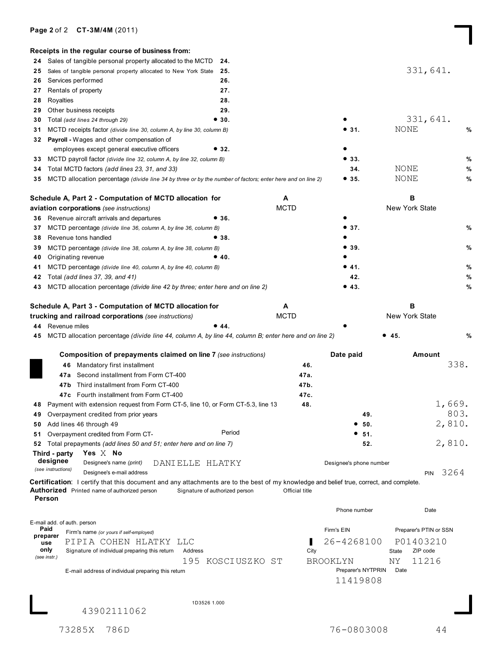## **Page 2**of 2 **CT-3M/4M** (2011)

|                  | Receipts in the regular course of business from:                                                                                                                                               |                                |                |                         |                        |        |
|------------------|------------------------------------------------------------------------------------------------------------------------------------------------------------------------------------------------|--------------------------------|----------------|-------------------------|------------------------|--------|
| 24               | Sales of tangible personal property allocated to the MCTD                                                                                                                                      | 24.                            |                |                         |                        |        |
| 25               | Sales of tangible personal property allocated to New York State                                                                                                                                | 25.                            |                |                         | 331,641.               |        |
| 26               | Services performed                                                                                                                                                                             | 26.                            |                |                         |                        |        |
| 27               | Rentals of property                                                                                                                                                                            | 27.                            |                |                         |                        |        |
| 28               | Royalties                                                                                                                                                                                      | 28.                            |                |                         |                        |        |
| 29               | Other business receipts                                                                                                                                                                        | 29.                            |                |                         |                        |        |
| 30               | Total (add lines 24 through 29)                                                                                                                                                                | •30.                           |                |                         | 331,641.               |        |
| 31               | MCTD receipts factor (divide line 30, column A, by line 30, column B)                                                                                                                          |                                |                | • 31.                   | NONE                   | %      |
| 32               | Payroll - Wages and other compensation of                                                                                                                                                      |                                |                |                         |                        |        |
|                  | employees except general executive officers                                                                                                                                                    | •32.                           |                |                         |                        |        |
| 33               | MCTD payroll factor (divide line 32, column A, by line 32, column B)                                                                                                                           |                                |                | •33.                    |                        | %      |
| 34               | Total MCTD factors (add lines 23, 31, and 33)                                                                                                                                                  |                                |                | 34.                     | NONE                   | %      |
| 35               | MCTD allocation percentage (divide line 34 by three or by the number of factors; enter here and on line 2)                                                                                     |                                |                | • 35.                   | NONE                   | %      |
|                  | Schedule A, Part 2 - Computation of MCTD allocation for                                                                                                                                        |                                | A              |                         | в                      |        |
|                  | aviation corporations (see instructions)                                                                                                                                                       |                                | <b>MCTD</b>    |                         | New York State         |        |
| 36.              | Revenue aircraft arrivals and departures                                                                                                                                                       | •36.                           |                |                         |                        |        |
| 37               | MCTD percentage (divide line 36, column A, by line 36, column B)                                                                                                                               |                                |                | • 37.                   |                        | %      |
| 38               | Revenue tons handled                                                                                                                                                                           | •38.                           |                |                         |                        |        |
| 39               | MCTD percentage (divide line 38, column A, by line 38, column B)                                                                                                                               |                                |                | • 39.                   |                        | $\%$   |
| 40               | Originating revenue                                                                                                                                                                            | •40.                           |                |                         |                        |        |
| 41               | MCTD percentage (divide line 40, column A, by line 40, column B)                                                                                                                               |                                |                | •41.                    |                        | %      |
| 42               | Total (add lines 37, 39, and 41)                                                                                                                                                               |                                |                | 42.                     |                        | %      |
| 43               | MCTD allocation percentage (divide line 42 by three; enter here and on line 2)                                                                                                                 |                                |                | • 43.                   |                        | %      |
|                  | Schedule A, Part 3 - Computation of MCTD allocation for<br>trucking and railroad corporations (see instructions)<br>44 Revenue miles                                                           | •44.                           | <b>MCTD</b>    |                         | New York State         |        |
| 45               | MCTD allocation percentage (divide line 44, column A, by line 44, column B; enter here and on line 2)                                                                                          |                                |                |                         | • 45.                  | %      |
|                  |                                                                                                                                                                                                |                                |                |                         |                        |        |
|                  | Composition of prepayments claimed on line 7 (see instructions)                                                                                                                                |                                |                | Date paid               | Amount                 |        |
|                  | 46 Mandatory first installment                                                                                                                                                                 |                                | 46.            |                         |                        | 338.   |
|                  | Second installment from Form CT-400<br>47a                                                                                                                                                     |                                | 47a.           |                         |                        |        |
|                  | 47b Third installment from Form CT-400                                                                                                                                                         |                                | 47b.           |                         |                        |        |
|                  | 47c Fourth installment from Form CT-400                                                                                                                                                        |                                | 47c.           |                         |                        |        |
|                  | 48 Payment with extension request from Form CT-5, line 10, or Form CT-5.3, line 13                                                                                                             |                                | 48.            |                         |                        | 1,669. |
|                  | 49 Overpayment credited from prior years                                                                                                                                                       |                                |                | 49.                     |                        | 803.   |
|                  | 50 Add lines 46 through 49                                                                                                                                                                     |                                |                | ● 50.                   |                        | 2,810. |
| 51               | Overpayment credited from Form CT-                                                                                                                                                             | Period                         |                | - 51.                   |                        |        |
|                  | 52 Total prepayments (add lines 50 and 51; enter here and on line 7)<br>Yes $X$ No<br>Third - party                                                                                            |                                |                | 52.                     |                        | 2,810. |
|                  | designee<br>Designee's name (print)<br>DANIELLE HLATKY                                                                                                                                         |                                |                | Designee's phone number |                        |        |
|                  | (see instructions)<br>Designee's e-mail address                                                                                                                                                |                                |                |                         | <b>PIN</b>             | 3264   |
|                  | Certification: I certify that this document and any attachments are to the best of my knowledge and belief true, correct, and complete.<br><b>Authorized</b> Printed name of authorized person | Signature of authorized person | Official title |                         |                        |        |
| Person           |                                                                                                                                                                                                |                                |                | Phone number            | Date                   |        |
|                  | E-mail add. of auth. person                                                                                                                                                                    |                                |                |                         |                        |        |
| Paid<br>preparer | Firm's name (or yours if self-employed)                                                                                                                                                        |                                |                | Firm's EIN              | Preparer's PTIN or SSN |        |
| use              | PIPIA COHEN HLATKY LLC                                                                                                                                                                         |                                |                | 26-4268100              | P01403210              |        |
| only             | Address<br>Signature of individual preparing this return                                                                                                                                       |                                | City           |                         | ZIP code<br>State      |        |
| (see instr.)     | 195                                                                                                                                                                                            | KOSCIUSZKO ST                  |                | <b>BROOKLYN</b>         | <b>NY</b><br>11216     |        |
|                  | E-mail address of individual preparing this return                                                                                                                                             |                                |                | Preparer's NYTPRIN      | Date                   |        |
|                  |                                                                                                                                                                                                |                                |                | 11419808                |                        |        |
|                  |                                                                                                                                                                                                |                                |                |                         |                        |        |
|                  | 1D3526 1.000                                                                                                                                                                                   |                                |                |                         |                        |        |
|                  | 43902111062                                                                                                                                                                                    |                                |                |                         |                        |        |
|                  |                                                                                                                                                                                                |                                |                |                         |                        |        |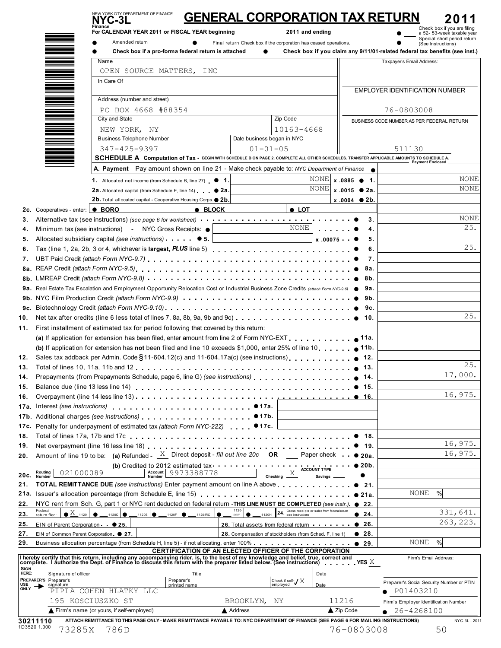|                                        | NYC-3L<br>Finance                                                                                                                                                                                                              |                                      | <b>GENERAL CORPORATION TAX RETURN</b>                              |                                                                        |                           | Check box if you are filing                                                                       |
|----------------------------------------|--------------------------------------------------------------------------------------------------------------------------------------------------------------------------------------------------------------------------------|--------------------------------------|--------------------------------------------------------------------|------------------------------------------------------------------------|---------------------------|---------------------------------------------------------------------------------------------------|
|                                        | For CALENDAR YEAR 2011 or FISCAL YEAR beginning<br>Amended return                                                                                                                                                              |                                      | 2011 and ending                                                    |                                                                        |                           | a 52- 53-week taxable year<br>Special short period return                                         |
|                                        | Check box if a pro-forma federal return is attached                                                                                                                                                                            |                                      | • Final return Check box if the corporation has ceased operations. |                                                                        |                           | (See Instructions)<br>Check box if you claim any 9/11/01-related federal tax benefits (see inst.) |
|                                        | Name                                                                                                                                                                                                                           |                                      |                                                                    |                                                                        | Taxpayer's Email Address: |                                                                                                   |
|                                        | OPEN SOURCE MATTERS, INC                                                                                                                                                                                                       |                                      |                                                                    |                                                                        |                           |                                                                                                   |
|                                        | In Care Of                                                                                                                                                                                                                     |                                      |                                                                    |                                                                        |                           |                                                                                                   |
|                                        |                                                                                                                                                                                                                                |                                      |                                                                    |                                                                        |                           | <b>EMPLOYER IDENTIFICATION NUMBER</b>                                                             |
|                                        | Address (number and street)                                                                                                                                                                                                    |                                      |                                                                    |                                                                        |                           |                                                                                                   |
|                                        | PO BOX 4668 #88354<br>City and State                                                                                                                                                                                           |                                      | Zip Code                                                           |                                                                        | 76-0803008                |                                                                                                   |
|                                        |                                                                                                                                                                                                                                |                                      | 10163-4668                                                         |                                                                        |                           | BUSINESS CODE NUMBER AS PER FEDERAL RETURN                                                        |
|                                        | NEW YORK, NY<br><b>Business Telephone Number</b>                                                                                                                                                                               |                                      | Date business began in NYC                                         |                                                                        |                           |                                                                                                   |
|                                        | 347-425-9397                                                                                                                                                                                                                   |                                      | $01 - 01 - 05$                                                     |                                                                        | 511130                    |                                                                                                   |
|                                        | SCHEDULE A Computation of Tax - BEGIN WITH SCHEDULE B ON PAGE 2. COMPLETE ALL OTHER SCHEDULES. TRANSFER APPLICABLE AMOUNTS TO SCHEDULE A.                                                                                      |                                      |                                                                    |                                                                        |                           |                                                                                                   |
|                                        | A. Payment   Pay amount shown on line 21 - Make check payable to: NYC Department of Finance                                                                                                                                    |                                      |                                                                    |                                                                        |                           | Payment Enclosed.                                                                                 |
|                                        | 1. Allocated net income (from Schedule B, line 27) $\bullet$ 1.                                                                                                                                                                |                                      | <b>NONE</b>                                                        | $x.0885$ $\bullet$ 1.                                                  |                           | <b>NONE</b>                                                                                       |
|                                        | 2a. Allocated capital (from Schedule E, line 14) 2a.                                                                                                                                                                           |                                      | <b>NONE</b>                                                        | $x.0015$ $\bullet$ 2a.                                                 |                           | <b>NONE</b>                                                                                       |
|                                        | 2b. Total allocated capital - Cooperative Housing Corps. <sup>2b.</sup>                                                                                                                                                        |                                      |                                                                    | $x.0004$ 2b.                                                           |                           |                                                                                                   |
| 2c. Cooperatives - enter: <b>CEORO</b> |                                                                                                                                                                                                                                | $\bullet$ BLOCK                      | $\bullet$ LOT                                                      |                                                                        |                           |                                                                                                   |
|                                        | Alternative tax (see instructions) (see page 6 for worksheet) enter-independent contained to the set of the set of the set of the set of the set of the set of the set of the set of the set of the set of the set of the set  |                                      |                                                                    | 3.                                                                     |                           | <b>NONE</b>                                                                                       |
|                                        | Minimum tax (see instructions) - NYC Gross Receipts: $\bullet$                                                                                                                                                                 |                                      | NONE                                                               | $\mathbf{r} = \mathbf{r} + \mathbf{r} + \mathbf{r} + \mathbf{r}$<br>4. |                           | 25.                                                                                               |
|                                        | Allocated subsidiary capital (see instructions) $\bullet$ 5.                                                                                                                                                                   |                                      |                                                                    | $x.00075 = 0$<br>5.                                                    |                           |                                                                                                   |
|                                        |                                                                                                                                                                                                                                |                                      |                                                                    | 6.                                                                     |                           | 25.                                                                                               |
|                                        |                                                                                                                                                                                                                                |                                      |                                                                    | 7.                                                                     |                           |                                                                                                   |
|                                        |                                                                                                                                                                                                                                |                                      |                                                                    | 8a.                                                                    |                           |                                                                                                   |
|                                        |                                                                                                                                                                                                                                |                                      |                                                                    |                                                                        |                           |                                                                                                   |
|                                        | 9a. Real Estate Tax Escalation and Employment Opportunity Relocation Cost or Industrial Business Zone Credits (attach Form NYC-9.6) . 9 9a.                                                                                    |                                      |                                                                    |                                                                        |                           |                                                                                                   |
|                                        |                                                                                                                                                                                                                                |                                      |                                                                    |                                                                        |                           |                                                                                                   |
|                                        |                                                                                                                                                                                                                                |                                      |                                                                    |                                                                        |                           | 25.                                                                                               |
|                                        | 11. First installment of estimated tax for period following that covered by this return:                                                                                                                                       |                                      |                                                                    |                                                                        |                           |                                                                                                   |
|                                        | (a) If application for extension has been filed, enter amount from line 2 of Form NYC-EXT $\ldots$ ,                                                                                                                           |                                      |                                                                    | 11a.                                                                   |                           |                                                                                                   |
|                                        | <b>(b)</b> If application for extension has not been filed and line 10 exceeds \$1,000, enter 25% of line 10                                                                                                                   |                                      |                                                                    |                                                                        |                           |                                                                                                   |
|                                        | Sales tax addback per Admin. Code § 11-604.12(c) and 11-604.17a(c) (see instructions).                                                                                                                                         |                                      |                                                                    | 12.                                                                    |                           |                                                                                                   |
|                                        |                                                                                                                                                                                                                                |                                      |                                                                    | 13.                                                                    |                           | 25.                                                                                               |
|                                        |                                                                                                                                                                                                                                |                                      |                                                                    | 14.                                                                    |                           | 17,000.                                                                                           |
|                                        |                                                                                                                                                                                                                                |                                      |                                                                    | 15.                                                                    |                           |                                                                                                   |
|                                        |                                                                                                                                                                                                                                |                                      |                                                                    | • 16.                                                                  |                           | 16,975.                                                                                           |
|                                        | Interest (see instructions) expansion of the set of the set of the set of the set of the set of the set of the                                                                                                                 |                                      | •17a.                                                              |                                                                        |                           |                                                                                                   |
|                                        | Additional charges (see instructions) extending the state of the state of the state of the state of the state of the state of the state of the state of the state of the state of the state of the state of the state of the s |                                      | •17b.                                                              |                                                                        |                           |                                                                                                   |
|                                        | Penalty for underpayment of estimated tax (attach Form NYC-222) ● 17c.                                                                                                                                                         |                                      |                                                                    |                                                                        |                           |                                                                                                   |
|                                        |                                                                                                                                                                                                                                |                                      |                                                                    | 18.                                                                    |                           | 16,975.                                                                                           |
|                                        | Amount of line 19 to be: (a) Refunded - $\frac{X}{X}$ Direct deposit - fill out line 20c OR __ Paper check $\bullet$ 20a.                                                                                                      |                                      |                                                                    | -19.                                                                   |                           | 16,975.                                                                                           |
|                                        | (b) Credited to 2012 estimated tax                                                                                                                                                                                             |                                      |                                                                    | 20 <sub>b</sub>                                                        |                           |                                                                                                   |
| 021000089<br>Routing<br>Number         | Account 9973388778                                                                                                                                                                                                             |                                      | ACCOUNT TYPE<br>X<br>Checking _<br><b>Savings</b>                  |                                                                        |                           |                                                                                                   |
|                                        | TOTAL REMITTANCE DUE (see instructions) Enter payment amount on line A above                                                                                                                                                   |                                      |                                                                    | 21.                                                                    |                           |                                                                                                   |
|                                        |                                                                                                                                                                                                                                |                                      |                                                                    | • 21a.                                                                 |                           | <b>NONE</b><br>%                                                                                  |
|                                        | NYC rent from Sch. G, part 1 or NYC rent deducted on federal return -THIS LINE MUST BE COMPLETED (see instr.). ● 22.                                                                                                           |                                      |                                                                    |                                                                        |                           |                                                                                                   |
| Federal<br>return filed:               | $\bullet$ $\frac{X}{X}$ 1120 $\bullet$ 11200 $\bullet$ 1120s $\bullet$ 1120F $\bullet$ 1120F                                                                                                                                   | $1120 -$<br>$\bullet$<br><b>REIT</b> | 24. Gross receipts or sales from federal return<br>1120H           | • 24.                                                                  |                           | 331,641.                                                                                          |
|                                        | EIN of Parent Corporation ● 25.                                                                                                                                                                                                |                                      | 26. Total assets from federal return                               | • 26.                                                                  |                           | 263, 223.                                                                                         |
|                                        | EIN of Common Parent Corporation @ 27.                                                                                                                                                                                         |                                      | 28. Compensation of stockholders (from Sched. F, line 1)           | $\bullet$ 28.                                                          |                           |                                                                                                   |
|                                        |                                                                                                                                                                                                                                |                                      |                                                                    |                                                                        |                           | NONE<br>%                                                                                         |
|                                        |                                                                                                                                                                                                                                |                                      | CERTIFICATION OF AN ELECTED OFFICER OF THE CORPORATION             |                                                                        |                           | Firm's Email Address:                                                                             |
|                                        | Thereby certify that this return, including any accompanying rider, is, to the best of my knowledge and belief, true, correct and complete. I authorize the Dept. of Finance to discuss this return with the preparer listed b |                                      |                                                                    |                                                                        |                           |                                                                                                   |
|                                        |                                                                                                                                                                                                                                |                                      | Date                                                               |                                                                        |                           |                                                                                                   |
| Signature of officer                   | Title                                                                                                                                                                                                                          |                                      |                                                                    |                                                                        |                           |                                                                                                   |
| PREPARER'S Preparer's<br>signature     | Preparer's<br>printed name                                                                                                                                                                                                     |                                      | Check if self- $\sqrt{X}$<br>Date<br>employed                      |                                                                        |                           | Preparer's Social Security Number or PTIN                                                         |
|                                        | PIPIA COHEN HLATKY LLC<br>195 KOSCIUSZKO ST                                                                                                                                                                                    | BROOKLYN,                            | ΝY                                                                 | 11216                                                                  | P01403210                 | Firm's Employer Identification Number                                                             |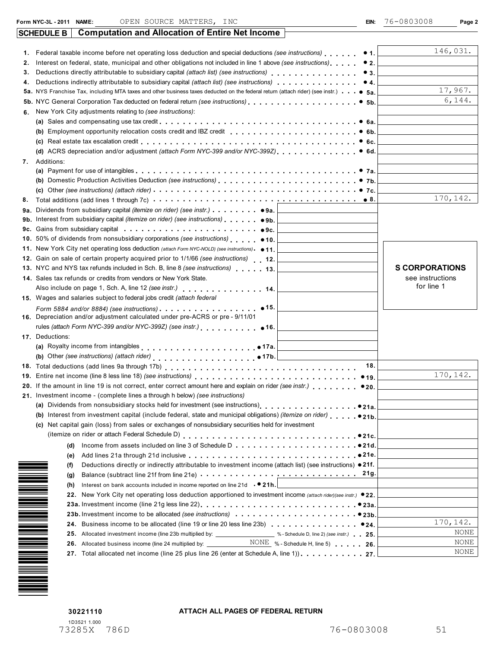| Federal taxable income before net operating loss deduction and special deductions (see instructions)<br>• 1.<br>Interest on federal, state, municipal and other obligations not included in line 1 above (see instructions)<br>•2.<br>2.<br>Deductions directly attributable to subsidiary capital (attach list) (see instructions)<br>•3.<br>З.<br>Deductions indirectly attributable to subsidiary capital <i>(attach list) (see instructions)</i><br>•4.<br>4.<br>5b. NYC General Corporation Tax deducted on federal return (see instructions)<br>•5b.<br>New York City adjustments relating to (see instructions):<br>6.<br>(a) Sales and compensating use tax credit $\ldots \ldots \ldots \ldots \ldots \ldots \ldots \ldots \ldots \ldots \ldots$<br>(b) Employment opportunity relocation costs credit and IBZ credit<br>• 6b.<br>• 6c.<br>Additions:<br>7.<br>8.<br>Dividends from subsidiary capital <i>(itemize on rider)</i> (see <i>instr.</i> ) 9a.<br>9a.<br>Interest from subsidiary capital <i>(itemize on rider)</i> (see <i>instructions</i> ) $\bullet$ <b>.</b> $\bullet$ <b>9b</b> .<br>9b.<br>Gains from subsidiary capital enterprised in the case of the second state of the second state of the second state of the second state of the second state of the second state of the second state of the second state of the s<br>9с.<br>11. New York City net operating loss deduction (attach Form NYC-NOLD) (see instructions) • 11.<br>12. Gain on sale of certain property acquired prior to 1/1/66 (see instructions) 12.<br>13. NYC and NYS tax refunds included in Sch. B, line 8 (see instructions) 13.<br>14. Sales tax refunds or credits from vendors or New York State.<br>Also include on page 1, Sch. A, line 12 (see instr.) 14.<br>15. Wages and salaries subject to federal jobs credit (attach federal<br>$\bullet$ 15.<br>16. Depreciation and/or adjustment calculated under pre-ACRS or pre - 9/11/01<br>rules (attach Form NYC-399 and/or NYC-399Z) (see instr.)<br>•16.<br>17. Deductions:<br>(b) Other (see instructions) (attach rider) entitled as a set of the set of the set of the set of the set of the set of the set of the set of the set of the set of the set of the set of the set of the set of the set of the<br>18.<br>19. Entire net income (line 8 less line 18) (see instructions)<br>•19. | 146,031.<br>17,967.<br>6,144.<br>170, 142. |
|-------------------------------------------------------------------------------------------------------------------------------------------------------------------------------------------------------------------------------------------------------------------------------------------------------------------------------------------------------------------------------------------------------------------------------------------------------------------------------------------------------------------------------------------------------------------------------------------------------------------------------------------------------------------------------------------------------------------------------------------------------------------------------------------------------------------------------------------------------------------------------------------------------------------------------------------------------------------------------------------------------------------------------------------------------------------------------------------------------------------------------------------------------------------------------------------------------------------------------------------------------------------------------------------------------------------------------------------------------------------------------------------------------------------------------------------------------------------------------------------------------------------------------------------------------------------------------------------------------------------------------------------------------------------------------------------------------------------------------------------------------------------------------------------------------------------------------------------------------------------------------------------------------------------------------------------------------------------------------------------------------------------------------------------------------------------------------------------------------------------------------------------------------------------------------------------------------------------------------------------------------------------------------------------------------------------------------------------------------------|--------------------------------------------|
|                                                                                                                                                                                                                                                                                                                                                                                                                                                                                                                                                                                                                                                                                                                                                                                                                                                                                                                                                                                                                                                                                                                                                                                                                                                                                                                                                                                                                                                                                                                                                                                                                                                                                                                                                                                                                                                                                                                                                                                                                                                                                                                                                                                                                                                                                                                                                             |                                            |
|                                                                                                                                                                                                                                                                                                                                                                                                                                                                                                                                                                                                                                                                                                                                                                                                                                                                                                                                                                                                                                                                                                                                                                                                                                                                                                                                                                                                                                                                                                                                                                                                                                                                                                                                                                                                                                                                                                                                                                                                                                                                                                                                                                                                                                                                                                                                                             |                                            |
|                                                                                                                                                                                                                                                                                                                                                                                                                                                                                                                                                                                                                                                                                                                                                                                                                                                                                                                                                                                                                                                                                                                                                                                                                                                                                                                                                                                                                                                                                                                                                                                                                                                                                                                                                                                                                                                                                                                                                                                                                                                                                                                                                                                                                                                                                                                                                             |                                            |
|                                                                                                                                                                                                                                                                                                                                                                                                                                                                                                                                                                                                                                                                                                                                                                                                                                                                                                                                                                                                                                                                                                                                                                                                                                                                                                                                                                                                                                                                                                                                                                                                                                                                                                                                                                                                                                                                                                                                                                                                                                                                                                                                                                                                                                                                                                                                                             |                                            |
|                                                                                                                                                                                                                                                                                                                                                                                                                                                                                                                                                                                                                                                                                                                                                                                                                                                                                                                                                                                                                                                                                                                                                                                                                                                                                                                                                                                                                                                                                                                                                                                                                                                                                                                                                                                                                                                                                                                                                                                                                                                                                                                                                                                                                                                                                                                                                             |                                            |
|                                                                                                                                                                                                                                                                                                                                                                                                                                                                                                                                                                                                                                                                                                                                                                                                                                                                                                                                                                                                                                                                                                                                                                                                                                                                                                                                                                                                                                                                                                                                                                                                                                                                                                                                                                                                                                                                                                                                                                                                                                                                                                                                                                                                                                                                                                                                                             |                                            |
|                                                                                                                                                                                                                                                                                                                                                                                                                                                                                                                                                                                                                                                                                                                                                                                                                                                                                                                                                                                                                                                                                                                                                                                                                                                                                                                                                                                                                                                                                                                                                                                                                                                                                                                                                                                                                                                                                                                                                                                                                                                                                                                                                                                                                                                                                                                                                             |                                            |
|                                                                                                                                                                                                                                                                                                                                                                                                                                                                                                                                                                                                                                                                                                                                                                                                                                                                                                                                                                                                                                                                                                                                                                                                                                                                                                                                                                                                                                                                                                                                                                                                                                                                                                                                                                                                                                                                                                                                                                                                                                                                                                                                                                                                                                                                                                                                                             |                                            |
|                                                                                                                                                                                                                                                                                                                                                                                                                                                                                                                                                                                                                                                                                                                                                                                                                                                                                                                                                                                                                                                                                                                                                                                                                                                                                                                                                                                                                                                                                                                                                                                                                                                                                                                                                                                                                                                                                                                                                                                                                                                                                                                                                                                                                                                                                                                                                             |                                            |
|                                                                                                                                                                                                                                                                                                                                                                                                                                                                                                                                                                                                                                                                                                                                                                                                                                                                                                                                                                                                                                                                                                                                                                                                                                                                                                                                                                                                                                                                                                                                                                                                                                                                                                                                                                                                                                                                                                                                                                                                                                                                                                                                                                                                                                                                                                                                                             |                                            |
|                                                                                                                                                                                                                                                                                                                                                                                                                                                                                                                                                                                                                                                                                                                                                                                                                                                                                                                                                                                                                                                                                                                                                                                                                                                                                                                                                                                                                                                                                                                                                                                                                                                                                                                                                                                                                                                                                                                                                                                                                                                                                                                                                                                                                                                                                                                                                             |                                            |
|                                                                                                                                                                                                                                                                                                                                                                                                                                                                                                                                                                                                                                                                                                                                                                                                                                                                                                                                                                                                                                                                                                                                                                                                                                                                                                                                                                                                                                                                                                                                                                                                                                                                                                                                                                                                                                                                                                                                                                                                                                                                                                                                                                                                                                                                                                                                                             |                                            |
|                                                                                                                                                                                                                                                                                                                                                                                                                                                                                                                                                                                                                                                                                                                                                                                                                                                                                                                                                                                                                                                                                                                                                                                                                                                                                                                                                                                                                                                                                                                                                                                                                                                                                                                                                                                                                                                                                                                                                                                                                                                                                                                                                                                                                                                                                                                                                             |                                            |
|                                                                                                                                                                                                                                                                                                                                                                                                                                                                                                                                                                                                                                                                                                                                                                                                                                                                                                                                                                                                                                                                                                                                                                                                                                                                                                                                                                                                                                                                                                                                                                                                                                                                                                                                                                                                                                                                                                                                                                                                                                                                                                                                                                                                                                                                                                                                                             |                                            |
|                                                                                                                                                                                                                                                                                                                                                                                                                                                                                                                                                                                                                                                                                                                                                                                                                                                                                                                                                                                                                                                                                                                                                                                                                                                                                                                                                                                                                                                                                                                                                                                                                                                                                                                                                                                                                                                                                                                                                                                                                                                                                                                                                                                                                                                                                                                                                             |                                            |
|                                                                                                                                                                                                                                                                                                                                                                                                                                                                                                                                                                                                                                                                                                                                                                                                                                                                                                                                                                                                                                                                                                                                                                                                                                                                                                                                                                                                                                                                                                                                                                                                                                                                                                                                                                                                                                                                                                                                                                                                                                                                                                                                                                                                                                                                                                                                                             |                                            |
|                                                                                                                                                                                                                                                                                                                                                                                                                                                                                                                                                                                                                                                                                                                                                                                                                                                                                                                                                                                                                                                                                                                                                                                                                                                                                                                                                                                                                                                                                                                                                                                                                                                                                                                                                                                                                                                                                                                                                                                                                                                                                                                                                                                                                                                                                                                                                             |                                            |
|                                                                                                                                                                                                                                                                                                                                                                                                                                                                                                                                                                                                                                                                                                                                                                                                                                                                                                                                                                                                                                                                                                                                                                                                                                                                                                                                                                                                                                                                                                                                                                                                                                                                                                                                                                                                                                                                                                                                                                                                                                                                                                                                                                                                                                                                                                                                                             |                                            |
|                                                                                                                                                                                                                                                                                                                                                                                                                                                                                                                                                                                                                                                                                                                                                                                                                                                                                                                                                                                                                                                                                                                                                                                                                                                                                                                                                                                                                                                                                                                                                                                                                                                                                                                                                                                                                                                                                                                                                                                                                                                                                                                                                                                                                                                                                                                                                             |                                            |
|                                                                                                                                                                                                                                                                                                                                                                                                                                                                                                                                                                                                                                                                                                                                                                                                                                                                                                                                                                                                                                                                                                                                                                                                                                                                                                                                                                                                                                                                                                                                                                                                                                                                                                                                                                                                                                                                                                                                                                                                                                                                                                                                                                                                                                                                                                                                                             |                                            |
|                                                                                                                                                                                                                                                                                                                                                                                                                                                                                                                                                                                                                                                                                                                                                                                                                                                                                                                                                                                                                                                                                                                                                                                                                                                                                                                                                                                                                                                                                                                                                                                                                                                                                                                                                                                                                                                                                                                                                                                                                                                                                                                                                                                                                                                                                                                                                             |                                            |
|                                                                                                                                                                                                                                                                                                                                                                                                                                                                                                                                                                                                                                                                                                                                                                                                                                                                                                                                                                                                                                                                                                                                                                                                                                                                                                                                                                                                                                                                                                                                                                                                                                                                                                                                                                                                                                                                                                                                                                                                                                                                                                                                                                                                                                                                                                                                                             |                                            |
|                                                                                                                                                                                                                                                                                                                                                                                                                                                                                                                                                                                                                                                                                                                                                                                                                                                                                                                                                                                                                                                                                                                                                                                                                                                                                                                                                                                                                                                                                                                                                                                                                                                                                                                                                                                                                                                                                                                                                                                                                                                                                                                                                                                                                                                                                                                                                             |                                            |
|                                                                                                                                                                                                                                                                                                                                                                                                                                                                                                                                                                                                                                                                                                                                                                                                                                                                                                                                                                                                                                                                                                                                                                                                                                                                                                                                                                                                                                                                                                                                                                                                                                                                                                                                                                                                                                                                                                                                                                                                                                                                                                                                                                                                                                                                                                                                                             | <b>S CORPORATIONS</b>                      |
|                                                                                                                                                                                                                                                                                                                                                                                                                                                                                                                                                                                                                                                                                                                                                                                                                                                                                                                                                                                                                                                                                                                                                                                                                                                                                                                                                                                                                                                                                                                                                                                                                                                                                                                                                                                                                                                                                                                                                                                                                                                                                                                                                                                                                                                                                                                                                             | see instructions<br>for line 1             |
|                                                                                                                                                                                                                                                                                                                                                                                                                                                                                                                                                                                                                                                                                                                                                                                                                                                                                                                                                                                                                                                                                                                                                                                                                                                                                                                                                                                                                                                                                                                                                                                                                                                                                                                                                                                                                                                                                                                                                                                                                                                                                                                                                                                                                                                                                                                                                             |                                            |
|                                                                                                                                                                                                                                                                                                                                                                                                                                                                                                                                                                                                                                                                                                                                                                                                                                                                                                                                                                                                                                                                                                                                                                                                                                                                                                                                                                                                                                                                                                                                                                                                                                                                                                                                                                                                                                                                                                                                                                                                                                                                                                                                                                                                                                                                                                                                                             |                                            |
|                                                                                                                                                                                                                                                                                                                                                                                                                                                                                                                                                                                                                                                                                                                                                                                                                                                                                                                                                                                                                                                                                                                                                                                                                                                                                                                                                                                                                                                                                                                                                                                                                                                                                                                                                                                                                                                                                                                                                                                                                                                                                                                                                                                                                                                                                                                                                             |                                            |
|                                                                                                                                                                                                                                                                                                                                                                                                                                                                                                                                                                                                                                                                                                                                                                                                                                                                                                                                                                                                                                                                                                                                                                                                                                                                                                                                                                                                                                                                                                                                                                                                                                                                                                                                                                                                                                                                                                                                                                                                                                                                                                                                                                                                                                                                                                                                                             |                                            |
|                                                                                                                                                                                                                                                                                                                                                                                                                                                                                                                                                                                                                                                                                                                                                                                                                                                                                                                                                                                                                                                                                                                                                                                                                                                                                                                                                                                                                                                                                                                                                                                                                                                                                                                                                                                                                                                                                                                                                                                                                                                                                                                                                                                                                                                                                                                                                             |                                            |
|                                                                                                                                                                                                                                                                                                                                                                                                                                                                                                                                                                                                                                                                                                                                                                                                                                                                                                                                                                                                                                                                                                                                                                                                                                                                                                                                                                                                                                                                                                                                                                                                                                                                                                                                                                                                                                                                                                                                                                                                                                                                                                                                                                                                                                                                                                                                                             |                                            |
|                                                                                                                                                                                                                                                                                                                                                                                                                                                                                                                                                                                                                                                                                                                                                                                                                                                                                                                                                                                                                                                                                                                                                                                                                                                                                                                                                                                                                                                                                                                                                                                                                                                                                                                                                                                                                                                                                                                                                                                                                                                                                                                                                                                                                                                                                                                                                             |                                            |
|                                                                                                                                                                                                                                                                                                                                                                                                                                                                                                                                                                                                                                                                                                                                                                                                                                                                                                                                                                                                                                                                                                                                                                                                                                                                                                                                                                                                                                                                                                                                                                                                                                                                                                                                                                                                                                                                                                                                                                                                                                                                                                                                                                                                                                                                                                                                                             |                                            |
|                                                                                                                                                                                                                                                                                                                                                                                                                                                                                                                                                                                                                                                                                                                                                                                                                                                                                                                                                                                                                                                                                                                                                                                                                                                                                                                                                                                                                                                                                                                                                                                                                                                                                                                                                                                                                                                                                                                                                                                                                                                                                                                                                                                                                                                                                                                                                             | 170, 142.                                  |
| 20. If the amount in line 19 is not correct, enter correct amount here and explain on rider (see instr.)<br>●20.                                                                                                                                                                                                                                                                                                                                                                                                                                                                                                                                                                                                                                                                                                                                                                                                                                                                                                                                                                                                                                                                                                                                                                                                                                                                                                                                                                                                                                                                                                                                                                                                                                                                                                                                                                                                                                                                                                                                                                                                                                                                                                                                                                                                                                            |                                            |
| 21. Investment income - (complete lines a through h below) (see instructions)                                                                                                                                                                                                                                                                                                                                                                                                                                                                                                                                                                                                                                                                                                                                                                                                                                                                                                                                                                                                                                                                                                                                                                                                                                                                                                                                                                                                                                                                                                                                                                                                                                                                                                                                                                                                                                                                                                                                                                                                                                                                                                                                                                                                                                                                               |                                            |
| (a) Dividends from nonsubsidiary stocks held for investment (see instructions)<br>and the structions)<br>121a.                                                                                                                                                                                                                                                                                                                                                                                                                                                                                                                                                                                                                                                                                                                                                                                                                                                                                                                                                                                                                                                                                                                                                                                                                                                                                                                                                                                                                                                                                                                                                                                                                                                                                                                                                                                                                                                                                                                                                                                                                                                                                                                                                                                                                                              |                                            |
|                                                                                                                                                                                                                                                                                                                                                                                                                                                                                                                                                                                                                                                                                                                                                                                                                                                                                                                                                                                                                                                                                                                                                                                                                                                                                                                                                                                                                                                                                                                                                                                                                                                                                                                                                                                                                                                                                                                                                                                                                                                                                                                                                                                                                                                                                                                                                             |                                            |
| (c) Net capital gain (loss) from sales or exchanges of nonsubsidiary securities held for investment                                                                                                                                                                                                                                                                                                                                                                                                                                                                                                                                                                                                                                                                                                                                                                                                                                                                                                                                                                                                                                                                                                                                                                                                                                                                                                                                                                                                                                                                                                                                                                                                                                                                                                                                                                                                                                                                                                                                                                                                                                                                                                                                                                                                                                                         |                                            |
|                                                                                                                                                                                                                                                                                                                                                                                                                                                                                                                                                                                                                                                                                                                                                                                                                                                                                                                                                                                                                                                                                                                                                                                                                                                                                                                                                                                                                                                                                                                                                                                                                                                                                                                                                                                                                                                                                                                                                                                                                                                                                                                                                                                                                                                                                                                                                             |                                            |
| (d)                                                                                                                                                                                                                                                                                                                                                                                                                                                                                                                                                                                                                                                                                                                                                                                                                                                                                                                                                                                                                                                                                                                                                                                                                                                                                                                                                                                                                                                                                                                                                                                                                                                                                                                                                                                                                                                                                                                                                                                                                                                                                                                                                                                                                                                                                                                                                         |                                            |
| Add lines 21a through 21d inclusive entering to the set of the set of the set of the set of the set of the set of the set of the set of the set of the set of the set of the set of the set of the set of the set of the set o<br>(e)                                                                                                                                                                                                                                                                                                                                                                                                                                                                                                                                                                                                                                                                                                                                                                                                                                                                                                                                                                                                                                                                                                                                                                                                                                                                                                                                                                                                                                                                                                                                                                                                                                                                                                                                                                                                                                                                                                                                                                                                                                                                                                                       |                                            |
| Deductions directly or indirectly attributable to investment income (attach list) (see instructions) •21f.<br>(f)                                                                                                                                                                                                                                                                                                                                                                                                                                                                                                                                                                                                                                                                                                                                                                                                                                                                                                                                                                                                                                                                                                                                                                                                                                                                                                                                                                                                                                                                                                                                                                                                                                                                                                                                                                                                                                                                                                                                                                                                                                                                                                                                                                                                                                           |                                            |
| (g)                                                                                                                                                                                                                                                                                                                                                                                                                                                                                                                                                                                                                                                                                                                                                                                                                                                                                                                                                                                                                                                                                                                                                                                                                                                                                                                                                                                                                                                                                                                                                                                                                                                                                                                                                                                                                                                                                                                                                                                                                                                                                                                                                                                                                                                                                                                                                         |                                            |
| Interest on bank accounts included in income reported on line 21d $\cdot$ • 21h.<br>(h)                                                                                                                                                                                                                                                                                                                                                                                                                                                                                                                                                                                                                                                                                                                                                                                                                                                                                                                                                                                                                                                                                                                                                                                                                                                                                                                                                                                                                                                                                                                                                                                                                                                                                                                                                                                                                                                                                                                                                                                                                                                                                                                                                                                                                                                                     |                                            |
| 22. New York City net operating loss deduction apportioned to investment income (attach rider)(see instr.) ●22.                                                                                                                                                                                                                                                                                                                                                                                                                                                                                                                                                                                                                                                                                                                                                                                                                                                                                                                                                                                                                                                                                                                                                                                                                                                                                                                                                                                                                                                                                                                                                                                                                                                                                                                                                                                                                                                                                                                                                                                                                                                                                                                                                                                                                                             |                                            |
|                                                                                                                                                                                                                                                                                                                                                                                                                                                                                                                                                                                                                                                                                                                                                                                                                                                                                                                                                                                                                                                                                                                                                                                                                                                                                                                                                                                                                                                                                                                                                                                                                                                                                                                                                                                                                                                                                                                                                                                                                                                                                                                                                                                                                                                                                                                                                             |                                            |
|                                                                                                                                                                                                                                                                                                                                                                                                                                                                                                                                                                                                                                                                                                                                                                                                                                                                                                                                                                                                                                                                                                                                                                                                                                                                                                                                                                                                                                                                                                                                                                                                                                                                                                                                                                                                                                                                                                                                                                                                                                                                                                                                                                                                                                                                                                                                                             |                                            |
|                                                                                                                                                                                                                                                                                                                                                                                                                                                                                                                                                                                                                                                                                                                                                                                                                                                                                                                                                                                                                                                                                                                                                                                                                                                                                                                                                                                                                                                                                                                                                                                                                                                                                                                                                                                                                                                                                                                                                                                                                                                                                                                                                                                                                                                                                                                                                             |                                            |
| 25. Allocated investment income (line 23b multiplied by: _______________________ % - Schedule D, line 2) (see instr.) 25.                                                                                                                                                                                                                                                                                                                                                                                                                                                                                                                                                                                                                                                                                                                                                                                                                                                                                                                                                                                                                                                                                                                                                                                                                                                                                                                                                                                                                                                                                                                                                                                                                                                                                                                                                                                                                                                                                                                                                                                                                                                                                                                                                                                                                                   | 170, 142.                                  |
| 26. Allocated business income (line 24 multiplied by: $\frac{NONE}{s}$ % - Schedule H, line 5) 26.                                                                                                                                                                                                                                                                                                                                                                                                                                                                                                                                                                                                                                                                                                                                                                                                                                                                                                                                                                                                                                                                                                                                                                                                                                                                                                                                                                                                                                                                                                                                                                                                                                                                                                                                                                                                                                                                                                                                                                                                                                                                                                                                                                                                                                                          | NONE                                       |
| N MINIMUNISTIKA KUNINGRAFI KUNINGRAFI KUNINGRAFI KUNINGRAFI KUNINGRAFI KUNINGRAFI KUNINGRAFI KUNINGRAFI KUNING<br>27. Total allocated net income (line 25 plus line 26 (enter at Schedule A, line 1)). 27.                                                                                                                                                                                                                                                                                                                                                                                                                                                                                                                                                                                                                                                                                                                                                                                                                                                                                                                                                                                                                                                                                                                                                                                                                                                                                                                                                                                                                                                                                                                                                                                                                                                                                                                                                                                                                                                                                                                                                                                                                                                                                                                                                  | NONE                                       |
|                                                                                                                                                                                                                                                                                                                                                                                                                                                                                                                                                                                                                                                                                                                                                                                                                                                                                                                                                                                                                                                                                                                                                                                                                                                                                                                                                                                                                                                                                                                                                                                                                                                                                                                                                                                                                                                                                                                                                                                                                                                                                                                                                                                                                                                                                                                                                             | NONE                                       |
|                                                                                                                                                                                                                                                                                                                                                                                                                                                                                                                                                                                                                                                                                                                                                                                                                                                                                                                                                                                                                                                                                                                                                                                                                                                                                                                                                                                                                                                                                                                                                                                                                                                                                                                                                                                                                                                                                                                                                                                                                                                                                                                                                                                                                                                                                                                                                             |                                            |
|                                                                                                                                                                                                                                                                                                                                                                                                                                                                                                                                                                                                                                                                                                                                                                                                                                                                                                                                                                                                                                                                                                                                                                                                                                                                                                                                                                                                                                                                                                                                                                                                                                                                                                                                                                                                                                                                                                                                                                                                                                                                                                                                                                                                                                                                                                                                                             |                                            |

**Form NYC-3L - 2011 NAME: EIN: Page 2** OPEN SOURCE MATTERS, INC 76-0803008

#### **30221110 ATTACH ALL PAGES OF FEDERAL RETURN**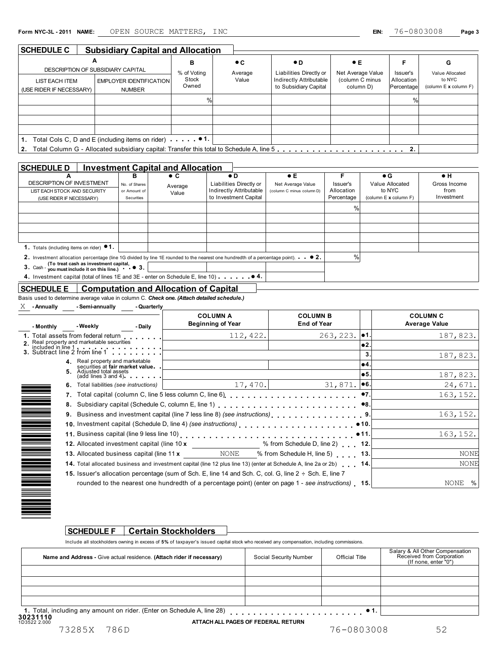| <b>SCHEDULE C</b>                          | <b>Subsidiary Capital and Allocation</b>                      |                |             |                                                  |                              |                          |                                           |
|--------------------------------------------|---------------------------------------------------------------|----------------|-------------|--------------------------------------------------|------------------------------|--------------------------|-------------------------------------------|
|                                            | А                                                             | в              | $\bullet$ C | $\bullet$ D                                      | $\bullet$ E                  | F                        | G                                         |
|                                            | DESCRIPTION OF SUBSIDIARY CAPITAL                             | % of Voting    | Average     | Liabilities Directly or                          | Net Average Value            | Issuer's                 | Value Allocated                           |
| LIST EACH ITEM<br>(USE RIDER IF NECESSARY) | EMPLOYER IDENTIFICATION<br><b>NUMBER</b>                      | Stock<br>Owned | Value       | Indirectly Attributable<br>to Subsidiary Capital | (column C minus<br>column D) | Allocation<br>Percentage | to NYC<br>(column $E \times$ column $F$ ) |
|                                            |                                                               |                |             |                                                  |                              | $\%$                     |                                           |
|                                            |                                                               |                |             |                                                  |                              |                          |                                           |
|                                            |                                                               |                |             |                                                  |                              |                          |                                           |
|                                            |                                                               |                |             |                                                  |                              |                          |                                           |
| 1.                                         | Total Cols C, D and E (including items on rider) $\bullet$ 1. |                |             |                                                  |                              |                          |                                           |
|                                            |                                                               |                |             |                                                  |                              |                          |                                           |

#### **SCHEDULE D Investment Capital and Allocation**

| <b>SCHEDULE D</b>                                                                                                                         |               | <b>Investment Capital and Allocation</b> |                         |                           |            |                            |              |
|-------------------------------------------------------------------------------------------------------------------------------------------|---------------|------------------------------------------|-------------------------|---------------------------|------------|----------------------------|--------------|
| A                                                                                                                                         | в             | $\bullet$ C                              | $\bullet$ D             | $\bullet$ E               |            | $\bullet$ G                | $\bullet$ H  |
| <b>DESCRIPTION OF INVESTMENT</b>                                                                                                          | No. of Shares | Average                                  | Liabilities Directly or | Net Average Value         | Issuer's   | Value Allocated            | Gross Income |
| LIST EACH STOCK AND SECURITY                                                                                                              | or Amount of  | Value                                    | Indirectly Attributable | (column C minus column D) | Allocation | to NYC                     | from         |
| (USE RIDER IF NECESSARY)                                                                                                                  | Securities    |                                          | to Investment Capital   |                           | Percentage | (column $E$ x column $F$ ) | Investment   |
|                                                                                                                                           |               |                                          |                         |                           | 0/2        |                            |              |
|                                                                                                                                           |               |                                          |                         |                           |            |                            |              |
|                                                                                                                                           |               |                                          |                         |                           |            |                            |              |
|                                                                                                                                           |               |                                          |                         |                           |            |                            |              |
| 1. Totals (including items on rider) <sup>1</sup> .                                                                                       |               |                                          |                         |                           |            |                            |              |
| 2. Investment allocation percentage (line 1G divided by line 1E rounded to the nearest one hundredth of a percentage point). $\bullet$ 2. |               |                                          |                         |                           | $\%$       |                            |              |
| 3. Cash - you must include it on this line.) $\bullet$ 3.                                                                                 |               |                                          |                         |                           |            |                            |              |
| 4. Investment capital (total of lines 1E and 3E - enter on Schedule E, line 10) $\cdots$ $\bullet$ 4.                                     |               |                                          |                         |                           |            |                            |              |
|                                                                                                                                           |               |                                          |                         |                           |            |                            |              |

### **SCHEDULE E Computation and Allocation of Capital**

Basis used to determine average value in column C. *Check one. (Attach detailed schedule.)*

| Χ<br>- Semi-annually<br>- Quarterly<br>- Annually |
|---------------------------------------------------|
|---------------------------------------------------|

| - Monthly                                            | - Weekly                                                           | - Daily                                | <b>COLUMN A</b><br><b>Beginning of Year</b>                                                                         | <b>COLUMN B</b><br><b>End of Year</b> |                | <b>COLUMN C</b><br><b>Average Value</b> |
|------------------------------------------------------|--------------------------------------------------------------------|----------------------------------------|---------------------------------------------------------------------------------------------------------------------|---------------------------------------|----------------|-----------------------------------------|
|                                                      | 1. Total assets from federal return                                |                                        | 112, 422.                                                                                                           | 263, 223.                             | •1.            | 187,823.                                |
|                                                      |                                                                    |                                        |                                                                                                                     |                                       | $\bullet$ 2    |                                         |
|                                                      |                                                                    |                                        |                                                                                                                     |                                       | 3.             | 187,823.                                |
|                                                      | 4. Real property and marketable<br>securities at fair market value |                                        |                                                                                                                     |                                       | $^{\bullet 4}$ |                                         |
|                                                      | <b>5.</b> Adjusted total assets                                    | $(\text{add lines } 3 \text{ and } 4)$ |                                                                                                                     |                                       | •5.            | 187,823.                                |
|                                                      | 6. Total liabilities (see instructions)                            |                                        | 17,470.                                                                                                             | 31,871.                               | ∣●6.           | 24,671.                                 |
|                                                      |                                                                    |                                        |                                                                                                                     |                                       |                | 163, 152.                               |
|                                                      |                                                                    |                                        |                                                                                                                     |                                       |                |                                         |
|                                                      |                                                                    |                                        |                                                                                                                     |                                       |                | 163, 152.                               |
|                                                      |                                                                    |                                        |                                                                                                                     |                                       |                |                                         |
|                                                      |                                                                    |                                        |                                                                                                                     |                                       |                | 163, 152.                               |
|                                                      |                                                                    |                                        |                                                                                                                     |                                       |                |                                         |
|                                                      |                                                                    |                                        | 13. Allocated business capital (line 11 x NONE % from Schedule H, line 5) 13.                                       |                                       |                | <b>NONE</b>                             |
|                                                      |                                                                    |                                        | 14. Total allocated business and investment capital (line 12 plus line 13) (enter at Schedule A, line 2a or 2b) 14. |                                       |                | <b>NONE</b>                             |
|                                                      |                                                                    |                                        | 15. Issuer's allocation percentage (sum of Sch. E, line 14 and Sch. C, col. G, line $2 \div$ Sch. E, line 7         |                                       |                |                                         |
|                                                      |                                                                    |                                        | rounded to the nearest one hundredth of a percentage point) (enter on page 1 - see instructions) 15.                |                                       |                | NONE<br>%                               |
| N HI MANIJI NA MANGA PANAMANG PANAMANG PANAMANG PANG |                                                                    |                                        |                                                                                                                     |                                       |                |                                         |

#### **SCHEDULE F Certain Stockholders**

Include all stockholders owning in excess of **5%** of taxpayer's issued capital stock who received any compensation, including commissions.

| Name and Address - Give actual residence. (Attach rider if necessary)                | Social Security Number | <b>Official Title</b> | Salary & All Other Compensation<br>Received from Corporation<br>(If none, enter "0") |
|--------------------------------------------------------------------------------------|------------------------|-----------------------|--------------------------------------------------------------------------------------|
|                                                                                      |                        |                       |                                                                                      |
|                                                                                      |                        |                       |                                                                                      |
|                                                                                      |                        |                       |                                                                                      |
|                                                                                      |                        |                       |                                                                                      |
| 1. Total, including any amount on rider. (Enter on Schedule A, line 28)<br>,,,,,,,,, |                        |                       |                                                                                      |

**30231110**<br>1D3522 2.000

**ATTACH ALL PAGES OF FEDERAL RETURN**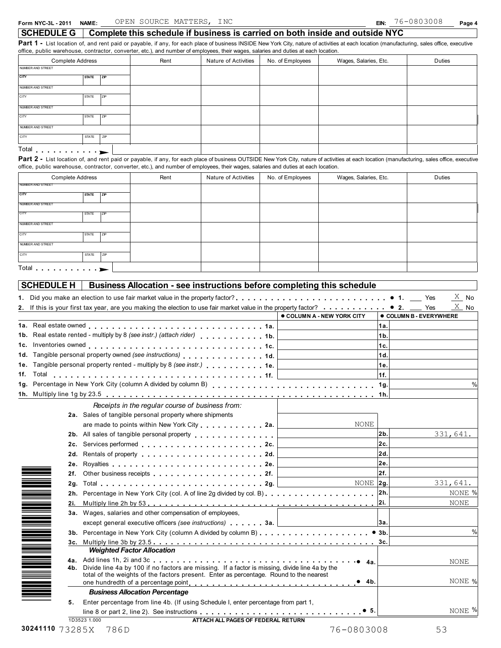**SCHEDULE G Complete this schedule if business is carried on both inside and outside NYC**

Part 1 - List location of, and rent paid or payable, if any, for each place of business INSIDE New York City, nature of activities at each location (manufacturing, sales office, executive office, public warehouse, contractor, converter, etc.), and number of employees, their wages, salaries and duties at each location.

|                                  | <b>Complete Address</b> |           | Rent | Nature of Activities | No. of Employees | Wages, Salaries, Etc.                                                                                                                                                                        | Duties |
|----------------------------------|-------------------------|-----------|------|----------------------|------------------|----------------------------------------------------------------------------------------------------------------------------------------------------------------------------------------------|--------|
| NUMBER AND STREET                |                         |           |      |                      |                  |                                                                                                                                                                                              |        |
| <b>CITY</b>                      | <b>STATE</b>            | <b>ZP</b> |      |                      |                  |                                                                                                                                                                                              |        |
| NUMBER AND STREET                |                         |           |      |                      |                  |                                                                                                                                                                                              |        |
| <b>CITY</b>                      | <b>STATE</b>            | 7IP       |      |                      |                  |                                                                                                                                                                                              |        |
| NUMBER AND STREET                |                         |           |      |                      |                  |                                                                                                                                                                                              |        |
| CITY                             | <b>STATE</b>            | ZP        |      |                      |                  |                                                                                                                                                                                              |        |
| NUMBER AND STREET                |                         |           |      |                      |                  |                                                                                                                                                                                              |        |
| <b>CITY</b>                      | <b>STATE</b>            | ZIP       |      |                      |                  |                                                                                                                                                                                              |        |
| Total $\ldots$ $\ldots$ $\ldots$ |                         |           |      |                      |                  |                                                                                                                                                                                              |        |
|                                  |                         |           |      |                      |                  | Part 2 - List location of, and rent paid or payable, if any, for each place of business OUTSIDE New York City, nature of activities at each location (manufacturing, sales office, executive |        |

office, public warehouse, contractor, converter, etc.), and number of employees, their wages, salaries and duties at each location.

| Complete Address                     |              | Rent | Nature of Activities | No. of Employees | Wages, Salaries, Etc. | Duties |  |
|--------------------------------------|--------------|------|----------------------|------------------|-----------------------|--------|--|
| NUMBER AND STREET                    |              |      |                      |                  |                       |        |  |
| <b>CITY</b>                          | <b>STATE</b> | ZIP  |                      |                  |                       |        |  |
| NUMBER AND STREET                    |              |      |                      |                  |                       |        |  |
| CITY                                 | <b>STATE</b> | ZIP  |                      |                  |                       |        |  |
| NUMBER AND STREET                    |              |      |                      |                  |                       |        |  |
| <b>CITY</b>                          | <b>STATE</b> | ZIP  |                      |                  |                       |        |  |
| NUMBER AND STREET                    |              |      |                      |                  |                       |        |  |
| CITY                                 | STATE        | ZIP  |                      |                  |                       |        |  |
| Total $\ldots$ $\blacktriangleright$ |              |      |                      |                  |                       |        |  |

|                                                                                                                                                                                                                                                                                                                 |                                 |                | $X$ No                       |
|-----------------------------------------------------------------------------------------------------------------------------------------------------------------------------------------------------------------------------------------------------------------------------------------------------------------|---------------------------------|----------------|------------------------------|
|                                                                                                                                                                                                                                                                                                                 | <b>COLUMN A - NEW YORK CITY</b> |                | <b>COLUMN B - EVERYWHERE</b> |
|                                                                                                                                                                                                                                                                                                                 |                                 | 1а.            |                              |
| 1b. Real estate rented - multiply by 8 (see instr.) (attach rider) 1b.                                                                                                                                                                                                                                          |                                 | 1 <sub>b</sub> |                              |
|                                                                                                                                                                                                                                                                                                                 |                                 | 1c.            |                              |
| 1d. Tangible personal property owned (see instructions) 1d.                                                                                                                                                                                                                                                     |                                 | 1d.            |                              |
| 1e. Tangible personal property rented - multiply by 8 (see instr.) 1e.                                                                                                                                                                                                                                          |                                 | 1e.            |                              |
|                                                                                                                                                                                                                                                                                                                 |                                 | 1f.            |                              |
|                                                                                                                                                                                                                                                                                                                 |                                 |                | $\%$                         |
|                                                                                                                                                                                                                                                                                                                 |                                 |                |                              |
| Receipts in the regular course of business from:                                                                                                                                                                                                                                                                |                                 |                |                              |
| 2a. Sales of tangible personal property where shipments                                                                                                                                                                                                                                                         |                                 |                |                              |
|                                                                                                                                                                                                                                                                                                                 | NONE                            |                |                              |
| 2b. All sales of tangible personal property entitled and sales of tangible personal property                                                                                                                                                                                                                    |                                 | 2b.            | 331,641.                     |
| 2c. Services performed entertainment in the services of the services performed                                                                                                                                                                                                                                  |                                 | 2c.            |                              |
| Rentals of property entering and a set of property and a set of the set of the set of the set of the set of the set of the set of the set of the set of the set of the set of the set of the set of the set of the set of the<br>2d.                                                                            |                                 | 2d.            |                              |
| 2e.                                                                                                                                                                                                                                                                                                             |                                 | 2e.            |                              |
| 2f.<br>Other business receipts experience of the contract of the contract of the contract of the contract of the contract of the contract of the contract of the contract of the contract of the contract of the contract of the cont                                                                           |                                 | 2f.            |                              |
|                                                                                                                                                                                                                                                                                                                 | NONE 2g.                        |                | 331,641.                     |
|                                                                                                                                                                                                                                                                                                                 |                                 |                | NONE %                       |
| 2i.                                                                                                                                                                                                                                                                                                             |                                 |                | NONE                         |
| 3a. Wages, salaries and other compensation of employees,                                                                                                                                                                                                                                                        |                                 |                |                              |
| except general executive officers (see instructions) <b>1999</b> and <b>1999</b> and <b>1999</b> and <b>1999</b> and <b>1999</b> and <b>1999</b> and <b>1999</b> and <b>1999</b> and <b>1999</b> and <b>1999</b> and <b>1999</b> and <b>1999</b> and <b>1999</b> and <b>1999</b> and <b>1999</b> and <b>199</b> |                                 | 13а.           |                              |
|                                                                                                                                                                                                                                                                                                                 |                                 |                | $\%$                         |
|                                                                                                                                                                                                                                                                                                                 |                                 |                |                              |
| <b>Weighted Factor Allocation</b>                                                                                                                                                                                                                                                                               |                                 |                |                              |
| in de la composición de la composición de la composición de la composición de la composición de la composició<br>En la composición de la composición de la composición de la composición de la composición de la composición de                                                                                 |                                 |                | NONE                         |
| 4b. Divide line 4a by 100 if no factors are missing. If a factor is missing, divide line 4a by the<br>total of the weights of the factors present. Enter as percentage. Round to the nearest                                                                                                                    |                                 |                |                              |
|                                                                                                                                                                                                                                                                                                                 |                                 |                | NONE %                       |
| <b>Business Allocation Percentage</b>                                                                                                                                                                                                                                                                           |                                 |                |                              |
| Enter percentage from line 4b. (If using Schedule I, enter percentage from part 1,<br>5.                                                                                                                                                                                                                        |                                 |                |                              |
| line 8 or part 2, line 2). See instructions $\ldots$ , $\ldots$ , $\ldots$ , $\ldots$ , $\ldots$ , $\ldots$ , $\ldots$ , $\bullet$ 5.                                                                                                                                                                           |                                 |                | NONE %                       |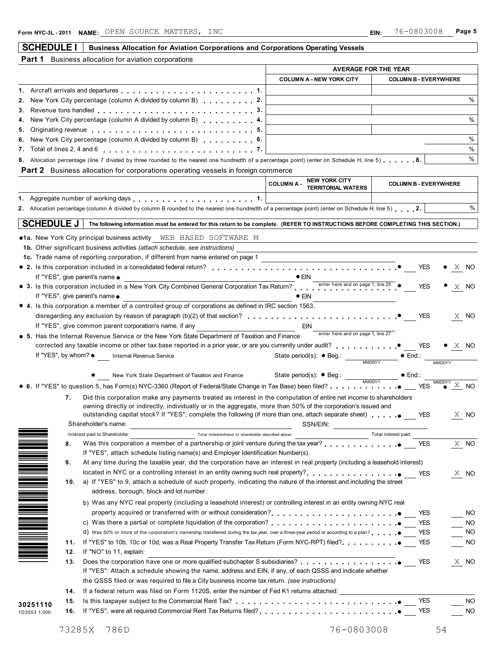## **SCHEDULE I** Business Allocation for Aviation Corporations and Corporations Operating Vessels

|  |  |  |  | <b>Part 1</b> Business allocation for aviation corporations |  |
|--|--|--|--|-------------------------------------------------------------|--|
|--|--|--|--|-------------------------------------------------------------|--|

|                                        |                                                                                                                                                                                                                                | <b>AVERAGE FOR THE YEAR</b>                                |                                   |                              |                                                 |
|----------------------------------------|--------------------------------------------------------------------------------------------------------------------------------------------------------------------------------------------------------------------------------|------------------------------------------------------------|-----------------------------------|------------------------------|-------------------------------------------------|
|                                        |                                                                                                                                                                                                                                | <b>COLUMN A - NEW YORK CITY</b>                            |                                   | <b>COLUMN B - EVERYWHERE</b> |                                                 |
|                                        | 1. Aircraft arrivals and departures entitled and the set of the set of the set of the set of the set of the set of the set of the set of the set of the set of the set of the set of the set of the set of the set of the set  |                                                            |                                   |                              |                                                 |
|                                        | 2. New York City percentage (column A divided by column B) 2.                                                                                                                                                                  |                                                            |                                   |                              | $\%$                                            |
|                                        |                                                                                                                                                                                                                                |                                                            |                                   |                              |                                                 |
|                                        | New York City percentage (column A divided by column B) 4.                                                                                                                                                                     |                                                            |                                   |                              | $\%$                                            |
|                                        | 5. Originating revenue entitled and and all contracts of the set of the set of the set of the set of the set of the set of the set of the set of the set of the set of the set of the set of the set of the set of the set of  |                                                            |                                   |                              |                                                 |
|                                        | 6. New York City percentage (column A divided by column B) 6.                                                                                                                                                                  |                                                            |                                   |                              | $\%$                                            |
|                                        |                                                                                                                                                                                                                                |                                                            |                                   |                              | $\%$                                            |
|                                        | 8. Allocation percentage (line 7 divided by three rounded to the nearest one hundredth of a percentage point) (enter on Schedule H, line 5) 8.                                                                                 |                                                            |                                   |                              | %                                               |
|                                        | <b>Part 2</b> Business allocation for corporations operating vessels in foreign commerce                                                                                                                                       |                                                            |                                   |                              |                                                 |
|                                        |                                                                                                                                                                                                                                | <b>NEW YORK CITY</b><br><b>COLUMNA-</b>                    |                                   | <b>COLUMN B - EVERYWHERE</b> |                                                 |
|                                        |                                                                                                                                                                                                                                | <b>TERRITORIAL WATERS</b>                                  |                                   |                              |                                                 |
|                                        | 1. Aggregate number of working days entitled as a series of the series of the series of the series of the series of the series of the series of the series of the series of the series of the series of the series of the seri |                                                            |                                   |                              |                                                 |
|                                        | 2. Allocation percentage (column A divided by column B rounded to the nearest one hundredth of a percentage point) (enter on Schedule H, line 5) 2.                                                                            |                                                            |                                   |                              | $\%$                                            |
| <b>SCHEDULE J</b>                      | The following information must be entered for this return to be complete. (REFER TO INSTRUCTIONS BEFORE COMPLETING THIS SECTION.)                                                                                              |                                                            |                                   |                              |                                                 |
|                                        |                                                                                                                                                                                                                                |                                                            |                                   |                              |                                                 |
|                                        |                                                                                                                                                                                                                                |                                                            |                                   |                              |                                                 |
|                                        | <b>1b.</b> Other significant business activities (attach schedule, see instructions)                                                                                                                                           |                                                            |                                   |                              |                                                 |
|                                        | 1c. Trade name of reporting corporation, if different from name entered on page 1                                                                                                                                              |                                                            |                                   |                              |                                                 |
|                                        | $\bullet$ 2. Is this corporation included in a consolidated federal return? $\ldots \ldots \ldots \ldots \ldots \ldots \ldots \ldots \ldots \ldots \ldots$                                                                     |                                                            |                                   | <b>YES</b>                   | X NO                                            |
|                                        | If "YES", give parent's name $\bullet$                                                                                                                                                                                         |                                                            |                                   |                              |                                                 |
|                                        | • 3. Is this corporation included in a New York City Combined General Corporation Tax Return?                                                                                                                                  |                                                            |                                   | <b>YES</b>                   | X NO                                            |
| If "YES", give parent's name $\bullet$ |                                                                                                                                                                                                                                | $\bullet$ ein                                              |                                   |                              |                                                 |
|                                        | • 4. Is this corporation a member of a controlled group of corporations as defined in IRC section 1563,                                                                                                                        |                                                            |                                   |                              |                                                 |
|                                        |                                                                                                                                                                                                                                |                                                            |                                   |                              | X NO                                            |
|                                        | If "YES", give common parent corporation's name, if any                                                                                                                                                                        | <b>EIN</b>                                                 |                                   |                              |                                                 |
|                                        | • 5. Has the Internal Revenue Service or the New York State Department of Taxation and Finance                                                                                                                                 |                                                            | enter here and on page 1, line 27 |                              |                                                 |
|                                        | corrected any taxable income or other tax base reported in a prior year, or are you currently under audit?<br>YES                                                                                                              |                                                            |                                   |                              | $\bullet$ X NO                                  |
|                                        | If "YES", by whom? . Internal Revenue Service                                                                                                                                                                                  |                                                            |                                   | $\bullet$ End.:              |                                                 |
|                                        |                                                                                                                                                                                                                                |                                                            |                                   |                              | <b>MMDDYY</b>                                   |
|                                        |                                                                                                                                                                                                                                |                                                            |                                   |                              |                                                 |
|                                        |                                                                                                                                                                                                                                | State period(s): $\bullet$ Beg.: $\frac{1}{\text{MMDDYY}}$ |                                   |                              |                                                 |
|                                        |                                                                                                                                                                                                                                |                                                            |                                   |                              |                                                 |
| 7.                                     | Did this corporation make any payments treated as interest in the computation of entire net income to shareholders                                                                                                             |                                                            |                                   |                              |                                                 |
|                                        | owning directly or indirectly, individually or in the aggregate, more than 50% of the corporation's issued and                                                                                                                 |                                                            |                                   |                              |                                                 |
|                                        | outstanding capital stock? If "YES", complete the following (if more than one, attach separate sheet) entitled the S                                                                                                           |                                                            |                                   |                              | X NO                                            |
|                                        | Shareholder's name:                                                                                                                                                                                                            | SSN/EIN:                                                   |                                   |                              |                                                 |
|                                        | Interest paid to Shareholder:<br>Total Indebtedness to shareholder described above:                                                                                                                                            |                                                            | Total interest paid:              |                              |                                                 |
| 8.                                     |                                                                                                                                                                                                                                |                                                            |                                   |                              |                                                 |
|                                        | If "YES", attach schedule listing name(s) and Employer Identification Number(s).                                                                                                                                               |                                                            |                                   | <b>YES</b>                   |                                                 |
| 9.                                     | At any time during the taxable year, did the corporation have an interest in real property (including a leasehold interest)                                                                                                    |                                                            |                                   |                              |                                                 |
|                                        |                                                                                                                                                                                                                                |                                                            |                                   |                              |                                                 |
| 10.                                    |                                                                                                                                                                                                                                |                                                            |                                   | <b>YES</b>                   |                                                 |
|                                        | a) If "YES" to 9, attach a schedule of such property, indicating the nature of the interest and including the street                                                                                                           |                                                            |                                   |                              |                                                 |
|                                        | address, borough, block and lot number.                                                                                                                                                                                        |                                                            |                                   |                              |                                                 |
|                                        |                                                                                                                                                                                                                                |                                                            |                                   |                              |                                                 |
|                                        | b) Was any NYC real property (including a leasehold interest) or controlling interest in an entity owning NYC real                                                                                                             |                                                            |                                   |                              |                                                 |
|                                        | property acquired or transferred with or without consideration? [1, 1, 1, 1, 1, 1, 1, 1, 1, 1, 1, 1, 0]                                                                                                                        |                                                            |                                   | <b>YES</b>                   |                                                 |
|                                        | c) Was there a partial or complete liquidation of the corporation? $\ldots$ , $\ldots$ , $\ldots$ , $\ldots$ , $\ldots$ , $\ldots$ , $\ddot{\bullet}$                                                                          |                                                            |                                   | <b>YES</b>                   |                                                 |
|                                        | d) Was 50% or more of the corporation's ownership transferred during the tax year, over a three-year period or according to a plan?                                                                                            |                                                            |                                   | <b>YES</b>                   |                                                 |
| 11.                                    |                                                                                                                                                                                                                                |                                                            |                                   | <b>YES</b>                   |                                                 |
| 12.                                    | If "NO" to 11, explain:                                                                                                                                                                                                        |                                                            |                                   |                              |                                                 |
| 13.                                    |                                                                                                                                                                                                                                |                                                            |                                   | <b>YES</b>                   |                                                 |
|                                        | If "YES": Attach a schedule showing the name, address and EIN, if any, of each QSSS and indicate whether                                                                                                                       |                                                            |                                   |                              |                                                 |
|                                        | the QSSS filed or was required to file a City business income tax return. (see instructions)                                                                                                                                   |                                                            |                                   |                              |                                                 |
| 14.                                    | If a federal return was filed on Form 1120S, enter the number of Fed K1 returns attached:                                                                                                                                      |                                                            |                                   |                              |                                                 |
| 15.                                    |                                                                                                                                                                                                                                |                                                            |                                   | <b>YES</b>                   | X NO<br>X NO<br>NO.<br>NO.<br>NO.<br>NO<br>X NO |
|                                        | Is this taxpayer subject to the Commercial Rent Tax?<br>and Tax Pinceron Albert Production Albert Tax Pinceron Albert Payer Albert Payer Albert Payer Albert Payer Alb                                                         |                                                            |                                   |                              |                                                 |
| 30251110<br>16.<br>1D3553 1.000        |                                                                                                                                                                                                                                |                                                            |                                   | <b>YES</b>                   | NO.<br><b>NO</b>                                |
| 73285X                                 | 786D                                                                                                                                                                                                                           |                                                            | 76-0803008                        |                              | 54                                              |